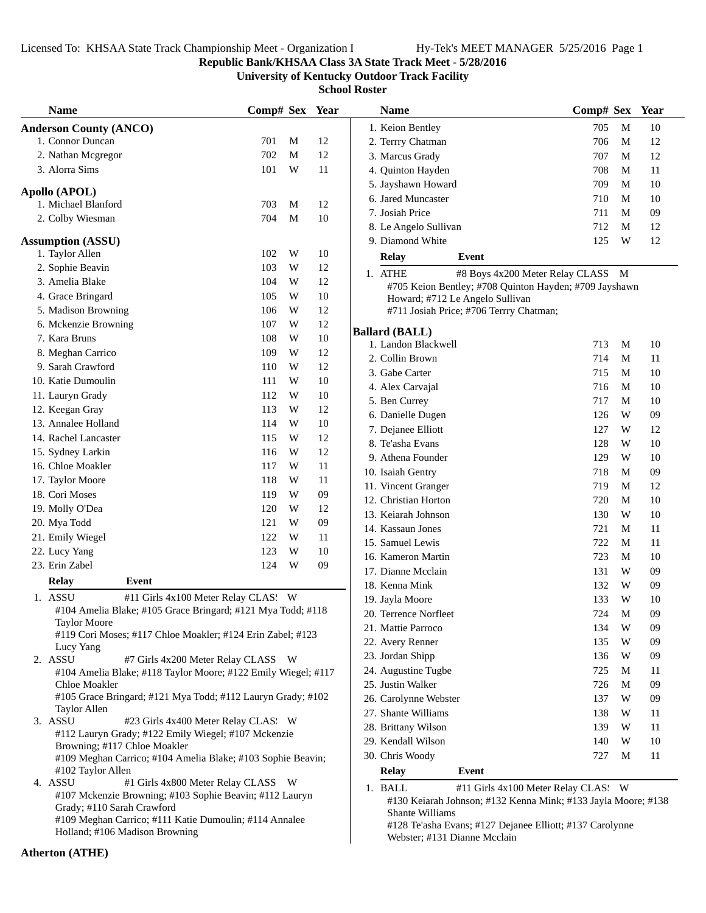**Republic Bank/KHSAA Class 3A State Track Meet - 5/28/2016**

**University of Kentucky Outdoor Track Facility**

**School Roster**

| <b>Name</b>                                                                         | Comp# Sex Year |             |    | <b>Name</b>                                                                                         | Comp# Sex Year |   |    |
|-------------------------------------------------------------------------------------|----------------|-------------|----|-----------------------------------------------------------------------------------------------------|----------------|---|----|
| <b>Anderson County (ANCO)</b>                                                       |                |             |    | 1. Keion Bentley                                                                                    | 705            | M | 10 |
| 1. Connor Duncan                                                                    | 701            | M           | 12 | 2. Terrry Chatman                                                                                   | 706            | M | 12 |
| 2. Nathan Mcgregor                                                                  | 702            | M           | 12 | 3. Marcus Grady                                                                                     | 707            | M | 12 |
| 3. Alorra Sims                                                                      | 101            | W           | 11 | 4. Quinton Hayden                                                                                   | 708            | M | 11 |
|                                                                                     |                |             |    | 5. Jayshawn Howard                                                                                  | 709            | M | 10 |
| Apollo (APOL)                                                                       |                |             |    | 6. Jared Muncaster                                                                                  | 710            | M | 10 |
| 1. Michael Blanford                                                                 | 703            | M           | 12 | 7. Josiah Price                                                                                     | 711            | M | 09 |
| 2. Colby Wiesman                                                                    | 704            | M           | 10 | 8. Le Angelo Sullivan                                                                               | 712            | M | 12 |
| <b>Assumption (ASSU)</b>                                                            |                |             |    | 9. Diamond White                                                                                    | 125            | W | 12 |
| 1. Taylor Allen                                                                     | 102            | W           | 10 | <b>Relay</b><br>Event                                                                               |                |   |    |
| 2. Sophie Beavin                                                                    | 103            | W           | 12 | 1. ATHE<br>#8 Boys 4x200 Meter Relay CLASS M                                                        |                |   |    |
| 3. Amelia Blake                                                                     | 104            | W           | 12 | #705 Keion Bentley; #708 Quinton Hayden; #709 Jayshawn                                              |                |   |    |
| 4. Grace Bringard                                                                   | 105            | W           | 10 | Howard; #712 Le Angelo Sullivan                                                                     |                |   |    |
| 5. Madison Browning                                                                 | 106            | W           | 12 | #711 Josiah Price; #706 Terrry Chatman;                                                             |                |   |    |
| 6. Mckenzie Browning                                                                | 107            | W           | 12 |                                                                                                     |                |   |    |
| 7. Kara Bruns                                                                       | 108            | W           | 10 | <b>Ballard (BALL)</b>                                                                               |                |   |    |
| 8. Meghan Carrico                                                                   | 109            | W           | 12 | 1. Landon Blackwell                                                                                 | 713            | M | 10 |
| 9. Sarah Crawford                                                                   | 110            | W           | 12 | 2. Collin Brown                                                                                     | 714            | M | 11 |
| 10. Katie Dumoulin                                                                  | 111            | W           | 10 | 3. Gabe Carter                                                                                      | 715            | M | 10 |
| 11. Lauryn Grady                                                                    | 112            | W           | 10 | 4. Alex Carvajal                                                                                    | 716            | M | 10 |
| 12. Keegan Gray                                                                     | 113            | W           | 12 | 5. Ben Currey                                                                                       | 717            | M | 10 |
| 13. Annalee Holland                                                                 | 114            | W           | 10 | 6. Danielle Dugen                                                                                   | 126            | W | 09 |
| 14. Rachel Lancaster                                                                | 115            | W           | 12 | 7. Dejanee Elliott                                                                                  | 127            | W | 12 |
| 15. Sydney Larkin                                                                   | 116            | W           | 12 | 8. Te'asha Evans                                                                                    | 128            | W | 10 |
| 16. Chloe Moakler                                                                   | 117            | W           | 11 | 9. Athena Founder                                                                                   | 129            | W | 10 |
| 17. Taylor Moore                                                                    | 118            | W           | 11 | 10. Isaiah Gentry                                                                                   | 718            | M | 09 |
| 18. Cori Moses                                                                      | 119            | W           | 09 | 11. Vincent Granger                                                                                 | 719            | M | 12 |
| 19. Molly O'Dea                                                                     | 120            | W           | 12 | 12. Christian Horton                                                                                | 720            | M | 10 |
| 20. Mya Todd                                                                        | 121            | W           | 09 | 13. Keiarah Johnson                                                                                 | 130            | W | 10 |
| 21. Emily Wiegel                                                                    | 122            | W           | 11 | 14. Kassaun Jones                                                                                   | 721            | M | 11 |
| 22. Lucy Yang                                                                       | 123            | $\mathbf W$ | 10 | 15. Samuel Lewis                                                                                    | 722            | M | 11 |
| 23. Erin Zabel                                                                      | 124            | W           | 09 | 16. Kameron Martin                                                                                  | 723            | M | 10 |
|                                                                                     |                |             |    | 17. Dianne Mcclain                                                                                  | 131            | W | 09 |
| <b>Relay</b><br>Event                                                               |                |             |    | 18. Kenna Mink                                                                                      | 132            | W | 09 |
| 1. ASSU<br>#11 Girls 4x100 Meter Relay CLAS: W                                      |                |             |    | 19. Jayla Moore                                                                                     | 133            | W | 10 |
| #104 Amelia Blake; #105 Grace Bringard; #121 Mya Todd; #118                         |                |             |    | 20. Terrence Norfleet                                                                               | 724            | M | 09 |
| <b>Taylor Moore</b><br>#119 Cori Moses; #117 Chloe Moakler; #124 Erin Zabel; #123   |                |             |    | 21. Mattie Parroco                                                                                  | 134            | W | 09 |
| Lucy Yang                                                                           |                |             |    | 22. Avery Renner                                                                                    | 135            | W | 09 |
| 2. ASSU<br>#7 Girls 4x200 Meter Relay CLASS W                                       |                |             |    | 23. Jordan Shipp                                                                                    | 136            | W | 09 |
| #104 Amelia Blake; #118 Taylor Moore; #122 Emily Wiegel; #117                       |                |             |    | 24. Augustine Tugbe                                                                                 | 725            | M | 11 |
| Chloe Moakler                                                                       |                |             |    | 25. Justin Walker                                                                                   | 726            | M | 09 |
| #105 Grace Bringard; #121 Mya Todd; #112 Lauryn Grady; #102                         |                |             |    | 26. Carolynne Webster                                                                               | 137            | W | 09 |
| <b>Taylor Allen</b>                                                                 |                |             |    | 27. Shante Williams                                                                                 | 138            | W | 11 |
| 3. ASSU<br>#23 Girls 4x400 Meter Relay CLAS: W                                      |                |             |    | 28. Brittany Wilson                                                                                 | 139            | W | 11 |
| #112 Lauryn Grady; #122 Emily Wiegel; #107 Mckenzie<br>Browning; #117 Chloe Moakler |                |             |    | 29. Kendall Wilson                                                                                  | 140            | W | 10 |
| #109 Meghan Carrico; #104 Amelia Blake; #103 Sophie Beavin;                         |                |             |    | 30. Chris Woody                                                                                     | 727            | M | 11 |
| #102 Taylor Allen                                                                   |                |             |    | <b>Relay</b><br>Event                                                                               |                |   |    |
| 4. ASSU<br>#1 Girls 4x800 Meter Relay CLASS W                                       |                |             |    | 1. BALL                                                                                             |                |   |    |
| #107 Mckenzie Browning; #103 Sophie Beavin; #112 Lauryn                             |                |             |    | #11 Girls 4x100 Meter Relay CLAS: W<br>#130 Keiarah Johnson; #132 Kenna Mink; #133 Jayla Moore; #13 |                |   |    |
| Grady; #110 Sarah Crawford                                                          |                |             |    | Shante Williams                                                                                     |                |   |    |
| #109 Meghan Carrico; #111 Katie Dumoulin; #114 Annalee                              |                |             |    | #128 Te'asha Evans; #127 Dejanee Elliott; #137 Carolynne                                            |                |   |    |
| Holland; #106 Madison Browning                                                      |                |             |    | Webster; #131 Dianne Mcclain                                                                        |                |   |    |
|                                                                                     |                |             |    |                                                                                                     |                |   |    |

| <b>Name</b>                                            | Comp# Sex |   | Year |
|--------------------------------------------------------|-----------|---|------|
| 1. Keion Bentley                                       | 705       | М | 10   |
| 2. Terrry Chatman                                      | 706       | М | 12   |
| 3. Marcus Grady                                        | 707       | М | 12   |
| 4. Quinton Hayden                                      | 708       | М | 11   |
| 5. Jayshawn Howard                                     | 709       | М | 10   |
| 6. Jared Muncaster                                     | 710       | М | 10   |
| 7. Josiah Price                                        | 711       | М | 09   |
| 8. Le Angelo Sullivan                                  | 712       | М | 12   |
| 9. Diamond White                                       | 125       | W | 12   |
| <b>Relay</b><br>Event                                  |           |   |      |
| 1. ATHE<br>#8 Boys 4x200 Meter Relay CLASS             |           | М |      |
| #705 Keion Bentley; #708 Quinton Hayden; #709 Jayshawn |           |   |      |
| Howard; #712 Le Angelo Sullivan                        |           |   |      |
| #711 Josiah Price; #706 Terrry Chatman;                |           |   |      |
| ıllard (BALL)                                          |           |   |      |
| 1. Landon Blackwell                                    | 713       | М | 10   |
| 2. Collin Brown                                        | 714       | М | 11   |
| 3. Gabe Carter                                         | 715       | М | 10   |
| 4. Alex Carvajal                                       | 716       | М | 10   |
| 5. Ben Currey                                          | 717       | М | 10   |
| 6. Danielle Dugen                                      | 126       | W | 09   |
| 7. Dejanee Elliott                                     | 127       | W | 12   |
| 8. Te'asha Evans                                       | 128       | W | 10   |
| 9. Athena Founder                                      | 129       | W | 10   |
| 10. Isaiah Gentry                                      | 718       | М | 09   |
| 11. Vincent Granger                                    | 719       | М | 12   |
| 12. Christian Horton                                   | 720       | М | 10   |
| 13. Keiarah Johnson                                    | 130       | W | 10   |
| 14. Kassaun Jones                                      | 721       | М | 11   |
| 15. Samuel Lewis                                       | 722       | М | 11   |
| 16. Kameron Martin                                     | 723       | М | 10   |
| 17. Dianne Mcclain                                     | 131       | W | 09   |
| 18. Kenna Mink                                         | 132       | W | 09   |
| 19. Jayla Moore                                        | 133       | W | 10   |
| 20. Terrence Norfleet                                  | 724       | М | 09   |
| 21. Mattie Parroco                                     | 134       | W | 09   |
| 22. Avery Renner                                       | 135       | W | 09   |
| 23. Jordan Shipp                                       | 136       | W | 09   |
| 24. Augustine Tugbe                                    | 725       | M | 11   |
| 25. Justin Walker                                      | 726       | M | 09   |
|                                                        |           |   | 09   |
| 26. Carolynne Webster                                  | 137       | W |      |
| 27. Shante Williams                                    | 138       | W | 11   |
| 28. Brittany Wilson                                    | 139       | W | 11   |
| 29. Kendall Wilson                                     | 140       | W | 10   |
| 30. Chris Woody                                        | 727       | М | 11   |
| <b>Relay</b><br>Event                                  |           |   |      |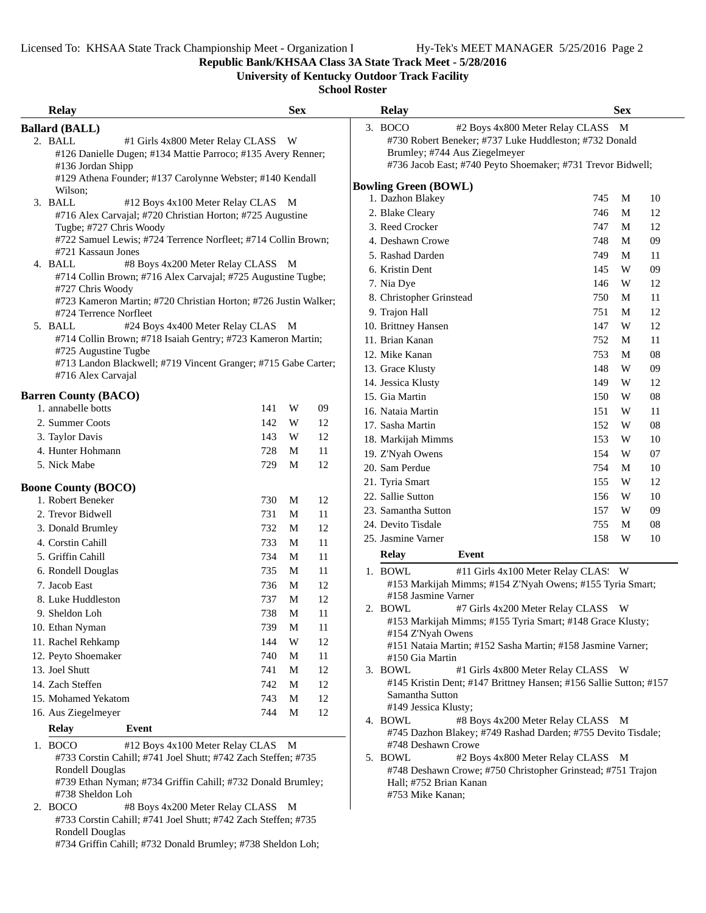**Republic Bank/KHSAA Class 3A State Track Meet - 5/28/2016**

**University of Kentucky Outdoor Track Facility**

# **School Roster**

| <b>Relay</b>                                    |                                                                 | <b>Sex</b> |    | <b>Relay</b>                   |                                                                   | <b>Sex</b> |    |
|-------------------------------------------------|-----------------------------------------------------------------|------------|----|--------------------------------|-------------------------------------------------------------------|------------|----|
| <b>Ballard (BALL)</b>                           |                                                                 |            |    | 3. BOCO                        | #2 Boys 4x800 Meter Relay CLASS M                                 |            |    |
| 2. BALL                                         | #1 Girls 4x800 Meter Relay CLASS W                              |            |    |                                | #730 Robert Beneker; #737 Luke Huddleston; #732 Donald            |            |    |
|                                                 | #126 Danielle Dugen; #134 Mattie Parroco; #135 Avery Renner;    |            |    |                                | Brumley; #744 Aus Ziegelmeyer                                     |            |    |
| #136 Jordan Shipp                               |                                                                 |            |    |                                | #736 Jacob East; #740 Peyto Shoemaker; #731 Trevor Bidwell;       |            |    |
|                                                 | #129 Athena Founder; #137 Carolynne Webster; #140 Kendall       |            |    | <b>Bowling Green (BOWL)</b>    |                                                                   |            |    |
| Wilson;                                         |                                                                 |            |    | 1. Dazhon Blakey               | 745                                                               | M          | 10 |
| 3. BALL                                         | #12 Boys 4x100 Meter Relay CLAS M                               |            |    | 2. Blake Cleary                | 746                                                               | M          | 12 |
|                                                 | #716 Alex Carvajal; #720 Christian Horton; #725 Augustine       |            |    | 3. Reed Crocker                |                                                                   |            | 12 |
| Tugbe; #727 Chris Woody                         | #722 Samuel Lewis; #724 Terrence Norfleet; #714 Collin Brown;   |            |    |                                | 747                                                               | M          |    |
| #721 Kassaun Jones                              |                                                                 |            |    | 4. Deshawn Crowe               | 748                                                               | M          | 09 |
| 4. BALL                                         | #8 Boys 4x200 Meter Relay CLASS M                               |            |    | 5. Rashad Darden               | 749                                                               | M          | 11 |
|                                                 | #714 Collin Brown; #716 Alex Carvajal; #725 Augustine Tugbe;    |            |    | 6. Kristin Dent                | 145                                                               | W          | 09 |
| #727 Chris Woody                                |                                                                 |            |    | 7. Nia Dye                     | 146                                                               | W          | 12 |
|                                                 | #723 Kameron Martin; #720 Christian Horton; #726 Justin Walker; |            |    | 8. Christopher Grinstead       | 750                                                               | M          | 11 |
| #724 Terrence Norfleet                          |                                                                 |            |    | 9. Trajon Hall                 | 751                                                               | M          | 12 |
| 5. BALL                                         | #24 Boys 4x400 Meter Relay CLAS M                               |            |    | 10. Brittney Hansen            | 147                                                               | W          | 12 |
|                                                 | #714 Collin Brown; #718 Isaiah Gentry; #723 Kameron Martin;     |            |    | 11. Brian Kanan                | 752                                                               | M          | 11 |
| #725 Augustine Tugbe                            | #713 Landon Blackwell; #719 Vincent Granger; #715 Gabe Carter;  |            |    | 12. Mike Kanan                 | 753                                                               | M          | 08 |
| #716 Alex Carvajal                              |                                                                 |            |    | 13. Grace Klusty               | 148                                                               | W          | 09 |
|                                                 |                                                                 |            |    | 14. Jessica Klusty             | 149                                                               | W          | 12 |
| <b>Barren County (BACO)</b>                     |                                                                 |            |    | 15. Gia Martin                 | 150                                                               | W          | 08 |
| 1. annabelle botts                              | 141                                                             | W          | 09 | 16. Nataia Martin              | 151                                                               | W          | 11 |
| 2. Summer Coots                                 | 142                                                             | W          | 12 | 17. Sasha Martin               | 152                                                               | W          | 08 |
| 3. Taylor Davis                                 | 143                                                             | W          | 12 | 18. Markijah Mimms             | 153                                                               | W          | 10 |
| 4. Hunter Hohmann                               | 728                                                             | M          | 11 | 19. Z'Nyah Owens               | 154                                                               | W          | 07 |
| 5. Nick Mabe                                    | 729                                                             | M          | 12 | 20. Sam Perdue                 | 754                                                               | M          | 10 |
|                                                 |                                                                 |            |    | 21. Tyria Smart                | 155                                                               | W          | 12 |
| <b>Boone County (BOCO)</b><br>1. Robert Beneker | 730                                                             |            |    | 22. Sallie Sutton              | 156                                                               | W          | 10 |
|                                                 |                                                                 | M          | 12 | 23. Samantha Sutton            | 157                                                               | W          | 09 |
| 2. Trevor Bidwell                               | 731                                                             | М          | 11 | 24. Devito Tisdale             | 755                                                               | M          | 08 |
| 3. Donald Brumley                               | 732                                                             | M          | 12 | 25. Jasmine Varner             | 158                                                               | W          | 10 |
| 4. Corstin Cahill                               | 733                                                             | M          | 11 |                                |                                                                   |            |    |
| 5. Griffin Cahill                               | 734                                                             | M          | 11 | <b>Relay</b>                   | Event                                                             |            |    |
| 6. Rondell Douglas                              | 735                                                             | M          | 11 | 1. BOWL                        | #11 Girls 4x100 Meter Relay CLAS: W                               |            |    |
| 7. Jacob East                                   | 736                                                             | M          | 12 |                                | #153 Markijah Mimms; #154 Z'Nyah Owens; #155 Tyria Smart;         |            |    |
| 8. Luke Huddleston                              | 737                                                             | M          | 12 | #158 Jasmine Varner<br>2. BOWL | #7 Girls 4x200 Meter Relay CLASS W                                |            |    |
| 9. Sheldon Loh                                  | 738                                                             | M          | 11 |                                | #153 Markijah Mimms; #155 Tyria Smart; #148 Grace Klusty;         |            |    |
| 10. Ethan Nyman                                 | 739                                                             | M          | 11 | #154 Z'Nyah Owens              |                                                                   |            |    |
| 11. Rachel Rehkamp                              | 144                                                             | W          | 12 |                                | #151 Nataia Martin; #152 Sasha Martin; #158 Jasmine Varner;       |            |    |
| 12. Peyto Shoemaker                             | 740                                                             | M          | 11 | #150 Gia Martin                |                                                                   |            |    |
| 13. Joel Shutt                                  | 741                                                             | M          | 12 | 3. BOWL                        | #1 Girls 4x800 Meter Relay CLASS W                                |            |    |
| 14. Zach Steffen                                | 742                                                             | M          | 12 |                                | #145 Kristin Dent; #147 Brittney Hansen; #156 Sallie Sutton; #157 |            |    |
| 15. Mohamed Yekatom                             | 743                                                             | M          | 12 | Samantha Sutton                |                                                                   |            |    |
| 16. Aus Ziegelmeyer                             | 744                                                             | M          | 12 | #149 Jessica Klusty;           |                                                                   |            |    |
| <b>Relay</b><br>Event                           |                                                                 |            |    | 4. BOWL                        | #8 Boys 4x200 Meter Relay CLASS M                                 |            |    |
| 1. BOCO                                         | #12 Boys 4x100 Meter Relay CLAS M                               |            |    | #748 Deshawn Crowe             | #745 Dazhon Blakey; #749 Rashad Darden; #755 Devito Tisdale;      |            |    |
|                                                 | #733 Corstin Cahill; #741 Joel Shutt; #742 Zach Steffen; #735   |            |    | 5. BOWL                        | #2 Boys 4x800 Meter Relay CLASS M                                 |            |    |
| <b>Rondell Douglas</b>                          |                                                                 |            |    |                                | #748 Deshawn Crowe; #750 Christopher Grinstead; #751 Trajon       |            |    |
|                                                 | #739 Ethan Nyman; #734 Griffin Cahill; #732 Donald Brumley;     |            |    | Hall; #752 Brian Kanan         |                                                                   |            |    |

#753 Mike Kanan;

#739 Ethan Nyman; #734 Griffin Cahill; #732 Donald Brumley; #738 Sheldon Loh

2. BOCO #8 Boys 4x200 Meter Relay CLASS M #733 Corstin Cahill; #741 Joel Shutt; #742 Zach Steffen; #735 Rondell Douglas

#734 Griffin Cahill; #732 Donald Brumley; #738 Sheldon Loh;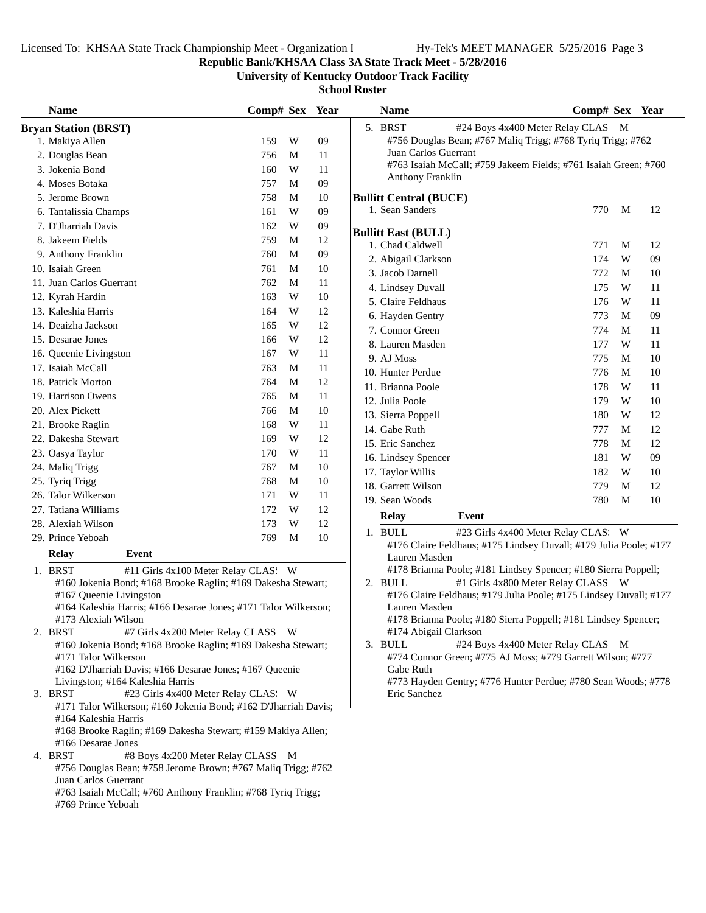**Republic Bank/KHSAA Class 3A State Track Meet - 5/28/2016**

**University of Kentucky Outdoor Track Facility**

| <b>Name</b>                                                                                                    | Comp# Sex Year |   |    | <b>Name</b>                                                                     | Comp# Sex Year |   |    |  |
|----------------------------------------------------------------------------------------------------------------|----------------|---|----|---------------------------------------------------------------------------------|----------------|---|----|--|
| <b>Bryan Station (BRST)</b>                                                                                    |                |   |    | 5. BRST<br>#24 Boys 4x400 Meter Relay CLAS M                                    |                |   |    |  |
| 1. Makiya Allen                                                                                                | 159            | W | 09 | #756 Douglas Bean; #767 Maliq Trigg; #768 Tyriq Trigg; #762                     |                |   |    |  |
| 2. Douglas Bean                                                                                                | 756            | M | 11 | Juan Carlos Guerrant                                                            |                |   |    |  |
| 3. Jokenia Bond                                                                                                | 160            | W | 11 | #763 Isaiah McCall; #759 Jakeem Fields; #761 Isaiah Green; #760                 |                |   |    |  |
| 4. Moses Botaka                                                                                                | 757            | M | 09 | Anthony Franklin                                                                |                |   |    |  |
| 5. Jerome Brown                                                                                                | 758            | М | 10 | <b>Bullitt Central (BUCE)</b>                                                   |                |   |    |  |
| 6. Tantalissia Champs                                                                                          | 161            | W | 09 | 1. Sean Sanders                                                                 | 770            | M | 12 |  |
| 7. D'Jharriah Davis                                                                                            | 162            | W | 09 | <b>Bullitt East (BULL)</b>                                                      |                |   |    |  |
| 8. Jakeem Fields                                                                                               | 759            | M | 12 | 1. Chad Caldwell                                                                | 771            | M | 12 |  |
| 9. Anthony Franklin                                                                                            | 760            | M | 09 | 2. Abigail Clarkson                                                             | 174            | W | 09 |  |
| 10. Isaiah Green                                                                                               | 761            | M | 10 | 3. Jacob Darnell                                                                | 772            | M | 10 |  |
| 11. Juan Carlos Guerrant                                                                                       | 762            | M | 11 | 4. Lindsey Duvall                                                               | 175            | W | 11 |  |
| 12. Kyrah Hardin                                                                                               | 163            | W | 10 | 5. Claire Feldhaus                                                              | 176            | W | 11 |  |
| 13. Kaleshia Harris                                                                                            | 164            | W | 12 | 6. Hayden Gentry                                                                | 773            | M | 09 |  |
| 14. Deaizha Jackson                                                                                            | 165            | W | 12 | 7. Connor Green                                                                 | 774            | M | 11 |  |
| 15. Desarae Jones                                                                                              | 166            | W | 12 | 8. Lauren Masden                                                                | 177            | W | 11 |  |
| 16. Queenie Livingston                                                                                         | 167            | W | 11 | 9. AJ Moss                                                                      | 775            | M | 10 |  |
| 17. Isaiah McCall                                                                                              | 763            | M | 11 | 10. Hunter Perdue                                                               | 776            | M | 10 |  |
| 18. Patrick Morton                                                                                             | 764            | M | 12 | 11. Brianna Poole                                                               | 178            | W | 11 |  |
| 19. Harrison Owens                                                                                             | 765            | M | 11 | 12. Julia Poole                                                                 | 179            | W | 10 |  |
| 20. Alex Pickett                                                                                               | 766            | M | 10 |                                                                                 | 180            | W | 12 |  |
| 21. Brooke Raglin                                                                                              | 168            | W | 11 | 13. Sierra Poppell<br>14. Gabe Ruth                                             | 777            | M | 12 |  |
| 22. Dakesha Stewart                                                                                            | 169            | W | 12 | 15. Eric Sanchez                                                                | 778            | M | 12 |  |
| 23. Oasya Taylor                                                                                               | 170            | W | 11 |                                                                                 |                |   |    |  |
| 24. Maliq Trigg                                                                                                | 767            | M | 10 | 16. Lindsey Spencer                                                             | 181            | W | 09 |  |
| 25. Tyriq Trigg                                                                                                | 768            | M | 10 | 17. Taylor Willis                                                               | 182            | W | 10 |  |
| 26. Talor Wilkerson                                                                                            | 171            | W | 11 | 18. Garrett Wilson                                                              | 779            | M | 12 |  |
| 27. Tatiana Williams                                                                                           | 172            | W | 12 | 19. Sean Woods                                                                  | 780            | M | 10 |  |
| 28. Alexiah Wilson                                                                                             | 173            | W | 12 | <b>Relay</b><br>Event                                                           |                |   |    |  |
| 29. Prince Yeboah                                                                                              | 769            | M | 10 | 1. BULL<br>#23 Girls 4x400 Meter Relay CLAS: W                                  |                |   |    |  |
| <b>Relay</b><br>Event                                                                                          |                |   |    | #176 Claire Feldhaus; #175 Lindsey Duvall; #179 Julia Poole; #177               |                |   |    |  |
|                                                                                                                |                |   |    | Lauren Masden<br>#178 Brianna Poole; #181 Lindsey Spencer; #180 Sierra Poppell; |                |   |    |  |
| 1. BRST<br>#11 Girls 4x100 Meter Relay CLAS: W<br>#160 Jokenia Bond; #168 Brooke Raglin; #169 Dakesha Stewart; |                |   |    | #1 Girls 4x800 Meter Relay CLASS W<br>2. BULL                                   |                |   |    |  |
| #167 Queenie Livingston                                                                                        |                |   |    | #176 Claire Feldhaus; #179 Julia Poole; #175 Lindsey Duvall; #177               |                |   |    |  |
| #164 Kaleshia Harris; #166 Desarae Jones; #171 Talor Wilkerson;                                                |                |   |    | Lauren Masden                                                                   |                |   |    |  |
| #173 Alexiah Wilson                                                                                            |                |   |    | #178 Brianna Poole; #180 Sierra Poppell; #181 Lindsey Spencer;                  |                |   |    |  |
| 2. BRST<br>#7 Girls 4x200 Meter Relay CLASS W                                                                  |                |   |    | #174 Abigail Clarkson                                                           |                |   |    |  |
| #160 Jokenia Bond; #168 Brooke Raglin; #169 Dakesha Stewart;                                                   |                |   |    | 3. BULL<br>#24 Boys 4x400 Meter Relay CLAS M                                    |                |   |    |  |
| #171 Talor Wilkerson                                                                                           |                |   |    | #774 Connor Green; #775 AJ Moss; #779 Garrett Wilson; #777                      |                |   |    |  |
| #162 D'Jharriah Davis; #166 Desarae Jones; #167 Queenie<br>Livingston; #164 Kaleshia Harris                    |                |   |    | Gabe Ruth<br>#773 Hayden Gentry; #776 Hunter Perdue; #780 Sean Woods; #778      |                |   |    |  |
| 3. BRST<br>#23 Girls 4x400 Meter Relay CLAS. W                                                                 |                |   |    | Eric Sanchez                                                                    |                |   |    |  |
| #171 Talor Wilkerson; #160 Jokenia Bond; #162 D'Jharriah Davis;                                                |                |   |    |                                                                                 |                |   |    |  |
| #164 Kaleshia Harris                                                                                           |                |   |    |                                                                                 |                |   |    |  |
| #168 Brooke Raglin; #169 Dakesha Stewart; #159 Makiya Allen;                                                   |                |   |    |                                                                                 |                |   |    |  |
| #166 Desarae Jones                                                                                             |                |   |    |                                                                                 |                |   |    |  |
| 4. BRST<br>#8 Boys 4x200 Meter Relay CLASS M                                                                   |                |   |    |                                                                                 |                |   |    |  |
| #756 Douglas Bean; #758 Jerome Brown; #767 Maliq Trigg; #762<br>Juan Carlos Guerrant                           |                |   |    |                                                                                 |                |   |    |  |
| #763 Isaiah McCall; #760 Anthony Franklin; #768 Tyriq Trigg;                                                   |                |   |    |                                                                                 |                |   |    |  |
| #769 Prince Yeboah                                                                                             |                |   |    |                                                                                 |                |   |    |  |
|                                                                                                                |                |   |    |                                                                                 |                |   |    |  |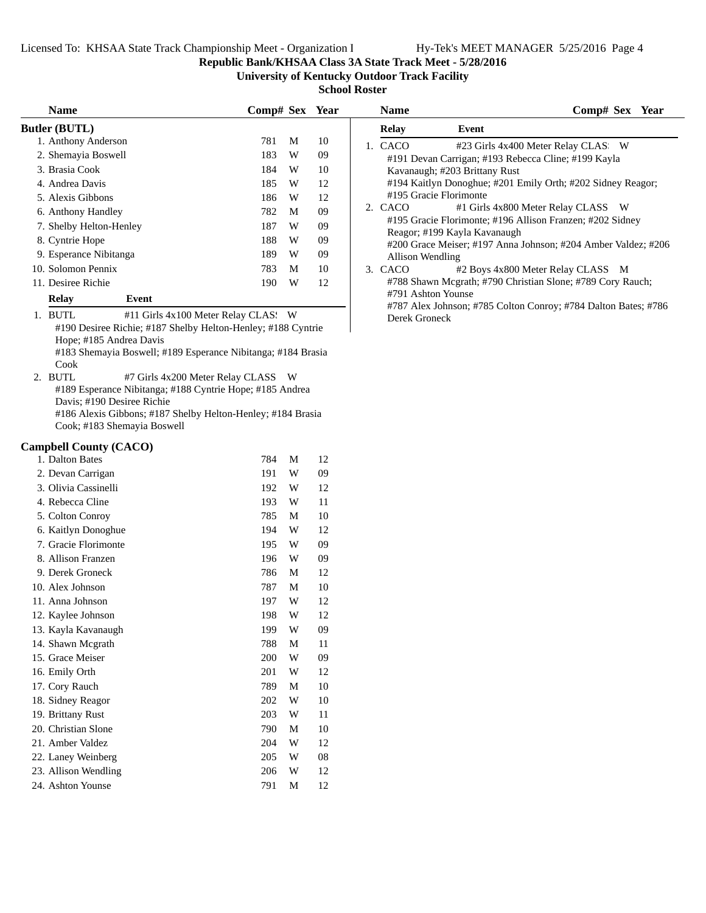**Name Comp# Sex** Year

#### **Republic Bank/KHSAA Class 3A State Track Meet - 5/28/2016**

**University of Kentucky Outdoor Track Facility**

**School Roster**

| <b>Name</b>             |       |                                                              |     |   | Comp# Sex Year |
|-------------------------|-------|--------------------------------------------------------------|-----|---|----------------|
| Butler (BUTL)           |       |                                                              |     |   |                |
| 1. Anthony Anderson     |       |                                                              | 781 | M | 10             |
| 2. Shemayia Boswell     |       |                                                              | 183 | W | 09             |
| 3. Brasia Cook          |       |                                                              | 184 | W | 10             |
| 4. Andrea Davis         |       |                                                              | 185 | W | 12             |
| 5. Alexis Gibbons       |       |                                                              | 186 | W | 12             |
| 6. Anthony Handley      |       |                                                              | 782 | M | 09             |
| 7. Shelby Helton-Henley |       |                                                              | 187 | W | 09             |
| 8. Cyntrie Hope         |       |                                                              | 188 | W | 09             |
| 9. Esperance Nibitanga  |       |                                                              | 189 | W | 09             |
| 10. Solomon Pennix      |       |                                                              | 783 | М | 10             |
| 11. Desiree Richie      |       |                                                              | 190 | W | 12             |
| Relay                   | Event |                                                              |     |   |                |
| 1<br>זידי דמ            |       | $#11$ $C_{in}$ $\sim 100$ Meter Delay $CI$ $\wedge$ $Cl$ $W$ |     |   |                |

1. BUTL #11 Girls 4x100 Meter Relay CLAS: W #190 Desiree Richie; #187 Shelby Helton-Henley; #188 Cyntrie Hope; #185 Andrea Davis

#183 Shemayia Boswell; #189 Esperance Nibitanga; #184 Brasia Cook

2. BUTL #7 Girls 4x200 Meter Relay CLASS W #189 Esperance Nibitanga; #188 Cyntrie Hope; #185 Andrea Davis; #190 Desiree Richie #186 Alexis Gibbons; #187 Shelby Helton-Henley; #184 Brasia

Cook; #183 Shemayia Boswell

#### **Campbell County (CACO)**

| 1. Dalton Bates      | 784 | М | 12 |
|----------------------|-----|---|----|
| 2. Devan Carrigan    | 191 | W | 09 |
| 3. Olivia Cassinelli | 192 | W | 12 |
| 4. Rebecca Cline     | 193 | W | 11 |
| 5. Colton Conroy     | 785 | М | 10 |
| 6. Kaitlyn Donoghue  | 194 | W | 12 |
| 7. Gracie Florimonte | 195 | W | 09 |
| 8. Allison Franzen   | 196 | W | 09 |
| 9. Derek Groneck     | 786 | М | 12 |
| 10. Alex Johnson     | 787 | М | 10 |
| 11. Anna Johnson     | 197 | W | 12 |
| 12. Kaylee Johnson   | 198 | W | 12 |
| 13. Kayla Kavanaugh  | 199 | W | 09 |
| 14. Shawn Megrath    | 788 | М | 11 |
| 15. Grace Meiser     | 200 | W | 09 |
| 16. Emily Orth       | 201 | W | 12 |
| 17. Cory Rauch       | 789 | М | 10 |
| 18. Sidney Reagor    | 202 | W | 10 |
| 19. Brittany Rust    | 203 | W | 11 |
| 20. Christian Slone  | 790 | М | 10 |
| 21. Amber Valdez     | 204 | W | 12 |
| 22. Laney Weinberg   | 205 | W | 08 |
| 23. Allison Wendling | 206 | W | 12 |
| 24. Ashton Younse    | 791 | М | 12 |

| <b>Relay</b>           | Event                                                          |
|------------------------|----------------------------------------------------------------|
| CACO                   | #23 Girls 4x400 Meter Relay CLAS. W                            |
|                        | #191 Devan Carrigan; #193 Rebecca Cline; #199 Kayla            |
|                        | Kavanaugh; #203 Brittany Rust                                  |
|                        | #194 Kaitlyn Donoghue; #201 Emily Orth; #202 Sidney Reagor;    |
| #195 Gracie Florimonte |                                                                |
| 2. CACO                | #1 Girls 4x800 Meter Relay CLASS W                             |
|                        | #195 Gracie Florimonte; #196 Allison Franzen; #202 Sidney      |
|                        | Reagor; #199 Kayla Kavanaugh                                   |
|                        | #200 Grace Meiser; #197 Anna Johnson; #204 Amber Valdez; #206  |
| Allison Wendling       |                                                                |
| 3. CACO                | #2 Boys 4x800 Meter Relay CLASS M                              |
|                        | #788 Shawn Mcgrath; #790 Christian Slone; #789 Cory Rauch;     |
| #791 Ashton Younse     |                                                                |
|                        | #787 Alex Johnson; #785 Colton Conroy; #784 Dalton Bates; #786 |
| Derek Groneck          |                                                                |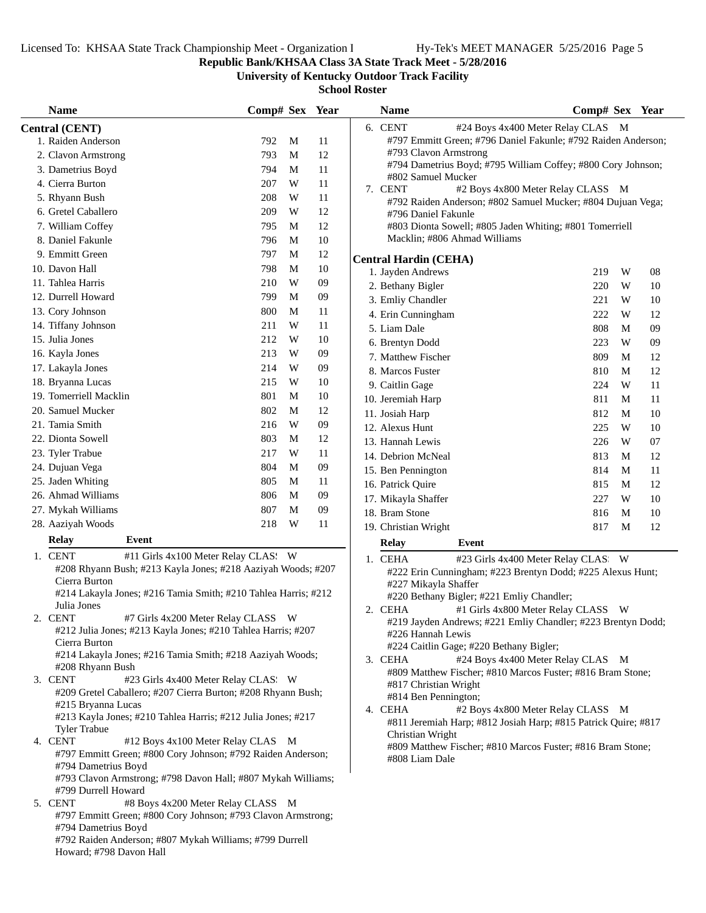**Republic Bank/KHSAA Class 3A State Track Meet - 5/28/2016**

**University of Kentucky Outdoor Track Facility**

| <b>Name</b>                                                                                                                                                                                                                                                                                                                                                                                                                                                                                                                                                                                                                                                                                                                                                                                                                                                                                                                                                                                                                                                                                                                                                                                                                                                                                                                                                                                                                                                                                                                                                                                                                                                                                                                             | Comp# Sex Year |   |        | <b>Name</b>                   | Comp# Sex Year                                                |    |
|-----------------------------------------------------------------------------------------------------------------------------------------------------------------------------------------------------------------------------------------------------------------------------------------------------------------------------------------------------------------------------------------------------------------------------------------------------------------------------------------------------------------------------------------------------------------------------------------------------------------------------------------------------------------------------------------------------------------------------------------------------------------------------------------------------------------------------------------------------------------------------------------------------------------------------------------------------------------------------------------------------------------------------------------------------------------------------------------------------------------------------------------------------------------------------------------------------------------------------------------------------------------------------------------------------------------------------------------------------------------------------------------------------------------------------------------------------------------------------------------------------------------------------------------------------------------------------------------------------------------------------------------------------------------------------------------------------------------------------------------|----------------|---|--------|-------------------------------|---------------------------------------------------------------|----|
| <b>Central (CENT)</b>                                                                                                                                                                                                                                                                                                                                                                                                                                                                                                                                                                                                                                                                                                                                                                                                                                                                                                                                                                                                                                                                                                                                                                                                                                                                                                                                                                                                                                                                                                                                                                                                                                                                                                                   |                |   |        | 6. CENT                       | #24 Boys 4x400 Meter Relay CLAS M                             |    |
| 1. Raiden Anderson                                                                                                                                                                                                                                                                                                                                                                                                                                                                                                                                                                                                                                                                                                                                                                                                                                                                                                                                                                                                                                                                                                                                                                                                                                                                                                                                                                                                                                                                                                                                                                                                                                                                                                                      | 792            | M | 11     |                               | #797 Emmitt Green; #796 Daniel Fakunle; #792 Raiden Anderson; |    |
| 2. Clavon Armstrong                                                                                                                                                                                                                                                                                                                                                                                                                                                                                                                                                                                                                                                                                                                                                                                                                                                                                                                                                                                                                                                                                                                                                                                                                                                                                                                                                                                                                                                                                                                                                                                                                                                                                                                     | 793            | М | 12     | #793 Clavon Armstrong         |                                                               |    |
| 3. Dametrius Boyd                                                                                                                                                                                                                                                                                                                                                                                                                                                                                                                                                                                                                                                                                                                                                                                                                                                                                                                                                                                                                                                                                                                                                                                                                                                                                                                                                                                                                                                                                                                                                                                                                                                                                                                       | 794            | M | 11     |                               | #794 Dametrius Boyd; #795 William Coffey; #800 Cory Johnson;  |    |
| 4. Cierra Burton                                                                                                                                                                                                                                                                                                                                                                                                                                                                                                                                                                                                                                                                                                                                                                                                                                                                                                                                                                                                                                                                                                                                                                                                                                                                                                                                                                                                                                                                                                                                                                                                                                                                                                                        | 207            | W | 11     | #802 Samuel Mucker<br>7. CENT | #2 Boys 4x800 Meter Relay CLASS M                             |    |
| 5. Rhyann Bush                                                                                                                                                                                                                                                                                                                                                                                                                                                                                                                                                                                                                                                                                                                                                                                                                                                                                                                                                                                                                                                                                                                                                                                                                                                                                                                                                                                                                                                                                                                                                                                                                                                                                                                          | 208            | W | 11     |                               | #792 Raiden Anderson; #802 Samuel Mucker; #804 Dujuan Vega;   |    |
| 6. Gretel Caballero                                                                                                                                                                                                                                                                                                                                                                                                                                                                                                                                                                                                                                                                                                                                                                                                                                                                                                                                                                                                                                                                                                                                                                                                                                                                                                                                                                                                                                                                                                                                                                                                                                                                                                                     | 209            | W | 12     | #796 Daniel Fakunle           |                                                               |    |
| 7. William Coffey                                                                                                                                                                                                                                                                                                                                                                                                                                                                                                                                                                                                                                                                                                                                                                                                                                                                                                                                                                                                                                                                                                                                                                                                                                                                                                                                                                                                                                                                                                                                                                                                                                                                                                                       | 795            | M | 12     |                               | #803 Dionta Sowell; #805 Jaden Whiting; #801 Tomerriell       |    |
| 8. Daniel Fakunle                                                                                                                                                                                                                                                                                                                                                                                                                                                                                                                                                                                                                                                                                                                                                                                                                                                                                                                                                                                                                                                                                                                                                                                                                                                                                                                                                                                                                                                                                                                                                                                                                                                                                                                       | 796            | M | 10     | Macklin; #806 Ahmad Williams  |                                                               |    |
| 9. Emmitt Green                                                                                                                                                                                                                                                                                                                                                                                                                                                                                                                                                                                                                                                                                                                                                                                                                                                                                                                                                                                                                                                                                                                                                                                                                                                                                                                                                                                                                                                                                                                                                                                                                                                                                                                         | 797            | M | 12     | <b>Central Hardin (CEHA)</b>  |                                                               |    |
| 10. Davon Hall                                                                                                                                                                                                                                                                                                                                                                                                                                                                                                                                                                                                                                                                                                                                                                                                                                                                                                                                                                                                                                                                                                                                                                                                                                                                                                                                                                                                                                                                                                                                                                                                                                                                                                                          | 798            | M | $10\,$ | 1. Jayden Andrews             | W<br>219                                                      | 08 |
| 11. Tahlea Harris                                                                                                                                                                                                                                                                                                                                                                                                                                                                                                                                                                                                                                                                                                                                                                                                                                                                                                                                                                                                                                                                                                                                                                                                                                                                                                                                                                                                                                                                                                                                                                                                                                                                                                                       | 210            | W | 09     | 2. Bethany Bigler             | 220<br>W                                                      | 10 |
| 12. Durrell Howard                                                                                                                                                                                                                                                                                                                                                                                                                                                                                                                                                                                                                                                                                                                                                                                                                                                                                                                                                                                                                                                                                                                                                                                                                                                                                                                                                                                                                                                                                                                                                                                                                                                                                                                      | 799            | M | 09     | 3. Emliy Chandler             | 221<br>W                                                      | 10 |
| 13. Cory Johnson                                                                                                                                                                                                                                                                                                                                                                                                                                                                                                                                                                                                                                                                                                                                                                                                                                                                                                                                                                                                                                                                                                                                                                                                                                                                                                                                                                                                                                                                                                                                                                                                                                                                                                                        | 800            | M | 11     | 4. Erin Cunningham            | 222<br>W                                                      | 12 |
| 14. Tiffany Johnson                                                                                                                                                                                                                                                                                                                                                                                                                                                                                                                                                                                                                                                                                                                                                                                                                                                                                                                                                                                                                                                                                                                                                                                                                                                                                                                                                                                                                                                                                                                                                                                                                                                                                                                     | 211            | W | 11     | 5. Liam Dale                  | 808<br>M                                                      | 09 |
| 15. Julia Jones                                                                                                                                                                                                                                                                                                                                                                                                                                                                                                                                                                                                                                                                                                                                                                                                                                                                                                                                                                                                                                                                                                                                                                                                                                                                                                                                                                                                                                                                                                                                                                                                                                                                                                                         | 212            | W | 10     | 6. Brentyn Dodd               | 223<br>W                                                      | 09 |
| 16. Kayla Jones                                                                                                                                                                                                                                                                                                                                                                                                                                                                                                                                                                                                                                                                                                                                                                                                                                                                                                                                                                                                                                                                                                                                                                                                                                                                                                                                                                                                                                                                                                                                                                                                                                                                                                                         | 213            | W | 09     | 7. Matthew Fischer            | 809<br>M                                                      | 12 |
| 17. Lakayla Jones                                                                                                                                                                                                                                                                                                                                                                                                                                                                                                                                                                                                                                                                                                                                                                                                                                                                                                                                                                                                                                                                                                                                                                                                                                                                                                                                                                                                                                                                                                                                                                                                                                                                                                                       | 214            | W | 09     | 8. Marcos Fuster              | 810<br>M                                                      | 12 |
| 18. Bryanna Lucas                                                                                                                                                                                                                                                                                                                                                                                                                                                                                                                                                                                                                                                                                                                                                                                                                                                                                                                                                                                                                                                                                                                                                                                                                                                                                                                                                                                                                                                                                                                                                                                                                                                                                                                       | 215            | W | 10     | 9. Caitlin Gage               | W<br>224                                                      | 11 |
| 19. Tomerriell Macklin                                                                                                                                                                                                                                                                                                                                                                                                                                                                                                                                                                                                                                                                                                                                                                                                                                                                                                                                                                                                                                                                                                                                                                                                                                                                                                                                                                                                                                                                                                                                                                                                                                                                                                                  | 801            | M | 10     | 10. Jeremiah Harp             | 811<br>M                                                      | 11 |
| 20. Samuel Mucker                                                                                                                                                                                                                                                                                                                                                                                                                                                                                                                                                                                                                                                                                                                                                                                                                                                                                                                                                                                                                                                                                                                                                                                                                                                                                                                                                                                                                                                                                                                                                                                                                                                                                                                       | 802            | M | 12     | 11. Josiah Harp               | 812<br>M                                                      | 10 |
| 21. Tamia Smith                                                                                                                                                                                                                                                                                                                                                                                                                                                                                                                                                                                                                                                                                                                                                                                                                                                                                                                                                                                                                                                                                                                                                                                                                                                                                                                                                                                                                                                                                                                                                                                                                                                                                                                         | 216            | W | 09     | 12. Alexus Hunt               | W<br>225                                                      | 10 |
| 22. Dionta Sowell                                                                                                                                                                                                                                                                                                                                                                                                                                                                                                                                                                                                                                                                                                                                                                                                                                                                                                                                                                                                                                                                                                                                                                                                                                                                                                                                                                                                                                                                                                                                                                                                                                                                                                                       | 803            | M | 12     | 13. Hannah Lewis              | 226<br>W                                                      | 07 |
| 23. Tyler Trabue                                                                                                                                                                                                                                                                                                                                                                                                                                                                                                                                                                                                                                                                                                                                                                                                                                                                                                                                                                                                                                                                                                                                                                                                                                                                                                                                                                                                                                                                                                                                                                                                                                                                                                                        | 217            | W | 11     | 14. Debrion McNeal            | 813<br>M                                                      | 12 |
| 24. Dujuan Vega                                                                                                                                                                                                                                                                                                                                                                                                                                                                                                                                                                                                                                                                                                                                                                                                                                                                                                                                                                                                                                                                                                                                                                                                                                                                                                                                                                                                                                                                                                                                                                                                                                                                                                                         | 804            | M | $09\,$ | 15. Ben Pennington            | 814<br>M                                                      | 11 |
| 25. Jaden Whiting                                                                                                                                                                                                                                                                                                                                                                                                                                                                                                                                                                                                                                                                                                                                                                                                                                                                                                                                                                                                                                                                                                                                                                                                                                                                                                                                                                                                                                                                                                                                                                                                                                                                                                                       | 805            | M | 11     | 16. Patrick Quire             | M<br>815                                                      | 12 |
| 26. Ahmad Williams                                                                                                                                                                                                                                                                                                                                                                                                                                                                                                                                                                                                                                                                                                                                                                                                                                                                                                                                                                                                                                                                                                                                                                                                                                                                                                                                                                                                                                                                                                                                                                                                                                                                                                                      | 806            | M | 09     | 17. Mikayla Shaffer           | W<br>227                                                      | 10 |
| 27. Mykah Williams                                                                                                                                                                                                                                                                                                                                                                                                                                                                                                                                                                                                                                                                                                                                                                                                                                                                                                                                                                                                                                                                                                                                                                                                                                                                                                                                                                                                                                                                                                                                                                                                                                                                                                                      | 807            | M | 09     | 18. Bram Stone                | 816<br>M                                                      | 10 |
| 28. Aaziyah Woods                                                                                                                                                                                                                                                                                                                                                                                                                                                                                                                                                                                                                                                                                                                                                                                                                                                                                                                                                                                                                                                                                                                                                                                                                                                                                                                                                                                                                                                                                                                                                                                                                                                                                                                       | 218            | W | 11     | 19. Christian Wright          | 817<br>M                                                      | 12 |
| <b>Relay</b><br>Event                                                                                                                                                                                                                                                                                                                                                                                                                                                                                                                                                                                                                                                                                                                                                                                                                                                                                                                                                                                                                                                                                                                                                                                                                                                                                                                                                                                                                                                                                                                                                                                                                                                                                                                   |                |   |        |                               |                                                               |    |
| <b>Relay</b><br>Event<br>1. CENT<br>#11 Girls 4x100 Meter Relay CLAS: W<br>1. CEHA<br>#23 Girls 4x400 Meter Relay CLAS: W<br>#208 Rhyann Bush; #213 Kayla Jones; #218 Aaziyah Woods; #207<br>#222 Erin Cunningham; #223 Brentyn Dodd; #225 Alexus Hunt;<br>Cierra Burton<br>#227 Mikayla Shaffer<br>#214 Lakayla Jones; #216 Tamia Smith; #210 Tahlea Harris; #212<br>#220 Bethany Bigler; #221 Emliy Chandler;<br>Julia Jones<br>2. CEHA<br>#1 Girls 4x800 Meter Relay CLASS W<br><b>CENT</b><br>#7 Girls 4x200 Meter Relay CLASS W<br>#219 Jayden Andrews; #221 Emliy Chandler; #223 Brentyn Dodd;<br>#212 Julia Jones; #213 Kayla Jones; #210 Tahlea Harris; #207<br>#226 Hannah Lewis<br>Cierra Burton<br>#224 Caitlin Gage; #220 Bethany Bigler;<br>#214 Lakayla Jones; #216 Tamia Smith; #218 Aaziyah Woods;<br>#24 Boys 4x400 Meter Relay CLAS M<br>3. CEHA<br>#208 Rhyann Bush<br>#809 Matthew Fischer; #810 Marcos Fuster; #816 Bram Stone;<br>3. CENT<br>#23 Girls 4x400 Meter Relay CLAS. W<br>#817 Christian Wright<br>#209 Gretel Caballero; #207 Cierra Burton; #208 Rhyann Bush;<br>#814 Ben Pennington;<br>#215 Bryanna Lucas<br>4. CEHA<br>#2 Boys 4x800 Meter Relay CLASS M<br>#213 Kayla Jones; #210 Tahlea Harris; #212 Julia Jones; #217<br>#811 Jeremiah Harp; #812 Josiah Harp; #815 Patrick Quire; #817<br><b>Tyler Trabue</b><br>Christian Wright<br>4. CENT<br>#12 Boys 4x100 Meter Relay CLAS M<br>#809 Matthew Fischer; #810 Marcos Fuster; #816 Bram Stone;<br>#797 Emmitt Green; #800 Cory Johnson; #792 Raiden Anderson;<br>#808 Liam Dale<br>#794 Dametrius Boyd<br>#793 Clavon Armstrong; #798 Davon Hall; #807 Mykah Williams;<br>#799 Durrell Howard<br>#8 Boys 4x200 Meter Relay CLASS M<br>5. CENT |                |   |        |                               |                                                               |    |
| #797 Emmitt Green; #800 Cory Johnson; #793 Clavon Armstrong;<br>#794 Dametrius Boyd<br>#792 Raiden Anderson; #807 Mykah Williams; #799 Durrell<br>Howard; #798 Davon Hall                                                                                                                                                                                                                                                                                                                                                                                                                                                                                                                                                                                                                                                                                                                                                                                                                                                                                                                                                                                                                                                                                                                                                                                                                                                                                                                                                                                                                                                                                                                                                               |                |   |        |                               |                                                               |    |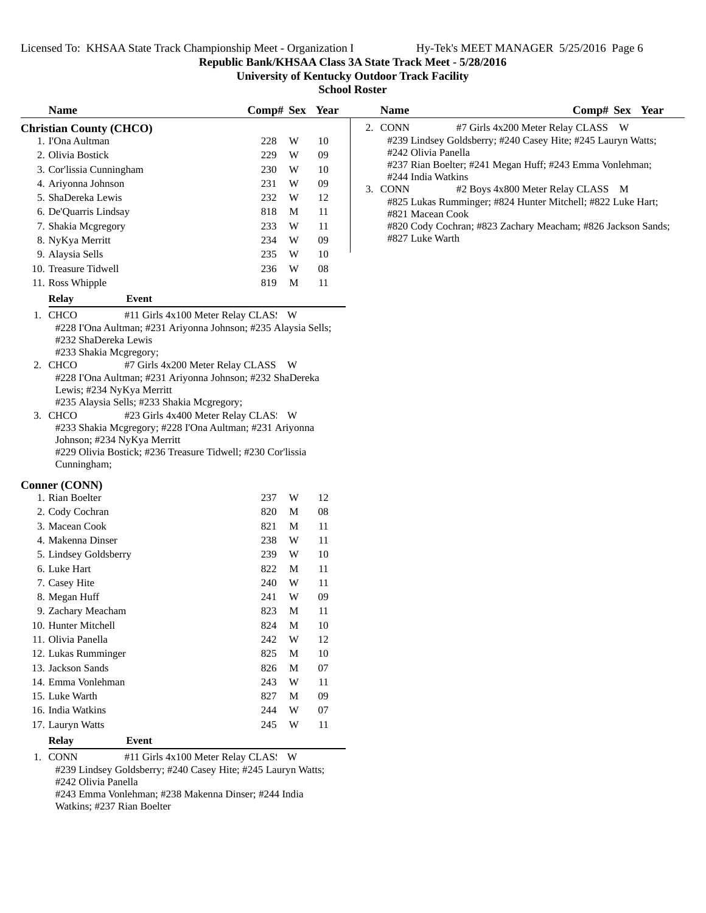**Republic Bank/KHSAA Class 3A State Track Meet - 5/28/2016**

**University of Kentucky Outdoor Track Facility**

| <b>School Roster</b>                                                    |                |   |    |                                                                                                  |  |  |  |  |
|-------------------------------------------------------------------------|----------------|---|----|--------------------------------------------------------------------------------------------------|--|--|--|--|
| <b>Name</b>                                                             | Comp# Sex Year |   |    | Comp# Sex Year<br><b>Name</b>                                                                    |  |  |  |  |
| <b>Christian County (CHCO)</b>                                          |                |   |    | 2. CONN<br>#7 Girls 4x200 Meter Relay CLASS W                                                    |  |  |  |  |
| 1. I'Ona Aultman                                                        | 228            | W | 10 | #239 Lindsey Goldsberry; #240 Casey Hite; #245 Lauryn Watts;                                     |  |  |  |  |
| 2. Olivia Bostick                                                       | 229            | W | 09 | #242 Olivia Panella                                                                              |  |  |  |  |
| 3. Cor'lissia Cunningham                                                | 230            | W | 10 | #237 Rian Boelter; #241 Megan Huff; #243 Emma Vonlehman;                                         |  |  |  |  |
| 4. Ariyonna Johnson                                                     | 231            | W | 09 | #244 India Watkins<br>3. CONN                                                                    |  |  |  |  |
| 5. ShaDereka Lewis                                                      | 232            | W | 12 | #2 Boys 4x800 Meter Relay CLASS M<br>#825 Lukas Rumminger; #824 Hunter Mitchell; #822 Luke Hart; |  |  |  |  |
| 6. De'Quarris Lindsay                                                   | 818            | M | 11 | #821 Macean Cook                                                                                 |  |  |  |  |
| 7. Shakia Mcgregory                                                     | 233            | W | 11 | #820 Cody Cochran; #823 Zachary Meacham; #826 Jackson Sands;                                     |  |  |  |  |
| 8. NyKya Merritt                                                        | 234            | W | 09 | #827 Luke Warth                                                                                  |  |  |  |  |
| 9. Alaysia Sells                                                        | 235            | W | 10 |                                                                                                  |  |  |  |  |
| 10. Treasure Tidwell                                                    | 236            | W | 08 |                                                                                                  |  |  |  |  |
| 11. Ross Whipple                                                        | 819            | M | 11 |                                                                                                  |  |  |  |  |
| <b>Relay</b><br>Event                                                   |                |   |    |                                                                                                  |  |  |  |  |
| 1. CHCO<br>#11 Girls 4x100 Meter Relay CLAS: W                          |                |   |    |                                                                                                  |  |  |  |  |
| #228 I'Ona Aultman; #231 Ariyonna Johnson; #235 Alaysia Sells;          |                |   |    |                                                                                                  |  |  |  |  |
| #232 ShaDereka Lewis                                                    |                |   |    |                                                                                                  |  |  |  |  |
| #233 Shakia Mcgregory;                                                  |                |   |    |                                                                                                  |  |  |  |  |
| 2. CHCO<br>#7 Girls 4x200 Meter Relay CLASS W                           |                |   |    |                                                                                                  |  |  |  |  |
| #228 I'Ona Aultman; #231 Ariyonna Johnson; #232 ShaDereka               |                |   |    |                                                                                                  |  |  |  |  |
| Lewis; #234 NyKya Merritt<br>#235 Alaysia Sells; #233 Shakia Mcgregory; |                |   |    |                                                                                                  |  |  |  |  |
| #23 Girls 4x400 Meter Relay CLAS: W<br>3. CHCO                          |                |   |    |                                                                                                  |  |  |  |  |
| #233 Shakia Mcgregory; #228 I'Ona Aultman; #231 Ariyonna                |                |   |    |                                                                                                  |  |  |  |  |
| Johnson; #234 NyKya Merritt                                             |                |   |    |                                                                                                  |  |  |  |  |
| #229 Olivia Bostick; #236 Treasure Tidwell; #230 Cor'lissia             |                |   |    |                                                                                                  |  |  |  |  |
| Cunningham;                                                             |                |   |    |                                                                                                  |  |  |  |  |
| <b>Conner (CONN)</b>                                                    |                |   |    |                                                                                                  |  |  |  |  |
| 1. Rian Boelter                                                         | 237            | W | 12 |                                                                                                  |  |  |  |  |
| 2. Cody Cochran                                                         | 820            | M | 08 |                                                                                                  |  |  |  |  |
| 3. Macean Cook                                                          | 821            | M | 11 |                                                                                                  |  |  |  |  |
| 4. Makenna Dinser                                                       | 238            | W | 11 |                                                                                                  |  |  |  |  |
| 5. Lindsey Goldsberry                                                   | 239            | W | 10 |                                                                                                  |  |  |  |  |
| 6. Luke Hart                                                            | 822            | M | 11 |                                                                                                  |  |  |  |  |
| 7. Casey Hite                                                           | 240            | W | 11 |                                                                                                  |  |  |  |  |
| 8. Megan Huff                                                           | 241            | W | 09 |                                                                                                  |  |  |  |  |
| 9. Zachary Meacham                                                      | 823            | M | 11 |                                                                                                  |  |  |  |  |
| 10. Hunter Mitchell                                                     | 824            | M | 10 |                                                                                                  |  |  |  |  |
| 11. Olivia Panella                                                      | 242            | W | 12 |                                                                                                  |  |  |  |  |
| 12. Lukas Rumminger                                                     | 825            | M | 10 |                                                                                                  |  |  |  |  |
| 13. Jackson Sands                                                       | 826            | M | 07 |                                                                                                  |  |  |  |  |
| 14. Emma Vonlehman                                                      | 243            | W | 11 |                                                                                                  |  |  |  |  |
| 15. Luke Warth                                                          | 827            | M | 09 |                                                                                                  |  |  |  |  |
| 16. India Watkins                                                       | 244            | W | 07 |                                                                                                  |  |  |  |  |

1. CONN #11 Girls 4x100 Meter Relay CLAS: W #239 Lindsey Goldsberry; #240 Casey Hite; #245 Lauryn Watts;

17. Lauryn Watts 245 W 11

#242 Olivia Panella

**Relay Event**

#243 Emma Vonlehman; #238 Makenna Dinser; #244 India Watkins; #237 Rian Boelter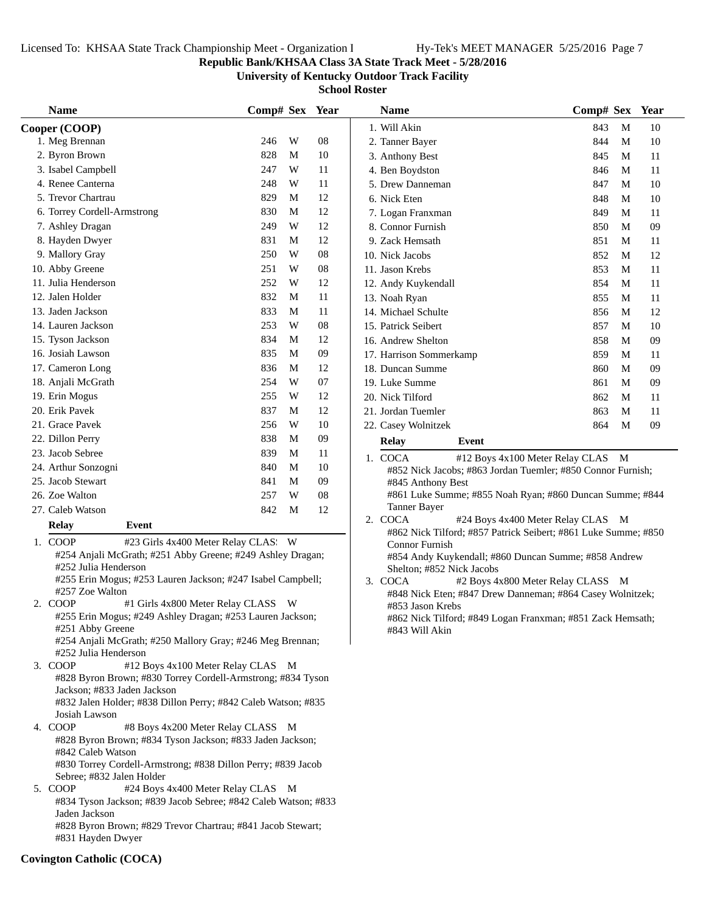**Republic Bank/KHSAA Class 3A State Track Meet - 5/28/2016**

**University of Kentucky Outdoor Track Facility**

**School Roster**

| <b>Name</b>                                                                                                                                                 | Comp# Sex Year |    |    | <b>Name</b>                                                                       | Comp# Sex Year                    |    |
|-------------------------------------------------------------------------------------------------------------------------------------------------------------|----------------|----|----|-----------------------------------------------------------------------------------|-----------------------------------|----|
| Cooper (COOP)                                                                                                                                               |                |    |    | 1. Will Akin                                                                      | M<br>843                          | 10 |
| 1. Meg Brennan                                                                                                                                              | W<br>246       | 08 |    | 2. Tanner Bayer                                                                   | 844<br>M                          | 10 |
| 2. Byron Brown                                                                                                                                              | 828<br>M       |    | 10 | 3. Anthony Best                                                                   | 845<br>M                          | 11 |
| 3. Isabel Campbell                                                                                                                                          | W<br>247       |    | 11 | 4. Ben Boydston                                                                   | 846<br>M                          | 11 |
| 4. Renee Canterna                                                                                                                                           | W<br>248       | 11 |    | 5. Drew Danneman                                                                  | 847<br>M                          | 10 |
| 5. Trevor Chartrau                                                                                                                                          | M<br>829       |    | 12 | 6. Nick Eten                                                                      | 848<br>M                          | 10 |
| 6. Torrey Cordell-Armstrong                                                                                                                                 | 830<br>M       |    | 12 | 7. Logan Franxman                                                                 | 849<br>M                          | 11 |
| 7. Ashley Dragan                                                                                                                                            | W<br>249       |    | 12 | 8. Connor Furnish                                                                 | 850<br>M                          | 09 |
| 8. Hayden Dwyer                                                                                                                                             | 831<br>M       | 12 |    | 9. Zack Hemsath                                                                   | 851<br>M                          | 11 |
| 9. Mallory Gray                                                                                                                                             | W<br>250       | 08 |    | 10. Nick Jacobs                                                                   | 852<br>M                          | 12 |
| 10. Abby Greene                                                                                                                                             | W<br>251       | 08 |    | 11. Jason Krebs                                                                   | 853<br>M                          | 11 |
| 11. Julia Henderson                                                                                                                                         | W<br>252       |    | 12 | 12. Andy Kuykendall                                                               | 854<br>M                          | 11 |
| 12. Jalen Holder                                                                                                                                            | 832<br>M       | 11 |    | 13. Noah Ryan                                                                     | 855<br>M                          | 11 |
| 13. Jaden Jackson                                                                                                                                           | 833<br>M       | 11 |    | 14. Michael Schulte                                                               | 856<br>M                          | 12 |
| 14. Lauren Jackson                                                                                                                                          | 253<br>W       | 08 |    | 15. Patrick Seibert                                                               | 857<br>М                          | 10 |
| 15. Tyson Jackson                                                                                                                                           | 834<br>M       | 12 |    | 16. Andrew Shelton                                                                | 858<br>M                          | 09 |
| 16. Josiah Lawson                                                                                                                                           | 835<br>M       | 09 |    | 17. Harrison Sommerkamp                                                           | 859<br>M                          | 11 |
| 17. Cameron Long                                                                                                                                            | 836<br>M       |    | 12 | 18. Duncan Summe                                                                  | 860<br>M                          | 09 |
| 18. Anjali McGrath                                                                                                                                          | W<br>254       | 07 |    | 19. Luke Summe                                                                    | 861<br>M                          | 09 |
| 19. Erin Mogus                                                                                                                                              | W<br>255       |    | 12 | 20. Nick Tilford                                                                  | 862<br>M                          | 11 |
| 20. Erik Pavek                                                                                                                                              | 837<br>M       |    | 12 | 21. Jordan Tuemler                                                                | 863<br>M                          | 11 |
| 21. Grace Pavek                                                                                                                                             | W<br>256       |    | 10 | 22. Casey Wolnitzek                                                               | 864<br>M                          | 09 |
| 22. Dillon Perry                                                                                                                                            | M<br>838       | 09 |    | <b>Relay</b><br>Event                                                             |                                   |    |
| 23. Jacob Sebree                                                                                                                                            | 839<br>M       | 11 |    | 1. COCA                                                                           | #12 Boys 4x100 Meter Relay CLAS M |    |
| 24. Arthur Sonzogni                                                                                                                                         | M<br>840       |    | 10 | #852 Nick Jacobs; #863 Jordan Tuemler; #850 Connor Furnish;                       |                                   |    |
| 25. Jacob Stewart                                                                                                                                           | M<br>841       | 09 |    | #845 Anthony Best                                                                 |                                   |    |
| 26. Zoe Walton                                                                                                                                              | W<br>257       | 08 |    | #861 Luke Summe; #855 Noah Ryan; #860 Duncan Summe; #844                          |                                   |    |
| 27. Caleb Watson                                                                                                                                            | 842<br>M       | 12 |    | Tanner Bayer                                                                      |                                   |    |
| Event<br><b>Relay</b>                                                                                                                                       |                |    |    | 2. COCA                                                                           | #24 Boys 4x400 Meter Relay CLAS M |    |
| 1. COOP<br>#23 Girls 4x400 Meter Relay CLAS: W                                                                                                              |                |    |    | #862 Nick Tilford; #857 Patrick Seibert; #861 Luke Summe; #850<br>Connor Furnish  |                                   |    |
| #254 Anjali McGrath; #251 Abby Greene; #249 Ashley Dragan;<br>#252 Julia Henderson                                                                          |                |    |    | #854 Andy Kuykendall; #860 Duncan Summe; #858 Andrew<br>Shelton; #852 Nick Jacobs |                                   |    |
| #255 Erin Mogus; #253 Lauren Jackson; #247 Isabel Campbell;<br>#257 Zoe Walton                                                                              |                |    |    | 3. COCA                                                                           | #2 Boys 4x800 Meter Relay CLASS M |    |
| 2. COOP<br>#1 Girls 4x800 Meter Relay CLASS W                                                                                                               |                |    |    | #848 Nick Eten; #847 Drew Danneman; #864 Casey Wolnitzek;                         |                                   |    |
| #255 Erin Mogus; #249 Ashley Dragan; #253 Lauren Jackson;                                                                                                   |                |    |    | #853 Jason Krebs<br>#862 Nick Tilford; #849 Logan Franxman; #851 Zack Hemsath;    |                                   |    |
| #251 Abby Greene                                                                                                                                            |                |    |    | #843 Will Akin                                                                    |                                   |    |
| #254 Anjali McGrath; #250 Mallory Gray; #246 Meg Brennan;                                                                                                   |                |    |    |                                                                                   |                                   |    |
| #252 Julia Henderson                                                                                                                                        |                |    |    |                                                                                   |                                   |    |
| 3. COOP<br>#12 Boys 4x100 Meter Relay CLAS M                                                                                                                |                |    |    |                                                                                   |                                   |    |
| #828 Byron Brown; #830 Torrey Cordell-Armstrong; #834 Tyson<br>Jackson; #833 Jaden Jackson<br>#832 Jalen Holder; #838 Dillon Perry; #842 Caleb Watson; #835 |                |    |    |                                                                                   |                                   |    |
| Josiah Lawson                                                                                                                                               |                |    |    |                                                                                   |                                   |    |
| 4. COOP<br>#8 Boys 4x200 Meter Relay CLASS M<br>#828 Byron Brown; #834 Tyson Jackson; #833 Jaden Jackson;                                                   |                |    |    |                                                                                   |                                   |    |
| #842 Caleb Watson<br>#830 Torrey Cordell-Armstrong; #838 Dillon Perry; #839 Jacob                                                                           |                |    |    |                                                                                   |                                   |    |
| Sebree; #832 Jalen Holder                                                                                                                                   |                |    |    |                                                                                   |                                   |    |
| 5. COOP<br>#24 Boys 4x400 Meter Relay CLAS M<br>#834 Tyson Jackson; #839 Jacob Sebree; #842 Caleb Watson; #833                                              |                |    |    |                                                                                   |                                   |    |
| Jaden Jackson                                                                                                                                               |                |    |    |                                                                                   |                                   |    |
| #828 Byron Brown; #829 Trevor Chartrau; #841 Jacob Stewart;                                                                                                 |                |    |    |                                                                                   |                                   |    |
| #831 Hayden Dwyer                                                                                                                                           |                |    |    |                                                                                   |                                   |    |

## **Covington Catholic (COCA)**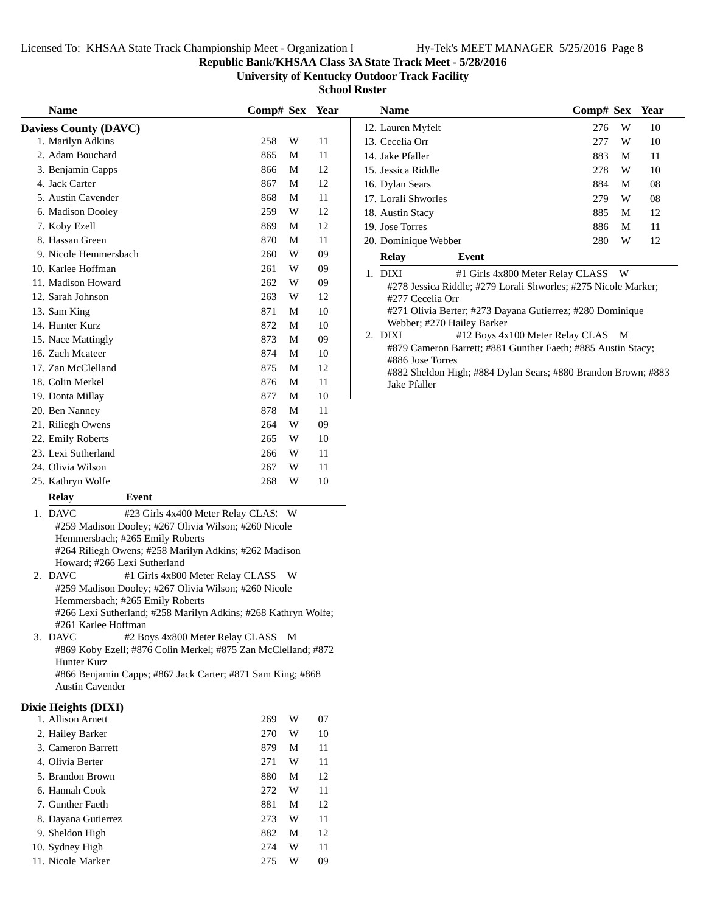#### **Republic Bank/KHSAA Class 3A State Track Meet - 5/28/2016**

**University of Kentucky Outdoor Track Facility**

**School Roster**

| <b>Name</b>                  |       | Comp# Sex |   | Year |
|------------------------------|-------|-----------|---|------|
| <b>Daviess County (DAVC)</b> |       |           |   |      |
| 1. Marilyn Adkins            |       | 258       | W | 11   |
| 2. Adam Bouchard             |       | 865       | М | 11   |
| 3. Benjamin Capps            |       | 866       | M | 12   |
| 4. Jack Carter               |       | 867       | M | 12   |
| 5. Austin Cavender           |       | 868       | М | 11   |
| 6. Madison Dooley            |       | 259       | W | 12   |
| 7. Koby Ezell                |       | 869       | M | 12   |
| 8. Hassan Green              |       | 870       | M | 11   |
| 9. Nicole Hemmersbach        |       | 260       | W | 09   |
| 10. Karlee Hoffman           |       | 261       | W | 09   |
| 11. Madison Howard           |       | 262       | W | 09   |
| 12. Sarah Johnson            |       | 263       | W | 12.  |
| 13. Sam King                 |       | 871       | M | 10   |
| 14. Hunter Kurz              |       | 872       | M | 10   |
| 15. Nace Mattingly           |       | 873       | М | 09   |
| 16. Zach Mcateer             |       | 874       | M | 10   |
| 17. Zan McClelland           |       | 875       | М | 12   |
| 18. Colin Merkel             |       | 876       | M | 11   |
| 19. Donta Millay             |       | 877       | M | 10   |
| 20. Ben Nanney               |       | 878       | М | 11   |
| 21. Riliegh Owens            |       | 264       | W | 09   |
| 22. Emily Roberts            |       | 265       | W | 10   |
| 23. Lexi Sutherland          |       | 266       | W | 11   |
| 24. Olivia Wilson            |       | 267       | W | 11   |
| 25. Kathryn Wolfe            |       | 268       | W | 10   |
| <b>Relay</b>                 | Event |           |   |      |

1. DAVC #23 Girls 4x400 Meter Relay CLAS: W #259 Madison Dooley; #267 Olivia Wilson; #260 Nicole Hemmersbach; #265 Emily Roberts #264 Riliegh Owens; #258 Marilyn Adkins; #262 Madison Howard; #266 Lexi Sutherland

- 2. DAVC #1 Girls 4x800 Meter Relay CLASS W #259 Madison Dooley; #267 Olivia Wilson; #260 Nicole Hemmersbach; #265 Emily Roberts #266 Lexi Sutherland; #258 Marilyn Adkins; #268 Kathryn Wolfe; #261 Karlee Hoffman
- 3. DAVC #2 Boys 4x800 Meter Relay CLASS M #869 Koby Ezell; #876 Colin Merkel; #875 Zan McClelland; #872 Hunter Kurz

#866 Benjamin Capps; #867 Jack Carter; #871 Sam King; #868 Austin Cavender

## **Dixie Heights (DIXI)**

| 1. Allison Arnett   | 269 | W | 07 |
|---------------------|-----|---|----|
| 2. Hailey Barker    | 270 | W | 10 |
| 3. Cameron Barrett  | 879 | М | 11 |
| 4. Olivia Berter    | 271 | W | 11 |
| 5. Brandon Brown    | 880 | М | 12 |
| 6. Hannah Cook      | 272 | W | 11 |
| 7. Gunther Faeth    | 881 | М | 12 |
| 8. Dayana Gutierrez | 273 | W | 11 |
| 9. Sheldon High     | 882 | М | 12 |
| 10. Sydney High     | 274 | W | 11 |
| 11. Nicole Marker   | 275 | W | 09 |

| 12. Lauren Myfelt<br>ss County (DAVC)                                                                              | 276 | W | 10 |
|--------------------------------------------------------------------------------------------------------------------|-----|---|----|
| 258<br>W<br>Marilyn Adkins<br>11<br>13. Cecelia Orr                                                                | 277 | W | 10 |
| Adam Bouchard<br>865<br>M<br>11<br>14. Jake Pfaller                                                                | 883 | M | 11 |
| Benjamin Capps<br>12<br>866<br>M<br>15. Jessica Riddle                                                             | 278 | W | 10 |
| Jack Carter<br>867<br>12<br>M<br>16. Dylan Sears                                                                   | 884 | M | 08 |
| <b>Austin Cavender</b><br>868<br>11<br>M<br>17. Lorali Shworles                                                    | 279 | W | 08 |
| <b>Madison Dooley</b><br>259<br>W<br>12<br>18. Austin Stacy                                                        | 885 | M | 12 |
| Koby Ezell<br>869<br>M<br>12<br>19. Jose Torres                                                                    | 886 | M | 11 |
| Hassan Green<br>870<br>M<br>11<br>20. Dominique Webber                                                             | 280 | W | 12 |
| Nicole Hemmersbach<br>260<br>09<br>W<br>Relay<br>Event                                                             |     |   |    |
| Karlee Hoffman<br>W<br>09<br>261<br>1. DIXI<br>#1 Girls 4x800 Meter Relay CLASS W                                  |     |   |    |
| Madison Howard<br>W<br>262<br>09<br>#278 Jessica Riddle; #279 Lorali Shworles; #275 Nicole Marker;                 |     |   |    |
| Sarah Johnson<br>12<br>263<br>W<br>#277 Cecelia Orr                                                                |     |   |    |
| #271 Olivia Berter; #273 Dayana Gutierrez; #280 Dominique<br>871<br>Sam King<br>10<br>M                            |     |   |    |
| Webber; #270 Hailey Barker<br>872<br>Hunter Kurz<br>M<br>10                                                        |     |   |    |
| #12 Boys 4x100 Meter Relay CLAS M<br>2. DIXI<br>873<br><b>Nace Mattingly</b><br>M<br>09                            |     |   |    |
| #879 Cameron Barrett; #881 Gunther Faeth; #885 Austin Stacy;<br>Zach Mcateer<br>874<br>10<br>M<br>#886 Jose Torres |     |   |    |
| Zan McClelland<br>875<br>M<br>12<br>#882 Sheldon High; #884 Dylan Sears; #880 Brandon Brown; #883                  |     |   |    |
| Colin Merkel<br>876<br>11<br>M<br>Jake Pfaller                                                                     |     |   |    |
| 10<br>Donta Millay<br>877<br>M                                                                                     |     |   |    |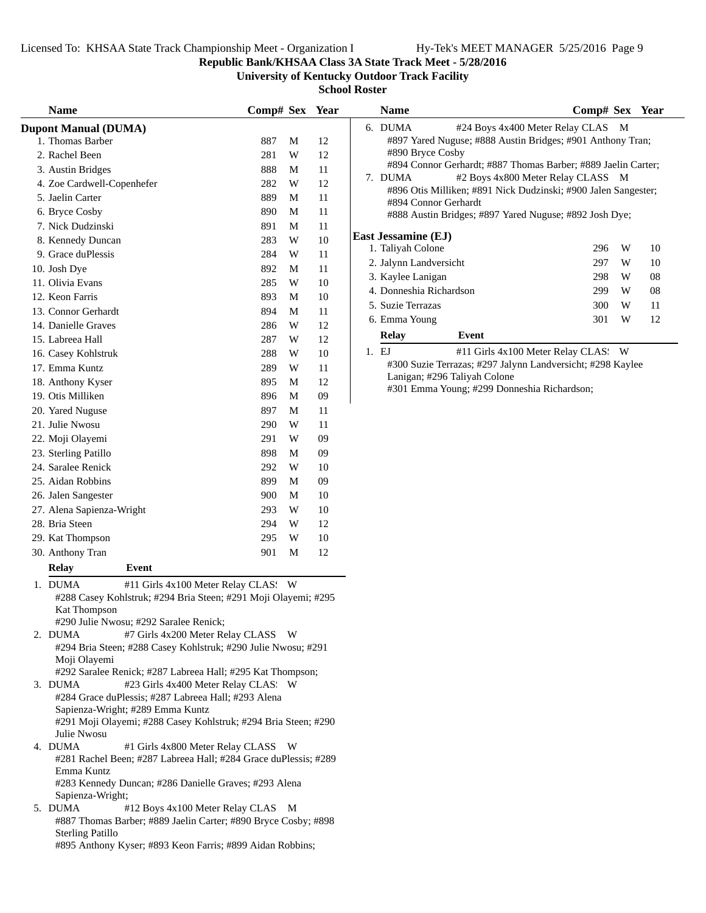**Republic Bank/KHSAA Class 3A State Track Meet - 5/28/2016**

**University of Kentucky Outdoor Track Facility**

**School Roster**

| <b>Name</b>                                                                   | Comp# Sex Year |                         |    |       | <b>Name</b>                |                                                                | Comp# Sex Year |   |    |
|-------------------------------------------------------------------------------|----------------|-------------------------|----|-------|----------------------------|----------------------------------------------------------------|----------------|---|----|
| <b>Dupont Manual (DUMA)</b>                                                   |                |                         |    |       | 6. DUMA                    | #24 Boys 4x400 Meter Relay CLAS M                              |                |   |    |
| 1. Thomas Barber                                                              | 887            | M                       | 12 |       |                            | #897 Yared Nuguse; #888 Austin Bridges; #901 Anthony Tran;     |                |   |    |
| 2. Rachel Been                                                                | 281            | W                       | 12 |       | #890 Bryce Cosby           |                                                                |                |   |    |
| 3. Austin Bridges                                                             | 888            | M                       | 11 |       |                            | #894 Connor Gerhardt; #887 Thomas Barber; #889 Jaelin Carter;  |                |   |    |
| 4. Zoe Cardwell-Copenhefer                                                    | 282            | W                       | 12 |       | 7. DUMA                    | #2 Boys 4x800 Meter Relay CLASS M                              |                |   |    |
| 5. Jaelin Carter                                                              | 889            | M                       | 11 |       | #894 Connor Gerhardt       | #896 Otis Milliken; #891 Nick Dudzinski; #900 Jalen Sangester; |                |   |    |
| 6. Bryce Cosby                                                                | 890            | M                       | 11 |       |                            | #888 Austin Bridges; #897 Yared Nuguse; #892 Josh Dye;         |                |   |    |
| 7. Nick Dudzinski                                                             | 891            | M                       | 11 |       |                            |                                                                |                |   |    |
| 8. Kennedy Duncan                                                             | 283            | W                       | 10 |       | <b>East Jessamine (EJ)</b> |                                                                |                |   |    |
| 9. Grace duPlessis                                                            | 284            | W                       | 11 |       | 1. Taliyah Colone          |                                                                | 296            | W | 10 |
| 10. Josh Dye                                                                  | 892            | M                       | 11 |       | 2. Jalynn Landversicht     |                                                                | 297            | W | 10 |
| 11. Olivia Evans                                                              | 285            | W                       | 10 |       | 3. Kaylee Lanigan          |                                                                | 298            | W | 08 |
| 12. Keon Farris                                                               | 893            | M                       | 10 |       | 4. Donneshia Richardson    |                                                                | 299            | W | 08 |
| 13. Connor Gerhardt                                                           | 894            | M                       | 11 |       | 5. Suzie Terrazas          |                                                                | 300            | W | 11 |
| 14. Danielle Graves                                                           | 286            | W                       | 12 |       | 6. Emma Young              |                                                                | 301            | W | 12 |
| 15. Labreea Hall                                                              | 287            | W                       | 12 |       | <b>Relay</b>               | Event                                                          |                |   |    |
|                                                                               | 288            | W                       | 10 | 1. EJ |                            | #11 Girls 4x100 Meter Relay CLAS: W                            |                |   |    |
| 16. Casey Kohlstruk<br>17. Emma Kuntz                                         |                |                         |    |       |                            | #300 Suzie Terrazas; #297 Jalynn Landversicht; #298 Kaylee     |                |   |    |
|                                                                               | 289            | $\ensuremath{\text{W}}$ | 11 |       |                            | Lanigan; #296 Taliyah Colone                                   |                |   |    |
| 18. Anthony Kyser                                                             | 895            | M                       | 12 |       |                            | #301 Emma Young; #299 Donneshia Richardson;                    |                |   |    |
| 19. Otis Milliken                                                             | 896            | $\mathbf M$             | 09 |       |                            |                                                                |                |   |    |
| 20. Yared Nuguse                                                              | 897            | M                       | 11 |       |                            |                                                                |                |   |    |
| 21. Julie Nwosu                                                               | 290            | W                       | 11 |       |                            |                                                                |                |   |    |
| 22. Moji Olayemi                                                              | 291            | W                       | 09 |       |                            |                                                                |                |   |    |
| 23. Sterling Patillo                                                          | 898            | M                       | 09 |       |                            |                                                                |                |   |    |
| 24. Saralee Renick                                                            | 292            | W                       | 10 |       |                            |                                                                |                |   |    |
| 25. Aidan Robbins                                                             | 899            | M                       | 09 |       |                            |                                                                |                |   |    |
| 26. Jalen Sangester                                                           | 900            | M                       | 10 |       |                            |                                                                |                |   |    |
| 27. Alena Sapienza-Wright                                                     | 293            | W                       | 10 |       |                            |                                                                |                |   |    |
| 28. Bria Steen                                                                | 294            | W                       | 12 |       |                            |                                                                |                |   |    |
| 29. Kat Thompson                                                              | 295            | W                       | 10 |       |                            |                                                                |                |   |    |
| 30. Anthony Tran                                                              | 901            | M                       | 12 |       |                            |                                                                |                |   |    |
| <b>Relay</b><br>Event                                                         |                |                         |    |       |                            |                                                                |                |   |    |
| 1. DUMA<br>#11 Girls 4x100 Meter Relay CLAS: W                                |                |                         |    |       |                            |                                                                |                |   |    |
| #288 Casey Kohlstruk; #294 Bria Steen; #291 Moji Olayemi; #295                |                |                         |    |       |                            |                                                                |                |   |    |
| <b>Kat Thompson</b>                                                           |                |                         |    |       |                            |                                                                |                |   |    |
| #290 Julie Nwosu; #292 Saralee Renick;                                        |                |                         |    |       |                            |                                                                |                |   |    |
| #7 Girls 4x200 Meter Relay CLASS W<br>2. DUMA                                 |                |                         |    |       |                            |                                                                |                |   |    |
| #294 Bria Steen; #288 Casey Kohlstruk; #290 Julie Nwosu; #291                 |                |                         |    |       |                            |                                                                |                |   |    |
| Moji Olayemi                                                                  |                |                         |    |       |                            |                                                                |                |   |    |
| #292 Saralee Renick; #287 Labreea Hall; #295 Kat Thompson;                    |                |                         |    |       |                            |                                                                |                |   |    |
| 3. DUMA<br>#23 Girls 4x400 Meter Relay CLAS: W                                |                |                         |    |       |                            |                                                                |                |   |    |
| #284 Grace duPlessis; #287 Labreea Hall; #293 Alena                           |                |                         |    |       |                            |                                                                |                |   |    |
| Sapienza-Wright; #289 Emma Kuntz                                              |                |                         |    |       |                            |                                                                |                |   |    |
| #291 Moji Olayemi; #288 Casey Kohlstruk; #294 Bria Steen; #290<br>Julie Nwosu |                |                         |    |       |                            |                                                                |                |   |    |
| 4. DUMA<br>#1 Girls 4x800 Meter Relay CLASS W                                 |                |                         |    |       |                            |                                                                |                |   |    |
| #281 Rachel Been; #287 Labreea Hall; #284 Grace duPlessis; #289               |                |                         |    |       |                            |                                                                |                |   |    |
| Emma Kuntz                                                                    |                |                         |    |       |                            |                                                                |                |   |    |
| #283 Kennedy Duncan; #286 Danielle Graves; #293 Alena                         |                |                         |    |       |                            |                                                                |                |   |    |
| Sapienza-Wright;                                                              |                |                         |    |       |                            |                                                                |                |   |    |
| #12 Boys 4x100 Meter Relay CLAS M<br>5. DUMA                                  |                |                         |    |       |                            |                                                                |                |   |    |
| #887 Thomas Barber; #889 Jaelin Carter; #890 Bryce Cosby; #898                |                |                         |    |       |                            |                                                                |                |   |    |
| <b>Sterling Patillo</b>                                                       |                |                         |    |       |                            |                                                                |                |   |    |

#895 Anthony Kyser; #893 Keon Farris; #899 Aidan Robbins;

|    | <b>Name</b>             |                                                                | Comp# Sex Year |     |    |
|----|-------------------------|----------------------------------------------------------------|----------------|-----|----|
|    | 6. DUMA                 | #24 Boys 4x400 Meter Relay CLAS M                              |                |     |    |
|    |                         | #897 Yared Nuguse; #888 Austin Bridges; #901 Anthony Tran;     |                |     |    |
|    | #890 Bryce Cosby        |                                                                |                |     |    |
|    |                         | #894 Connor Gerhardt; #887 Thomas Barber; #889 Jaelin Carter;  |                |     |    |
|    | 7. DUMA                 | #2 Boys 4x800 Meter Relay CLASS M                              |                |     |    |
|    |                         | #896 Otis Milliken; #891 Nick Dudzinski; #900 Jalen Sangester; |                |     |    |
|    | #894 Connor Gerhardt    |                                                                |                |     |    |
|    |                         | #888 Austin Bridges; #897 Yared Nuguse; #892 Josh Dye;         |                |     |    |
|    | East Jessamine (EJ)     |                                                                |                |     |    |
|    | 1. Taliyah Colone       |                                                                | 296            | W   | 10 |
|    | 2. Jalynn Landversicht  |                                                                | 297            | W   | 10 |
|    | 3. Kaylee Lanigan       |                                                                | 298            | W   | 08 |
|    | 4. Donneshia Richardson |                                                                | 299            | W   | 08 |
|    | 5. Suzie Terrazas       |                                                                | 300            | W   | 11 |
|    | 6. Emma Young           |                                                                | 301            | W   | 12 |
|    | <b>Relay</b>            | Event                                                          |                |     |    |
| 1. | - EJ                    | #11 Girls 4x100 Meter Relay CLAS:                              |                | - W |    |
|    |                         | #300 Suzie Terrazas; #297 Jalynn Landversicht; #298 Kaylee     |                |     |    |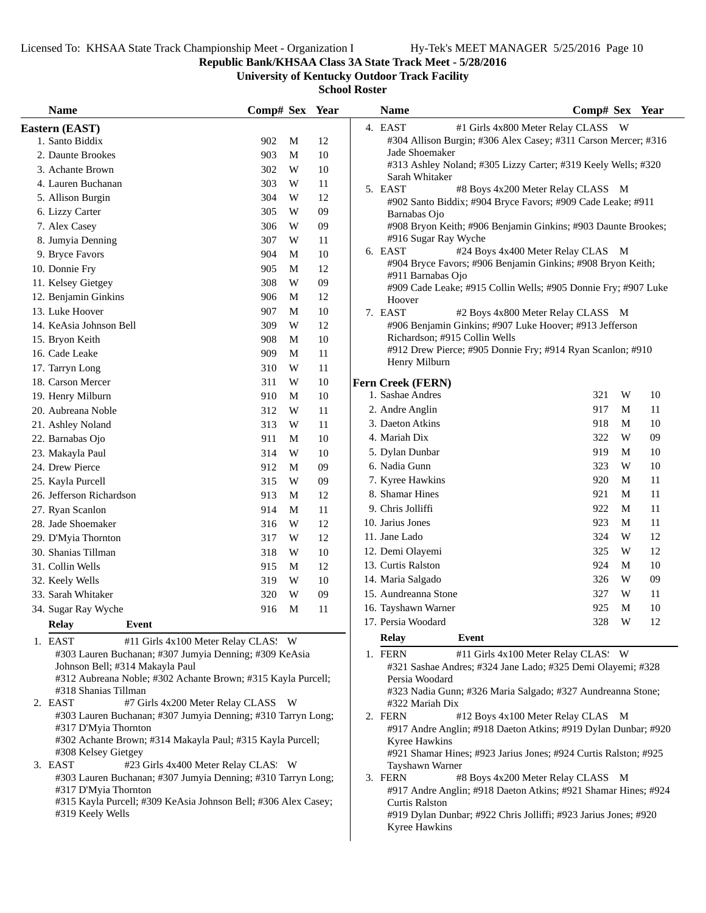**Republic Bank/KHSAA Class 3A State Track Meet - 5/28/2016**

**University of Kentucky Outdoor Track Facility**

|     |   |                                                                                                                                                                                         | 4. EAST<br>#1 Girls 4x800 Meter Relay CLASS W                                                                                                                                                                                                                                                                                                                                          |                                                                                                                                                                                                                                                                                                                                                                                                                                                                                                                                                                                                                                                                                                                                                                                                                                                                                                                                                                                                                  |
|-----|---|-----------------------------------------------------------------------------------------------------------------------------------------------------------------------------------------|----------------------------------------------------------------------------------------------------------------------------------------------------------------------------------------------------------------------------------------------------------------------------------------------------------------------------------------------------------------------------------------|------------------------------------------------------------------------------------------------------------------------------------------------------------------------------------------------------------------------------------------------------------------------------------------------------------------------------------------------------------------------------------------------------------------------------------------------------------------------------------------------------------------------------------------------------------------------------------------------------------------------------------------------------------------------------------------------------------------------------------------------------------------------------------------------------------------------------------------------------------------------------------------------------------------------------------------------------------------------------------------------------------------|
|     |   |                                                                                                                                                                                         |                                                                                                                                                                                                                                                                                                                                                                                        |                                                                                                                                                                                                                                                                                                                                                                                                                                                                                                                                                                                                                                                                                                                                                                                                                                                                                                                                                                                                                  |
| 902 | M | 12                                                                                                                                                                                      | #304 Allison Burgin; #306 Alex Casey; #311 Carson Mercer; #316                                                                                                                                                                                                                                                                                                                         |                                                                                                                                                                                                                                                                                                                                                                                                                                                                                                                                                                                                                                                                                                                                                                                                                                                                                                                                                                                                                  |
| 903 | M | 10                                                                                                                                                                                      | Jade Shoemaker                                                                                                                                                                                                                                                                                                                                                                         |                                                                                                                                                                                                                                                                                                                                                                                                                                                                                                                                                                                                                                                                                                                                                                                                                                                                                                                                                                                                                  |
| 302 | W | 10                                                                                                                                                                                      |                                                                                                                                                                                                                                                                                                                                                                                        |                                                                                                                                                                                                                                                                                                                                                                                                                                                                                                                                                                                                                                                                                                                                                                                                                                                                                                                                                                                                                  |
| 303 | W | 11                                                                                                                                                                                      |                                                                                                                                                                                                                                                                                                                                                                                        |                                                                                                                                                                                                                                                                                                                                                                                                                                                                                                                                                                                                                                                                                                                                                                                                                                                                                                                                                                                                                  |
| 304 | W | 12                                                                                                                                                                                      |                                                                                                                                                                                                                                                                                                                                                                                        |                                                                                                                                                                                                                                                                                                                                                                                                                                                                                                                                                                                                                                                                                                                                                                                                                                                                                                                                                                                                                  |
| 305 | W | 09                                                                                                                                                                                      |                                                                                                                                                                                                                                                                                                                                                                                        |                                                                                                                                                                                                                                                                                                                                                                                                                                                                                                                                                                                                                                                                                                                                                                                                                                                                                                                                                                                                                  |
| 306 | W | 09                                                                                                                                                                                      |                                                                                                                                                                                                                                                                                                                                                                                        |                                                                                                                                                                                                                                                                                                                                                                                                                                                                                                                                                                                                                                                                                                                                                                                                                                                                                                                                                                                                                  |
| 307 | W | 11                                                                                                                                                                                      | #916 Sugar Ray Wyche                                                                                                                                                                                                                                                                                                                                                                   |                                                                                                                                                                                                                                                                                                                                                                                                                                                                                                                                                                                                                                                                                                                                                                                                                                                                                                                                                                                                                  |
| 904 | M | 10                                                                                                                                                                                      |                                                                                                                                                                                                                                                                                                                                                                                        | #24 Boys 4x400 Meter Relay CLAS M                                                                                                                                                                                                                                                                                                                                                                                                                                                                                                                                                                                                                                                                                                                                                                                                                                                                                                                                                                                |
| 905 | M | 12                                                                                                                                                                                      |                                                                                                                                                                                                                                                                                                                                                                                        |                                                                                                                                                                                                                                                                                                                                                                                                                                                                                                                                                                                                                                                                                                                                                                                                                                                                                                                                                                                                                  |
| 308 | W | 09                                                                                                                                                                                      |                                                                                                                                                                                                                                                                                                                                                                                        |                                                                                                                                                                                                                                                                                                                                                                                                                                                                                                                                                                                                                                                                                                                                                                                                                                                                                                                                                                                                                  |
| 906 | M | 12                                                                                                                                                                                      |                                                                                                                                                                                                                                                                                                                                                                                        |                                                                                                                                                                                                                                                                                                                                                                                                                                                                                                                                                                                                                                                                                                                                                                                                                                                                                                                                                                                                                  |
| 907 | M | 10                                                                                                                                                                                      | 7. EAST                                                                                                                                                                                                                                                                                                                                                                                | #2 Boys 4x800 Meter Relay CLASS M                                                                                                                                                                                                                                                                                                                                                                                                                                                                                                                                                                                                                                                                                                                                                                                                                                                                                                                                                                                |
| 309 | W | 12                                                                                                                                                                                      |                                                                                                                                                                                                                                                                                                                                                                                        |                                                                                                                                                                                                                                                                                                                                                                                                                                                                                                                                                                                                                                                                                                                                                                                                                                                                                                                                                                                                                  |
| 908 | M | 10                                                                                                                                                                                      | Richardson; #915 Collin Wells                                                                                                                                                                                                                                                                                                                                                          |                                                                                                                                                                                                                                                                                                                                                                                                                                                                                                                                                                                                                                                                                                                                                                                                                                                                                                                                                                                                                  |
| 909 | M | 11                                                                                                                                                                                      |                                                                                                                                                                                                                                                                                                                                                                                        |                                                                                                                                                                                                                                                                                                                                                                                                                                                                                                                                                                                                                                                                                                                                                                                                                                                                                                                                                                                                                  |
| 310 | W | $11\,$                                                                                                                                                                                  |                                                                                                                                                                                                                                                                                                                                                                                        |                                                                                                                                                                                                                                                                                                                                                                                                                                                                                                                                                                                                                                                                                                                                                                                                                                                                                                                                                                                                                  |
| 311 | W | 10                                                                                                                                                                                      |                                                                                                                                                                                                                                                                                                                                                                                        |                                                                                                                                                                                                                                                                                                                                                                                                                                                                                                                                                                                                                                                                                                                                                                                                                                                                                                                                                                                                                  |
| 910 | M | 10                                                                                                                                                                                      | 1. Sashae Andres                                                                                                                                                                                                                                                                                                                                                                       | 321<br>W<br>10                                                                                                                                                                                                                                                                                                                                                                                                                                                                                                                                                                                                                                                                                                                                                                                                                                                                                                                                                                                                   |
| 312 | W | 11                                                                                                                                                                                      | 2. Andre Anglin                                                                                                                                                                                                                                                                                                                                                                        | 917<br>11<br>M                                                                                                                                                                                                                                                                                                                                                                                                                                                                                                                                                                                                                                                                                                                                                                                                                                                                                                                                                                                                   |
| 313 | W | 11                                                                                                                                                                                      | 3. Daeton Atkins                                                                                                                                                                                                                                                                                                                                                                       | 918<br>10<br>M                                                                                                                                                                                                                                                                                                                                                                                                                                                                                                                                                                                                                                                                                                                                                                                                                                                                                                                                                                                                   |
| 911 | M | 10                                                                                                                                                                                      | 4. Mariah Dix                                                                                                                                                                                                                                                                                                                                                                          | 322<br>W<br>09                                                                                                                                                                                                                                                                                                                                                                                                                                                                                                                                                                                                                                                                                                                                                                                                                                                                                                                                                                                                   |
| 314 | W | 10                                                                                                                                                                                      | 5. Dylan Dunbar                                                                                                                                                                                                                                                                                                                                                                        | 919<br>M<br>10                                                                                                                                                                                                                                                                                                                                                                                                                                                                                                                                                                                                                                                                                                                                                                                                                                                                                                                                                                                                   |
| 912 | M | 09                                                                                                                                                                                      | 6. Nadia Gunn                                                                                                                                                                                                                                                                                                                                                                          | 323<br>W<br>10                                                                                                                                                                                                                                                                                                                                                                                                                                                                                                                                                                                                                                                                                                                                                                                                                                                                                                                                                                                                   |
| 315 | W | 09                                                                                                                                                                                      | 7. Kyree Hawkins                                                                                                                                                                                                                                                                                                                                                                       | 920<br>M<br>11                                                                                                                                                                                                                                                                                                                                                                                                                                                                                                                                                                                                                                                                                                                                                                                                                                                                                                                                                                                                   |
| 913 | M | 12                                                                                                                                                                                      | 8. Shamar Hines                                                                                                                                                                                                                                                                                                                                                                        | 921<br>M<br>11                                                                                                                                                                                                                                                                                                                                                                                                                                                                                                                                                                                                                                                                                                                                                                                                                                                                                                                                                                                                   |
| 914 | M | $11\,$                                                                                                                                                                                  | 9. Chris Jolliffi                                                                                                                                                                                                                                                                                                                                                                      | 922<br>M<br>11                                                                                                                                                                                                                                                                                                                                                                                                                                                                                                                                                                                                                                                                                                                                                                                                                                                                                                                                                                                                   |
| 316 | W | 12                                                                                                                                                                                      | 10. Jarius Jones                                                                                                                                                                                                                                                                                                                                                                       | 923<br>M<br>11                                                                                                                                                                                                                                                                                                                                                                                                                                                                                                                                                                                                                                                                                                                                                                                                                                                                                                                                                                                                   |
| 317 | W | 12                                                                                                                                                                                      | 11. Jane Lado                                                                                                                                                                                                                                                                                                                                                                          | 12<br>324<br>W                                                                                                                                                                                                                                                                                                                                                                                                                                                                                                                                                                                                                                                                                                                                                                                                                                                                                                                                                                                                   |
| 318 | W | 10                                                                                                                                                                                      | 12. Demi Olayemi                                                                                                                                                                                                                                                                                                                                                                       | W<br>12<br>325                                                                                                                                                                                                                                                                                                                                                                                                                                                                                                                                                                                                                                                                                                                                                                                                                                                                                                                                                                                                   |
| 915 | M | 12                                                                                                                                                                                      | 13. Curtis Ralston                                                                                                                                                                                                                                                                                                                                                                     | 924<br>M<br>10                                                                                                                                                                                                                                                                                                                                                                                                                                                                                                                                                                                                                                                                                                                                                                                                                                                                                                                                                                                                   |
| 319 | W | 10                                                                                                                                                                                      | 14. Maria Salgado                                                                                                                                                                                                                                                                                                                                                                      | W<br>09<br>326                                                                                                                                                                                                                                                                                                                                                                                                                                                                                                                                                                                                                                                                                                                                                                                                                                                                                                                                                                                                   |
| 320 | W | 09                                                                                                                                                                                      | 15. Aundreanna Stone                                                                                                                                                                                                                                                                                                                                                                   | W<br>11<br>327                                                                                                                                                                                                                                                                                                                                                                                                                                                                                                                                                                                                                                                                                                                                                                                                                                                                                                                                                                                                   |
| 916 |   | 11                                                                                                                                                                                      | 16. Tayshawn Warner                                                                                                                                                                                                                                                                                                                                                                    | M<br>925<br>10                                                                                                                                                                                                                                                                                                                                                                                                                                                                                                                                                                                                                                                                                                                                                                                                                                                                                                                                                                                                   |
|     |   |                                                                                                                                                                                         | 17. Persia Woodard                                                                                                                                                                                                                                                                                                                                                                     | 328 W<br>12                                                                                                                                                                                                                                                                                                                                                                                                                                                                                                                                                                                                                                                                                                                                                                                                                                                                                                                                                                                                      |
|     |   |                                                                                                                                                                                         | Event<br>Relay                                                                                                                                                                                                                                                                                                                                                                         |                                                                                                                                                                                                                                                                                                                                                                                                                                                                                                                                                                                                                                                                                                                                                                                                                                                                                                                                                                                                                  |
|     |   | Persia Woodard<br>#322 Mariah Dix<br>2. FERN<br>Kyree Hawkins<br>Tayshawn Warner<br>3. FERN<br><b>Curtis Ralston</b><br>#919 Dylan Dunbar; #922 Chris Jolliffi; #923 Jarius Jones; #920 | #12 Boys 4x100 Meter Relay CLAS M<br>#8 Boys 4x200 Meter Relay CLASS M                                                                                                                                                                                                                                                                                                                 |                                                                                                                                                                                                                                                                                                                                                                                                                                                                                                                                                                                                                                                                                                                                                                                                                                                                                                                                                                                                                  |
|     |   | M<br>#11 Girls 4x100 Meter Relay CLAS: W<br>#7 Girls 4x200 Meter Relay CLASS W<br>#23 Girls 4x400 Meter Relay CLAS. W                                                                   | #303 Lauren Buchanan; #307 Jumyia Denning; #309 KeAsia<br>#312 Aubreana Noble; #302 Achante Brown; #315 Kayla Purcell;<br>#303 Lauren Buchanan; #307 Jumyia Denning; #310 Tarryn Long;<br>#302 Achante Brown; #314 Makayla Paul; #315 Kayla Purcell;<br>#303 Lauren Buchanan; #307 Jumyia Denning; #310 Tarryn Long;<br>#315 Kayla Purcell; #309 KeAsia Johnson Bell; #306 Alex Casey; | #313 Ashley Noland; #305 Lizzy Carter; #319 Keely Wells; #320<br>Sarah Whitaker<br>5. EAST<br>#8 Boys 4x200 Meter Relay CLASS M<br>#902 Santo Biddix; #904 Bryce Favors; #909 Cade Leake; #911<br>Barnabas Ojo<br>#908 Bryon Keith; #906 Benjamin Ginkins; #903 Daunte Brookes;<br>6. EAST<br>#904 Bryce Favors; #906 Benjamin Ginkins; #908 Bryon Keith;<br>#911 Barnabas Ojo<br>#909 Cade Leake; #915 Collin Wells; #905 Donnie Fry; #907 Luke<br>Hoover<br>#906 Benjamin Ginkins; #907 Luke Hoover; #913 Jefferson<br>#912 Drew Pierce; #905 Donnie Fry; #914 Ryan Scanlon; #910<br>Henry Milburn<br>Fern Creek (FERN)<br>1. FERN<br>#11 Girls 4x100 Meter Relay CLAS: W<br>#321 Sashae Andres; #324 Jane Lado; #325 Demi Olayemi; #328<br>#323 Nadia Gunn; #326 Maria Salgado; #327 Aundreanna Stone;<br>#917 Andre Anglin; #918 Daeton Atkins; #919 Dylan Dunbar; #920<br>#921 Shamar Hines; #923 Jarius Jones; #924 Curtis Ralston; #925<br>#917 Andre Anglin; #918 Daeton Atkins; #921 Shamar Hines; #924 |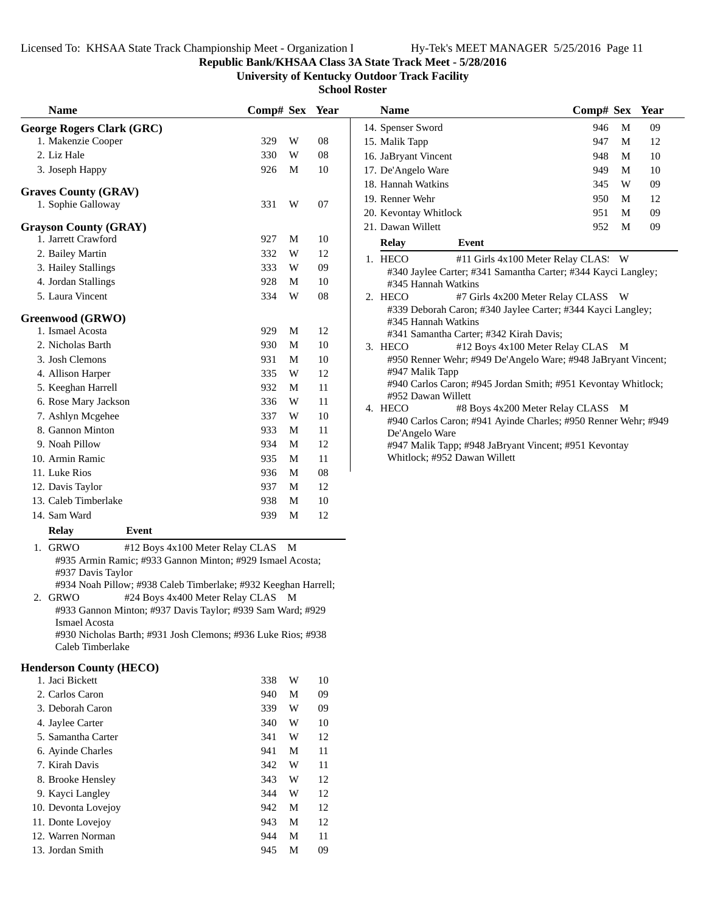**Republic Bank/KHSAA Class 3A State Track Meet - 5/28/2016**

**University of Kentucky Outdoor Track Facility**

**School Roster**

| <b>Name</b>                          | Comp# Sex Year |   |    | <b>Name</b>                                                    | Comp# Sex Year                                                |   |    |
|--------------------------------------|----------------|---|----|----------------------------------------------------------------|---------------------------------------------------------------|---|----|
| <b>George Rogers Clark (GRC)</b>     |                |   |    | 14. Spenser Sword                                              | 946                                                           | M | 09 |
| 1. Makenzie Cooper                   | 329            | W | 08 | 15. Malik Tapp                                                 | 947                                                           | M | 12 |
| 2. Liz Hale                          | 330            | W | 08 | 16. JaBryant Vincent                                           | 948                                                           | M | 10 |
| 3. Joseph Happy                      | 926            | M | 10 | 17. De'Angelo Ware                                             | 949                                                           | M | 10 |
| <b>Graves County (GRAV)</b>          |                |   |    | 18. Hannah Watkins                                             | 345                                                           | W | 09 |
| 1. Sophie Galloway                   | 331            | W | 07 | 19. Renner Wehr                                                | 950                                                           | M | 12 |
|                                      |                |   |    | 20. Kevontay Whitlock                                          | 951                                                           | M | 09 |
| <b>Grayson County (GRAY)</b>         |                |   |    | 21. Dawan Willett                                              | 952                                                           | M | 09 |
| 1. Jarrett Crawford                  | 927            | M | 10 | <b>Relay</b><br>Event                                          |                                                               |   |    |
| 2. Bailey Martin                     | 332            | W | 12 | 1. HECO                                                        | #11 Girls 4x100 Meter Relay CLAS: W                           |   |    |
| 3. Hailey Stallings                  | 333            | W | 09 |                                                                | #340 Jaylee Carter; #341 Samantha Carter; #344 Kayci Langley; |   |    |
| 4. Jordan Stallings                  | 928            | M | 10 | #345 Hannah Watkins                                            |                                                               |   |    |
| 5. Laura Vincent                     | 334            | W | 08 | 2. HECO                                                        | #7 Girls 4x200 Meter Relay CLASS W                            |   |    |
| Greenwood (GRWO)<br>1. Ismael Acosta | 929            | M | 12 | #345 Hannah Watkins<br>#341 Samantha Carter; #342 Kirah Davis; | #339 Deborah Caron; #340 Jaylee Carter; #344 Kayci Langley;   |   |    |
| 2. Nicholas Barth                    | 930            | M | 10 | 3. HECO                                                        | #12 Boys 4x100 Meter Relay CLAS M                             |   |    |
| 3. Josh Clemons                      | 931            | M | 10 |                                                                | #950 Renner Wehr; #949 De'Angelo Ware; #948 JaBryant Vincent  |   |    |
| 4. Allison Harper                    | 335            | W | 12 | #947 Malik Tapp                                                |                                                               |   |    |
| 5. Keeghan Harrell                   | 932            | M | 11 |                                                                | #940 Carlos Caron; #945 Jordan Smith; #951 Kevontay Whitlock; |   |    |
| 6. Rose Mary Jackson                 | 336            | W | 11 | #952 Dawan Willett<br>4. HECO                                  | #8 Boys 4x200 Meter Relay CLASS M                             |   |    |
| 7. Ashlyn Mcgehee                    | 337            | W | 10 |                                                                | #940 Carlos Caron; #941 Ayinde Charles; #950 Renner Wehr; #94 |   |    |
| 8. Gannon Minton                     | 933            | M | 11 | De'Angelo Ware                                                 |                                                               |   |    |
| 9. Noah Pillow                       | 934            | M | 12 |                                                                | #947 Malik Tapp; #948 JaBryant Vincent; #951 Kevontay         |   |    |
| 10. Armin Ramic                      | 935            | M | 11 | Whitlock; #952 Dawan Willett                                   |                                                               |   |    |
| 11. Luke Rios                        | 936            | M | 08 |                                                                |                                                               |   |    |
| 12. Davis Taylor                     | 937            | M | 12 |                                                                |                                                               |   |    |
| 13. Caleb Timberlake                 | 938            | M | 10 |                                                                |                                                               |   |    |
| 14. Sam Ward                         | 939            | M | 12 |                                                                |                                                               |   |    |
| <b>Relay</b><br>Event                |                |   |    |                                                                |                                                               |   |    |

1. GRWO #12 Boys 4x100 Meter Relay CLAS M #935 Armin Ramic; #933 Gannon Minton; #929 Ismael Acosta; #937 Davis Taylor

#934 Noah Pillow; #938 Caleb Timberlake; #932 Keeghan Harrell;

2. GRWO #24 Boys 4x400 Meter Relay CLAS M #933 Gannon Minton; #937 Davis Taylor; #939 Sam Ward; #929 Ismael Acosta

#930 Nicholas Barth; #931 Josh Clemons; #936 Luke Rios; #938 Caleb Timberlake

#### **Henderson County (HECO)**

| 1. Jaci Bickett     | 338 | W | 10 |
|---------------------|-----|---|----|
| 2. Carlos Caron     | 940 | М | 09 |
| 3. Deborah Caron    | 339 | W | 09 |
| 4. Jaylee Carter    | 340 | W | 10 |
| 5. Samantha Carter  | 341 | W | 12 |
| 6. Ayinde Charles   | 941 | M | 11 |
| 7. Kirah Davis      | 342 | W | 11 |
| 8. Brooke Hensley   | 343 | W | 12 |
| 9. Kayci Langley    | 344 | W | 12 |
| 10. Devonta Lovejoy | 942 | M | 12 |
| 11. Donte Lovejoy   | 943 | M | 12 |
| 12. Warren Norman   | 944 | M | 11 |
| 13. Jordan Smith    | 945 | М | 09 |

| Name                  |                                                                | Comp# Sex |   | Year |
|-----------------------|----------------------------------------------------------------|-----------|---|------|
| 14. Spenser Sword     |                                                                | 946       | M | 09   |
| 15. Malik Tapp        |                                                                | 947       | M | 12   |
| 16. JaBryant Vincent  |                                                                | 948       | M | 10   |
| 17. De'Angelo Ware    |                                                                | 949       | M | 10   |
| 18. Hannah Watkins    |                                                                | 345       | W | 09   |
| 19. Renner Wehr       |                                                                | 950       | M | 12   |
| 20. Kevontay Whitlock |                                                                | 951       | M | 09   |
| 21. Dawan Willett     |                                                                | 952       | M | 09   |
| <b>Relay</b>          | Event                                                          |           |   |      |
| 1. HECO               | #11 Girls 4x100 Meter Relay CLAS: W                            |           |   |      |
|                       | #340 Jaylee Carter; #341 Samantha Carter; #344 Kayci Langley;  |           |   |      |
| #345 Hannah Watkins   |                                                                |           |   |      |
| 2. HECO               | #7 Girls 4x200 Meter Relay CLASS W                             |           |   |      |
|                       | #339 Deborah Caron; #340 Jaylee Carter; #344 Kayci Langley;    |           |   |      |
| #345 Hannah Watkins   |                                                                |           |   |      |
|                       | #341 Samantha Carter; #342 Kirah Davis;                        |           |   |      |
| 3. HECO               | #12 Boys 4x100 Meter Relay CLAS M                              |           |   |      |
|                       | #950 Renner Wehr; #949 De'Angelo Ware; #948 JaBryant Vincent;  |           |   |      |
| #947 Malik Tapp       |                                                                |           |   |      |
|                       | #940 Carlos Caron; #945 Jordan Smith; #951 Kevontay Whitlock;  |           |   |      |
| #952 Dawan Willett    |                                                                |           |   |      |
| 4. HECO               | #8 Boys 4x200 Meter Relay CLASS                                |           | M |      |
|                       | #940 Carlos Caron; #941 Ayinde Charles; #950 Renner Wehr; #949 |           |   |      |
| De'Angelo Ware        |                                                                |           |   |      |
|                       | #947 Malik Tapp; #948 JaBryant Vincent; #951 Kevontay          |           |   |      |
|                       | Whitlock; #952 Dawan Willett                                   |           |   |      |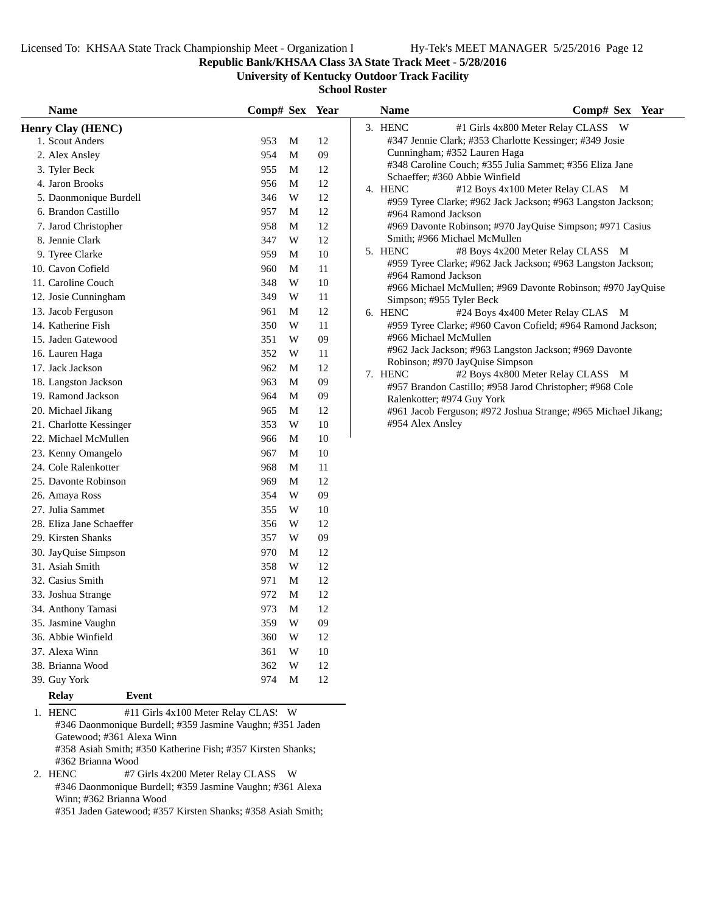**Republic Bank/KHSAA Class 3A State Track Meet - 5/28/2016**

**University of Kentucky Outdoor Track Facility**

**School Roster**

| <b>Name</b>                  | Comp# Sex Year                      |   |        | <b>Name</b>                | Comp# Sex Year                                                                                |
|------------------------------|-------------------------------------|---|--------|----------------------------|-----------------------------------------------------------------------------------------------|
| <b>Henry Clay (HENC)</b>     |                                     |   |        | 3. HENC                    | #1 Girls 4x800 Meter Relay CLASS W                                                            |
| 1. Scout Anders              | 953                                 | M | 12     |                            | #347 Jennie Clark; #353 Charlotte Kessinger; #349 Josie                                       |
| 2. Alex Ansley               | 954                                 | M | $09\,$ |                            | Cunningham; #352 Lauren Haga                                                                  |
| 3. Tyler Beck                | 955                                 | M | 12     |                            | #348 Caroline Couch; #355 Julia Sammet; #356 Eliza Jane                                       |
| 4. Jaron Brooks              | 956                                 | M | 12     | 4. HENC                    | Schaeffer; #360 Abbie Winfield<br>#12 Boys 4x100 Meter Relay CLAS M                           |
| 5. Daonmonique Burdell       | 346                                 | W | 12     |                            | #959 Tyree Clarke; #962 Jack Jackson; #963 Langston Jackson;                                  |
| 6. Brandon Castillo          | 957                                 | M | 12     | #964 Ramond Jackson        |                                                                                               |
| 7. Jarod Christopher         | 958                                 | М | 12     |                            | #969 Davonte Robinson; #970 JayQuise Simpson; #971 Casius                                     |
| 8. Jennie Clark              | 347                                 | W | 12     |                            | Smith; #966 Michael McMullen                                                                  |
| 9. Tyree Clarke              | 959                                 | M | 10     | 5. HENC                    | #8 Boys 4x200 Meter Relay CLASS M                                                             |
| 10. Cavon Cofield            | 960                                 | M | 11     |                            | #959 Tyree Clarke; #962 Jack Jackson; #963 Langston Jackson;                                  |
| 11. Caroline Couch           | 348                                 | W | $10\,$ | #964 Ramond Jackson        |                                                                                               |
| 12. Josie Cunningham         | 349                                 | W | 11     | Simpson; #955 Tyler Beck   | #966 Michael McMullen; #969 Davonte Robinson; #970 JayQuise                                   |
| 13. Jacob Ferguson           | 961                                 | М | 12     | 6. HENC                    | #24 Boys 4x400 Meter Relay CLAS M                                                             |
| 14. Katherine Fish           | 350                                 | W | 11     |                            | #959 Tyree Clarke; #960 Cavon Cofield; #964 Ramond Jackson;                                   |
| 15. Jaden Gatewood           | 351                                 | W | 09     | #966 Michael McMullen      |                                                                                               |
| 16. Lauren Haga              | 352                                 | W | 11     |                            | #962 Jack Jackson; #963 Langston Jackson; #969 Davonte                                        |
| 17. Jack Jackson             | 962                                 | М | 12     |                            | Robinson; #970 JayQuise Simpson                                                               |
| 18. Langston Jackson         | 963                                 | M | $09\,$ | 7. HENC                    | #2 Boys 4x800 Meter Relay CLASS M<br>#957 Brandon Castillo; #958 Jarod Christopher; #968 Cole |
| 19. Ramond Jackson           | 964                                 | M | $09\,$ | Ralenkotter; #974 Guy York |                                                                                               |
| 20. Michael Jikang           | 965                                 | M | 12     |                            | #961 Jacob Ferguson; #972 Joshua Strange; #965 Michael Jikang;                                |
| 21. Charlotte Kessinger      | 353                                 | W | 10     | #954 Alex Ansley           |                                                                                               |
| 22. Michael McMullen         | 966                                 | M | $10\,$ |                            |                                                                                               |
| 23. Kenny Omangelo           | 967                                 | M | 10     |                            |                                                                                               |
| 24. Cole Ralenkotter         | 968                                 | M | 11     |                            |                                                                                               |
| 25. Davonte Robinson         | 969                                 | M | 12     |                            |                                                                                               |
| 26. Amaya Ross               | 354                                 | W | 09     |                            |                                                                                               |
| 27. Julia Sammet             | 355                                 | W | 10     |                            |                                                                                               |
| 28. Eliza Jane Schaeffer     | 356                                 | W | 12     |                            |                                                                                               |
| 29. Kirsten Shanks           | 357                                 | W | 09     |                            |                                                                                               |
| 30. JayQuise Simpson         | 970                                 | М | 12     |                            |                                                                                               |
| 31. Asiah Smith              | 358                                 | W | 12     |                            |                                                                                               |
| 32. Casius Smith             | 971                                 | М | 12     |                            |                                                                                               |
| 33. Joshua Strange           | 972                                 | M | 12     |                            |                                                                                               |
| 34. Anthony Tamasi           | 973                                 | M | 12     |                            |                                                                                               |
| 35. Jasmine Vaughn           | 359                                 | W | 09     |                            |                                                                                               |
| 36. Abbie Winfield           | 360                                 | W | 12     |                            |                                                                                               |
| 37. Alexa Winn               | 361                                 | W | 10     |                            |                                                                                               |
| 38. Brianna Wood             | 362                                 | W | 12     |                            |                                                                                               |
| 39. Guy York                 | 974                                 | M | 12     |                            |                                                                                               |
| <b>Relay</b><br><b>Event</b> |                                     |   |        |                            |                                                                                               |
| <b>HENC</b>                  | #11 Girls 4x100 Meter Relay CLAS: W |   |        |                            |                                                                                               |

1. HENC #11 Girls 4x100 Meter Relay CLAS: W #346 Daonmonique Burdell; #359 Jasmine Vaughn; #351 Jaden Gatewood; #361 Alexa Winn #358 Asiah Smith; #350 Katherine Fish; #357 Kirsten Shanks; #362 Brianna Wood<br>2. HENC #7 0

#7 Girls 4x200 Meter Relay CLASS W #346 Daonmonique Burdell; #359 Jasmine Vaughn; #361 Alexa Winn; #362 Brianna Wood

#351 Jaden Gatewood; #357 Kirsten Shanks; #358 Asiah Smith;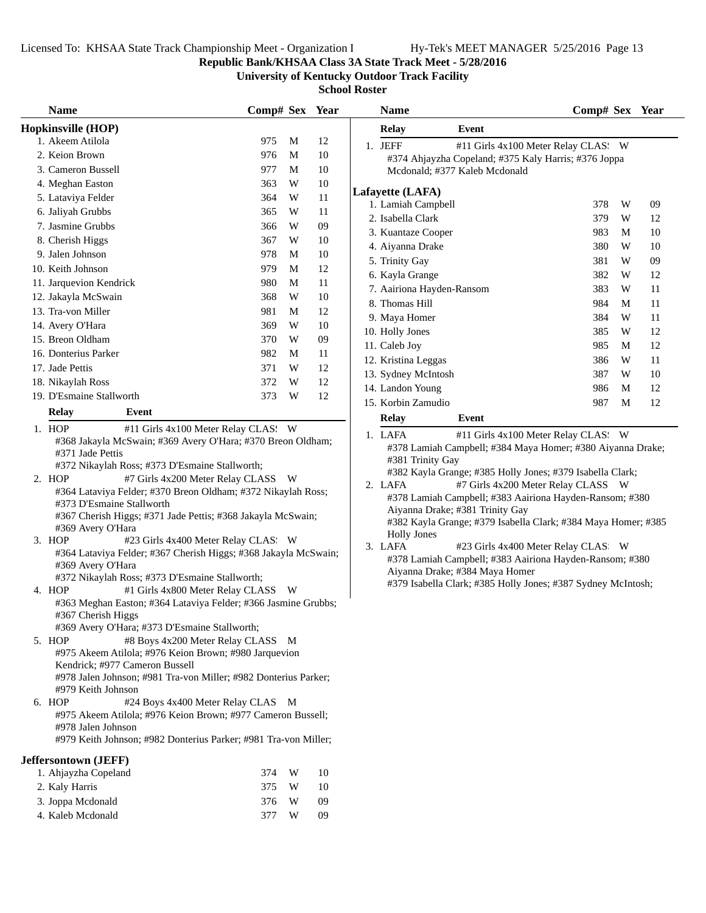## **Republic Bank/KHSAA Class 3A State Track Meet - 5/28/2016**

**University of Kentucky Outdoor Track Facility**

| <b>Name</b>                                                                                                                                                                                                                                                                                                                                                                                                                                                                                                                                                                                                                                                                                                                                                                                                                                                                                                                                                                                                                                                                                             | Comp# Sex Year           |                  |                      | <b>Name</b>                                                                                                                                                                                                                                                                                                                                                                                                                                                                                                                                                                                      | Comp# Sex Year |    |
|---------------------------------------------------------------------------------------------------------------------------------------------------------------------------------------------------------------------------------------------------------------------------------------------------------------------------------------------------------------------------------------------------------------------------------------------------------------------------------------------------------------------------------------------------------------------------------------------------------------------------------------------------------------------------------------------------------------------------------------------------------------------------------------------------------------------------------------------------------------------------------------------------------------------------------------------------------------------------------------------------------------------------------------------------------------------------------------------------------|--------------------------|------------------|----------------------|--------------------------------------------------------------------------------------------------------------------------------------------------------------------------------------------------------------------------------------------------------------------------------------------------------------------------------------------------------------------------------------------------------------------------------------------------------------------------------------------------------------------------------------------------------------------------------------------------|----------------|----|
| Hopkinsville (HOP)                                                                                                                                                                                                                                                                                                                                                                                                                                                                                                                                                                                                                                                                                                                                                                                                                                                                                                                                                                                                                                                                                      |                          |                  |                      | <b>Relay</b><br>Event                                                                                                                                                                                                                                                                                                                                                                                                                                                                                                                                                                            |                |    |
| 1. Akeem Atilola                                                                                                                                                                                                                                                                                                                                                                                                                                                                                                                                                                                                                                                                                                                                                                                                                                                                                                                                                                                                                                                                                        | 975                      | M                | 12                   | 1. JEFF<br>#11 Girls 4x100 Meter Relay CLAS: W                                                                                                                                                                                                                                                                                                                                                                                                                                                                                                                                                   |                |    |
| 2. Keion Brown                                                                                                                                                                                                                                                                                                                                                                                                                                                                                                                                                                                                                                                                                                                                                                                                                                                                                                                                                                                                                                                                                          | 976                      | M                | 10                   | #374 Ahjayzha Copeland; #375 Kaly Harris; #376 Joppa                                                                                                                                                                                                                                                                                                                                                                                                                                                                                                                                             |                |    |
| 3. Cameron Bussell                                                                                                                                                                                                                                                                                                                                                                                                                                                                                                                                                                                                                                                                                                                                                                                                                                                                                                                                                                                                                                                                                      | 977                      | M                | 10                   | Mcdonald; #377 Kaleb Mcdonald                                                                                                                                                                                                                                                                                                                                                                                                                                                                                                                                                                    |                |    |
| 4. Meghan Easton                                                                                                                                                                                                                                                                                                                                                                                                                                                                                                                                                                                                                                                                                                                                                                                                                                                                                                                                                                                                                                                                                        | 363                      | W                | 10                   |                                                                                                                                                                                                                                                                                                                                                                                                                                                                                                                                                                                                  |                |    |
| 5. Lataviya Felder                                                                                                                                                                                                                                                                                                                                                                                                                                                                                                                                                                                                                                                                                                                                                                                                                                                                                                                                                                                                                                                                                      | 364                      | W                | 11                   | Lafayette (LAFA)                                                                                                                                                                                                                                                                                                                                                                                                                                                                                                                                                                                 | 378<br>W       |    |
| 6. Jaliyah Grubbs                                                                                                                                                                                                                                                                                                                                                                                                                                                                                                                                                                                                                                                                                                                                                                                                                                                                                                                                                                                                                                                                                       | 365                      | W                | 11                   | 1. Lamiah Campbell                                                                                                                                                                                                                                                                                                                                                                                                                                                                                                                                                                               |                | 09 |
| 7. Jasmine Grubbs                                                                                                                                                                                                                                                                                                                                                                                                                                                                                                                                                                                                                                                                                                                                                                                                                                                                                                                                                                                                                                                                                       | 366                      | W                | 09                   | 2. Isabella Clark                                                                                                                                                                                                                                                                                                                                                                                                                                                                                                                                                                                | W<br>379       | 12 |
| 8. Cherish Higgs                                                                                                                                                                                                                                                                                                                                                                                                                                                                                                                                                                                                                                                                                                                                                                                                                                                                                                                                                                                                                                                                                        | 367                      | W                | 10                   | 3. Kuantaze Cooper                                                                                                                                                                                                                                                                                                                                                                                                                                                                                                                                                                               | 983<br>M       | 10 |
| 9. Jalen Johnson                                                                                                                                                                                                                                                                                                                                                                                                                                                                                                                                                                                                                                                                                                                                                                                                                                                                                                                                                                                                                                                                                        | 978                      | M                | 10                   | 4. Aiyanna Drake                                                                                                                                                                                                                                                                                                                                                                                                                                                                                                                                                                                 | 380<br>W       | 10 |
| 10. Keith Johnson                                                                                                                                                                                                                                                                                                                                                                                                                                                                                                                                                                                                                                                                                                                                                                                                                                                                                                                                                                                                                                                                                       | 979                      | M                | 12                   | 5. Trinity Gay                                                                                                                                                                                                                                                                                                                                                                                                                                                                                                                                                                                   | 381<br>W       | 09 |
| 11. Jarquevion Kendrick                                                                                                                                                                                                                                                                                                                                                                                                                                                                                                                                                                                                                                                                                                                                                                                                                                                                                                                                                                                                                                                                                 | 980                      | M                | 11                   | 6. Kayla Grange                                                                                                                                                                                                                                                                                                                                                                                                                                                                                                                                                                                  | 382<br>W       | 12 |
| 12. Jakayla McSwain                                                                                                                                                                                                                                                                                                                                                                                                                                                                                                                                                                                                                                                                                                                                                                                                                                                                                                                                                                                                                                                                                     | 368                      | W                | 10                   | 7. Aairiona Hayden-Ransom                                                                                                                                                                                                                                                                                                                                                                                                                                                                                                                                                                        | 383<br>W       | 11 |
| 13. Tra-von Miller                                                                                                                                                                                                                                                                                                                                                                                                                                                                                                                                                                                                                                                                                                                                                                                                                                                                                                                                                                                                                                                                                      | 981                      | M                | 12                   | 8. Thomas Hill                                                                                                                                                                                                                                                                                                                                                                                                                                                                                                                                                                                   | 984<br>M       | 11 |
| 14. Avery O'Hara                                                                                                                                                                                                                                                                                                                                                                                                                                                                                                                                                                                                                                                                                                                                                                                                                                                                                                                                                                                                                                                                                        | 369                      | W                | 10                   | 9. Maya Homer                                                                                                                                                                                                                                                                                                                                                                                                                                                                                                                                                                                    | W<br>384       | 11 |
| 15. Breon Oldham                                                                                                                                                                                                                                                                                                                                                                                                                                                                                                                                                                                                                                                                                                                                                                                                                                                                                                                                                                                                                                                                                        | 370                      | W                | 09                   | 10. Holly Jones                                                                                                                                                                                                                                                                                                                                                                                                                                                                                                                                                                                  | 385<br>W       | 12 |
| 16. Donterius Parker                                                                                                                                                                                                                                                                                                                                                                                                                                                                                                                                                                                                                                                                                                                                                                                                                                                                                                                                                                                                                                                                                    | 982                      | M                | 11                   | 11. Caleb Joy                                                                                                                                                                                                                                                                                                                                                                                                                                                                                                                                                                                    | 985<br>M       | 12 |
| 17. Jade Pettis                                                                                                                                                                                                                                                                                                                                                                                                                                                                                                                                                                                                                                                                                                                                                                                                                                                                                                                                                                                                                                                                                         | 371                      | W                | 12                   | 12. Kristina Leggas                                                                                                                                                                                                                                                                                                                                                                                                                                                                                                                                                                              | 386<br>W       | 11 |
| 18. Nikaylah Ross                                                                                                                                                                                                                                                                                                                                                                                                                                                                                                                                                                                                                                                                                                                                                                                                                                                                                                                                                                                                                                                                                       | 372                      | W                | 12                   | 13. Sydney McIntosh                                                                                                                                                                                                                                                                                                                                                                                                                                                                                                                                                                              | 387<br>W       | 10 |
| 19. D'Esmaine Stallworth                                                                                                                                                                                                                                                                                                                                                                                                                                                                                                                                                                                                                                                                                                                                                                                                                                                                                                                                                                                                                                                                                | 373                      | W                | 12                   | 14. Landon Young                                                                                                                                                                                                                                                                                                                                                                                                                                                                                                                                                                                 | 986<br>M       | 12 |
| <b>Relay</b><br>Event                                                                                                                                                                                                                                                                                                                                                                                                                                                                                                                                                                                                                                                                                                                                                                                                                                                                                                                                                                                                                                                                                   |                          |                  |                      | 15. Korbin Zamudio                                                                                                                                                                                                                                                                                                                                                                                                                                                                                                                                                                               | 987<br>M       | 12 |
| 1. HOP<br>#11 Girls 4x100 Meter Relay CLAS: W                                                                                                                                                                                                                                                                                                                                                                                                                                                                                                                                                                                                                                                                                                                                                                                                                                                                                                                                                                                                                                                           |                          |                  |                      | Relay<br>Event                                                                                                                                                                                                                                                                                                                                                                                                                                                                                                                                                                                   |                |    |
| #368 Jakayla McSwain; #369 Avery O'Hara; #370 Breon Oldham;<br>#371 Jade Pettis<br>#372 Nikaylah Ross; #373 D'Esmaine Stallworth;<br>2. HOP<br>#7 Girls 4x200 Meter Relay CLASS W<br>#364 Lataviya Felder; #370 Breon Oldham; #372 Nikaylah Ross;<br>#373 D'Esmaine Stallworth<br>#367 Cherish Higgs; #371 Jade Pettis; #368 Jakayla McSwain;<br>#369 Avery O'Hara<br>3. HOP<br>#23 Girls 4x400 Meter Relay CLAS. W<br>#364 Lataviya Felder; #367 Cherish Higgs; #368 Jakayla McSwain;<br>#369 Avery O'Hara<br>#372 Nikaylah Ross; #373 D'Esmaine Stallworth;<br>#1 Girls 4x800 Meter Relay CLASS W<br>4. HOP<br>#363 Meghan Easton; #364 Lataviya Felder; #366 Jasmine Grubbs;<br>#367 Cherish Higgs<br>#369 Avery O'Hara; #373 D'Esmaine Stallworth;<br>#8 Boys 4x200 Meter Relay CLASS M<br>5. HOP<br>#975 Akeem Atilola; #976 Keion Brown; #980 Jarquevion<br>Kendrick; #977 Cameron Bussell<br>#978 Jalen Johnson; #981 Tra-von Miller; #982 Donterius Parker;<br>#979 Keith Johnson<br>#24 Boys 4x400 Meter Relay CLAS M<br>6. HOP<br>#975 Akeem Atilola; #976 Keion Brown; #977 Cameron Bussell; |                          |                  |                      | #378 Lamiah Campbell; #384 Maya Homer; #380 Aiyanna Drake;<br>#381 Trinity Gay<br>#382 Kayla Grange; #385 Holly Jones; #379 Isabella Clark;<br>2. LAFA<br>#7 Girls 4x200 Meter Relay CLASS W<br>#378 Lamiah Campbell; #383 Aairiona Hayden-Ransom; #380<br>Aiyanna Drake; #381 Trinity Gay<br>#382 Kayla Grange; #379 Isabella Clark; #384 Maya Homer; #385<br><b>Holly Jones</b><br>3. LAFA<br>#23 Girls 4x400 Meter Relay CLAS: W<br>#378 Lamiah Campbell; #383 Aairiona Hayden-Ransom; #380<br>Aiyanna Drake; #384 Maya Homer<br>#379 Isabella Clark; #385 Holly Jones; #387 Sydney McIntosh; |                |    |
| #978 Jalen Johnson<br>#979 Keith Johnson; #982 Donterius Parker; #981 Tra-von Miller;<br>Jeffersontown (JEFF)<br>1. Ahjayzha Copeland<br>2. Kaly Harris<br>3. Joppa Mcdonald<br>4. Kaleb Mcdonald                                                                                                                                                                                                                                                                                                                                                                                                                                                                                                                                                                                                                                                                                                                                                                                                                                                                                                       | 374<br>375<br>376<br>377 | W<br>W<br>W<br>W | 10<br>10<br>09<br>09 |                                                                                                                                                                                                                                                                                                                                                                                                                                                                                                                                                                                                  |                |    |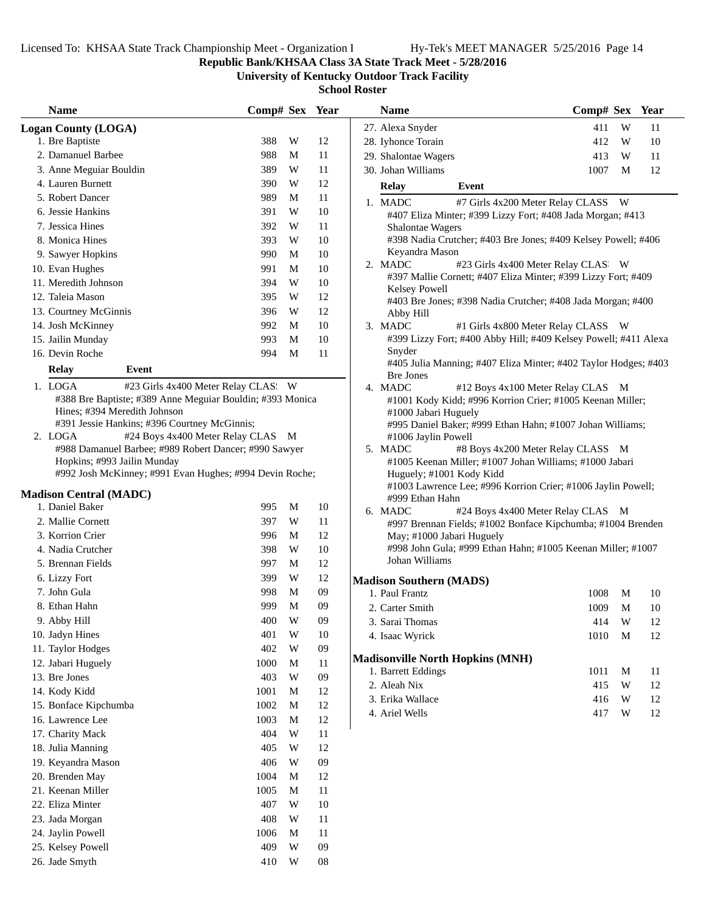## **Republic Bank/KHSAA Class 3A State Track Meet - 5/28/2016**

**University of Kentucky Outdoor Track Facility**

| <b>Name</b>                                                                                                 | Comp# Sex Year |                         |            | <b>Name</b>                                                                       | Comp# Sex Year |   |    |
|-------------------------------------------------------------------------------------------------------------|----------------|-------------------------|------------|-----------------------------------------------------------------------------------|----------------|---|----|
| <b>Logan County (LOGA)</b>                                                                                  |                |                         |            | 27. Alexa Snyder                                                                  | 411            | W | 11 |
| 1. Bre Baptiste                                                                                             | 388            | W                       | 12         | 28. Iyhonce Torain                                                                | 412            | W | 10 |
| 2. Damanuel Barbee                                                                                          | 988            | M                       | 11         | 29. Shalontae Wagers                                                              | 413            | W | 11 |
| 3. Anne Meguiar Bouldin                                                                                     | 389            | W                       | 11         | 30. Johan Williams                                                                | 1007           | M | 12 |
| 4. Lauren Burnett                                                                                           | 390            | W                       | 12         | <b>Relay</b><br>Event                                                             |                |   |    |
| 5. Robert Dancer                                                                                            | 989            | M                       | 11         | 1. MADC<br>#7 Girls 4x200 Meter Relay CLASS W                                     |                |   |    |
| 6. Jessie Hankins                                                                                           | 391            | W                       | 10         | #407 Eliza Minter; #399 Lizzy Fort; #408 Jada Morgan; #413                        |                |   |    |
| 7. Jessica Hines                                                                                            | 392            | W                       | 11         | <b>Shalontae Wagers</b>                                                           |                |   |    |
| 8. Monica Hines                                                                                             | 393            | W                       | 10         | #398 Nadia Crutcher; #403 Bre Jones; #409 Kelsey Powell; #406                     |                |   |    |
| 9. Sawyer Hopkins                                                                                           | 990            | M                       | $10\,$     | Keyandra Mason                                                                    |                |   |    |
| 10. Evan Hughes                                                                                             | 991            | M                       | 10         | 2. MADC<br>#23 Girls 4x400 Meter Relay CLAS: W                                    |                |   |    |
| 11. Meredith Johnson                                                                                        | 394            | W                       | 10         | #397 Mallie Cornett; #407 Eliza Minter; #399 Lizzy Fort; #409                     |                |   |    |
| 12. Taleia Mason                                                                                            | 395            | W                       | $12\,$     | Kelsey Powell<br>#403 Bre Jones; #398 Nadia Crutcher; #408 Jada Morgan; #400      |                |   |    |
| 13. Courtney McGinnis                                                                                       | 396            | W                       | 12         | Abby Hill                                                                         |                |   |    |
| 14. Josh McKinney                                                                                           | 992            | M                       | 10         | 3. MADC<br>#1 Girls 4x800 Meter Relay CLASS W                                     |                |   |    |
| 15. Jailin Munday                                                                                           | 993            | M                       | 10         | #399 Lizzy Fort; #400 Abby Hill; #409 Kelsey Powell; #411 Alexa                   |                |   |    |
| 16. Devin Roche                                                                                             | 994            | M                       | 11         | Snyder                                                                            |                |   |    |
| <b>Relay</b><br>Event                                                                                       |                |                         |            | #405 Julia Manning; #407 Eliza Minter; #402 Taylor Hodges; #403                   |                |   |    |
|                                                                                                             |                |                         |            | Bre Jones                                                                         |                |   |    |
| 1. LOGA<br>#23 Girls 4x400 Meter Relay CLAS: W<br>#388 Bre Baptiste; #389 Anne Meguiar Bouldin; #393 Monica |                |                         |            | 4. MADC<br>#12 Boys 4x100 Meter Relay CLAS M                                      |                |   |    |
| Hines; #394 Meredith Johnson                                                                                |                |                         |            | #1001 Kody Kidd; #996 Korrion Crier; #1005 Keenan Miller;<br>#1000 Jabari Huguely |                |   |    |
| #391 Jessie Hankins; #396 Courtney McGinnis;                                                                |                |                         |            | #995 Daniel Baker; #999 Ethan Hahn; #1007 Johan Williams;                         |                |   |    |
| 2. LOGA<br>#24 Boys 4x400 Meter Relay CLAS M                                                                |                |                         |            | #1006 Jaylin Powell                                                               |                |   |    |
| #988 Damanuel Barbee; #989 Robert Dancer; #990 Sawyer                                                       |                |                         |            | 5. MADC<br>#8 Boys 4x200 Meter Relay CLASS M                                      |                |   |    |
| Hopkins; #993 Jailin Munday                                                                                 |                |                         |            | #1005 Keenan Miller; #1007 Johan Williams; #1000 Jabari                           |                |   |    |
| #992 Josh McKinney; #991 Evan Hughes; #994 Devin Roche;                                                     |                |                         |            | Huguely; #1001 Kody Kidd                                                          |                |   |    |
| <b>Madison Central (MADC)</b>                                                                               |                |                         |            | #1003 Lawrence Lee; #996 Korrion Crier; #1006 Jaylin Powell;<br>#999 Ethan Hahn   |                |   |    |
| 1. Daniel Baker                                                                                             | 995            | M                       | 10         | 6. MADC<br>#24 Boys 4x400 Meter Relay CLAS M                                      |                |   |    |
| 2. Mallie Cornett                                                                                           | 397            | W                       | 11         | #997 Brennan Fields; #1002 Bonface Kipchumba; #1004 Brenden                       |                |   |    |
| 3. Korrion Crier                                                                                            | 996            | M                       | 12         | May; #1000 Jabari Huguely                                                         |                |   |    |
| 4. Nadia Crutcher                                                                                           | 398            | W                       | 10         | #998 John Gula; #999 Ethan Hahn; #1005 Keenan Miller; #1007                       |                |   |    |
| 5. Brennan Fields                                                                                           | 997            | M                       | 12         | Johan Williams                                                                    |                |   |    |
| 6. Lizzy Fort                                                                                               | 399            | W                       | 12         | <b>Madison Southern (MADS)</b>                                                    |                |   |    |
| 7. John Gula                                                                                                | 998            | M                       | 09         | 1. Paul Frantz                                                                    | 1008           | M | 10 |
| 8. Ethan Hahn                                                                                               | 999            | M                       | 09         | 2. Carter Smith                                                                   | 1009           | M | 10 |
| 9. Abby Hill                                                                                                | 400            | $\ensuremath{\text{W}}$ | $09\,$     | 3. Sarai Thomas                                                                   | 414            | W | 12 |
| 10. Jadyn Hines                                                                                             | 401            | W                       | 10         | 4. Isaac Wyrick                                                                   | 1010           | M | 12 |
| 11. Taylor Hodges                                                                                           | 402            | W                       | $09\,$     |                                                                                   |                |   |    |
| 12. Jabari Huguely                                                                                          | 1000           | M                       | $11\,$     | <b>Madisonville North Hopkins (MNH)</b>                                           |                |   |    |
| 13. Bre Jones                                                                                               | 403            | W                       | 09         | 1. Barrett Eddings                                                                | 1011           | M | 11 |
| 14. Kody Kidd                                                                                               | 1001           | M                       | 12         | 2. Aleah Nix                                                                      | 415            | W | 12 |
| 15. Bonface Kipchumba                                                                                       | 1002           | M                       | 12         | 3. Erika Wallace                                                                  | 416            | W | 12 |
| 16. Lawrence Lee                                                                                            | 1003           | M                       | 12         | 4. Ariel Wells                                                                    | 417            | W | 12 |
| 17. Charity Mack                                                                                            | 404            | W                       | 11         |                                                                                   |                |   |    |
| 18. Julia Manning                                                                                           | 405            | W                       | 12         |                                                                                   |                |   |    |
| 19. Keyandra Mason                                                                                          | 406            | W                       | 09         |                                                                                   |                |   |    |
| 20. Brenden May                                                                                             | 1004           | M                       | 12         |                                                                                   |                |   |    |
| 21. Keenan Miller                                                                                           | 1005           | M                       | 11         |                                                                                   |                |   |    |
| 22. Eliza Minter                                                                                            | 407            | W                       | $10\,$     |                                                                                   |                |   |    |
| 23. Jada Morgan                                                                                             | 408            | W                       | 11         |                                                                                   |                |   |    |
| 24. Jaylin Powell                                                                                           | 1006           | M                       | 11         |                                                                                   |                |   |    |
| 25. Kelsey Powell                                                                                           | 409            | W                       | 09         |                                                                                   |                |   |    |
| 26. Jade Smyth                                                                                              | 410            | W                       | ${\bf 08}$ |                                                                                   |                |   |    |
|                                                                                                             |                |                         |            |                                                                                   |                |   |    |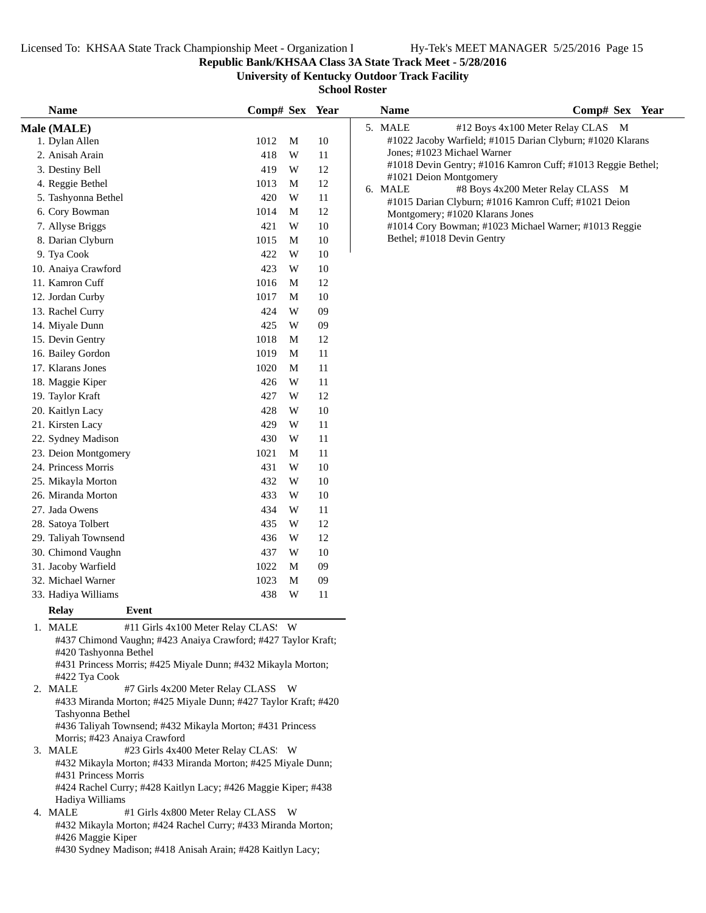**Republic Bank/KHSAA Class 3A State Track Meet - 5/28/2016**

**University of Kentucky Outdoor Track Facility**

| <b>Name</b>                                                                                                                                                                                                               | Comp# Sex Year |   |    | <b>Name</b>                                                     | Comp# Sex Year                                              |
|---------------------------------------------------------------------------------------------------------------------------------------------------------------------------------------------------------------------------|----------------|---|----|-----------------------------------------------------------------|-------------------------------------------------------------|
| Male (MALE)                                                                                                                                                                                                               |                |   |    | 5. MALE                                                         | #12 Boys 4x100 Meter Relay CLAS M                           |
| 1. Dylan Allen                                                                                                                                                                                                            | 1012           | M | 10 | #1022 Jacoby Warfield; #1015 Darian Clyburn; #1020 Klarans      |                                                             |
| 2. Anisah Arain                                                                                                                                                                                                           | 418            | W | 11 | Jones; #1023 Michael Warner                                     |                                                             |
| 3. Destiny Bell                                                                                                                                                                                                           | 419            | W | 12 |                                                                 | #1018 Devin Gentry; #1016 Kamron Cuff; #1013 Reggie Bethel; |
| 4. Reggie Bethel                                                                                                                                                                                                          | 1013           | M | 12 | #1021 Deion Montgomery                                          |                                                             |
| 5. Tashyonna Bethel                                                                                                                                                                                                       | 420            | W | 11 | 6. MALE<br>#1015 Darian Clyburn; #1016 Kamron Cuff; #1021 Deion | #8 Boys 4x200 Meter Relay CLASS M                           |
| 6. Cory Bowman                                                                                                                                                                                                            | 1014           | M | 12 | Montgomery; #1020 Klarans Jones                                 |                                                             |
| 7. Allyse Briggs                                                                                                                                                                                                          | 421            | W | 10 | #1014 Cory Bowman; #1023 Michael Warner; #1013 Reggie           |                                                             |
| 8. Darian Clyburn                                                                                                                                                                                                         | 1015           | M | 10 | Bethel; #1018 Devin Gentry                                      |                                                             |
| 9. Tya Cook                                                                                                                                                                                                               | 422            | W | 10 |                                                                 |                                                             |
| 10. Anaiya Crawford                                                                                                                                                                                                       | 423            | W | 10 |                                                                 |                                                             |
| 11. Kamron Cuff                                                                                                                                                                                                           | 1016           | M | 12 |                                                                 |                                                             |
| 12. Jordan Curby                                                                                                                                                                                                          | 1017           | M | 10 |                                                                 |                                                             |
| 13. Rachel Curry                                                                                                                                                                                                          | 424            | W | 09 |                                                                 |                                                             |
| 14. Miyale Dunn                                                                                                                                                                                                           | 425            | W | 09 |                                                                 |                                                             |
| 15. Devin Gentry                                                                                                                                                                                                          | 1018           | M | 12 |                                                                 |                                                             |
| 16. Bailey Gordon                                                                                                                                                                                                         | 1019           | M | 11 |                                                                 |                                                             |
| 17. Klarans Jones                                                                                                                                                                                                         | 1020           | M | 11 |                                                                 |                                                             |
| 18. Maggie Kiper                                                                                                                                                                                                          | 426            | W | 11 |                                                                 |                                                             |
| 19. Taylor Kraft                                                                                                                                                                                                          | 427            | W | 12 |                                                                 |                                                             |
| 20. Kaitlyn Lacy                                                                                                                                                                                                          | 428            | W | 10 |                                                                 |                                                             |
| 21. Kirsten Lacy                                                                                                                                                                                                          | 429            | W | 11 |                                                                 |                                                             |
| 22. Sydney Madison                                                                                                                                                                                                        | 430            | W | 11 |                                                                 |                                                             |
| 23. Deion Montgomery                                                                                                                                                                                                      | 1021           | M | 11 |                                                                 |                                                             |
|                                                                                                                                                                                                                           | 431            | W |    |                                                                 |                                                             |
| 24. Princess Morris                                                                                                                                                                                                       |                |   | 10 |                                                                 |                                                             |
| 25. Mikayla Morton                                                                                                                                                                                                        | 432            | W | 10 |                                                                 |                                                             |
| 26. Miranda Morton                                                                                                                                                                                                        | 433            | W | 10 |                                                                 |                                                             |
| 27. Jada Owens                                                                                                                                                                                                            | 434            | W | 11 |                                                                 |                                                             |
| 28. Satoya Tolbert                                                                                                                                                                                                        | 435            | W | 12 |                                                                 |                                                             |
| 29. Taliyah Townsend                                                                                                                                                                                                      | 436            | W | 12 |                                                                 |                                                             |
| 30. Chimond Vaughn                                                                                                                                                                                                        | 437            | W | 10 |                                                                 |                                                             |
| 31. Jacoby Warfield                                                                                                                                                                                                       | 1022           | M | 09 |                                                                 |                                                             |
| 32. Michael Warner                                                                                                                                                                                                        | 1023           | M | 09 |                                                                 |                                                             |
| 33. Hadiya Williams                                                                                                                                                                                                       | 438            | W | 11 |                                                                 |                                                             |
| <b>Relay</b><br>Event                                                                                                                                                                                                     |                |   |    |                                                                 |                                                             |
| #11 Girls 4x100 Meter Relay CLAS: W<br>1. MALE<br>#437 Chimond Vaughn; #423 Anaiya Crawford; #427 Taylor Kraft;<br>#420 Tashyonna Bethel<br>#431 Princess Morris; #425 Miyale Dunn; #432 Mikayla Morton;<br>#422 Tya Cook |                |   |    |                                                                 |                                                             |
| 2. MALE<br>#7 Girls 4x200 Meter Relay CLASS W<br>#433 Miranda Morton; #425 Miyale Dunn; #427 Taylor Kraft; #420<br>Tashyonna Bethel                                                                                       |                |   |    |                                                                 |                                                             |
| #436 Taliyah Townsend; #432 Mikayla Morton; #431 Princess<br>Morris; #423 Anaiya Crawford<br>3. MALE<br>#23 Girls 4x400 Meter Relay CLAS: W                                                                               |                |   |    |                                                                 |                                                             |
| #432 Mikayla Morton; #433 Miranda Morton; #425 Miyale Dunn;<br>#431 Princess Morris                                                                                                                                       |                |   |    |                                                                 |                                                             |
| #424 Rachel Curry; #428 Kaitlyn Lacy; #426 Maggie Kiper; #438<br>Hadiya Williams<br>4. MALE<br>#1 Girls 4x800 Meter Relay CLASS W                                                                                         |                |   |    |                                                                 |                                                             |
| #432 Mikayla Morton; #424 Rachel Curry; #433 Miranda Morton;<br>#426 Maggie Kiper<br>#430 Sydney Madison; #418 Anisah Arain; #428 Kaitlyn Lacy;                                                                           |                |   |    |                                                                 |                                                             |
|                                                                                                                                                                                                                           |                |   |    |                                                                 |                                                             |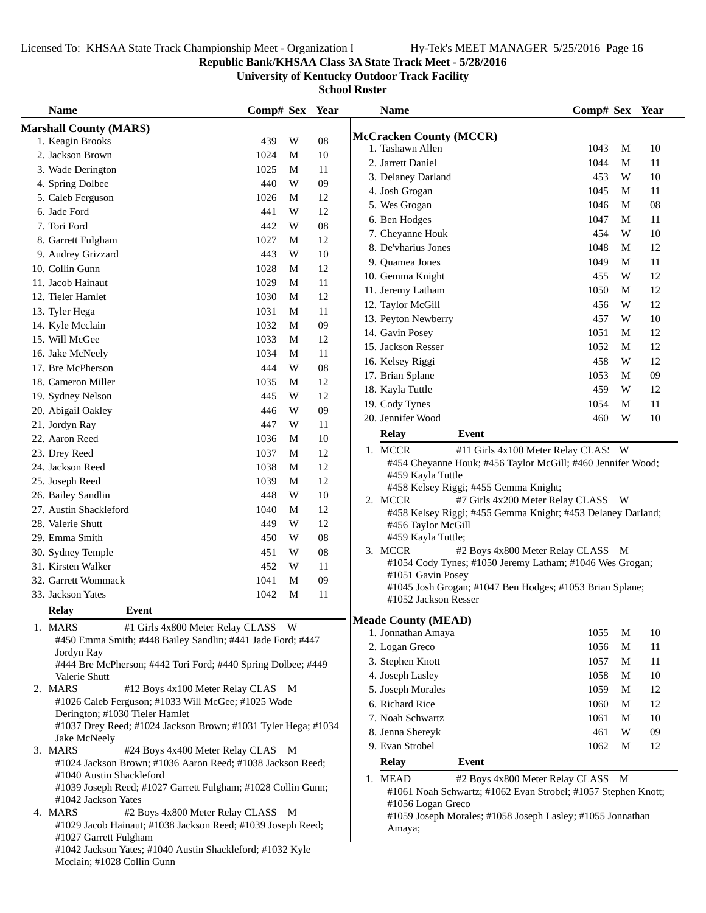## **Republic Bank/KHSAA Class 3A State Track Meet - 5/28/2016**

**University of Kentucky Outdoor Track Facility**

| <b>Name</b>                                                                                     | Comp# Sex Year |   |            | <b>Name</b>                                                                      | Comp# Sex Year |   |    |
|-------------------------------------------------------------------------------------------------|----------------|---|------------|----------------------------------------------------------------------------------|----------------|---|----|
| <b>Marshall County (MARS)</b>                                                                   |                |   |            |                                                                                  |                |   |    |
| 1. Keagin Brooks                                                                                | 439            | W | 08         | <b>McCracken County (MCCR)</b><br>1. Tashawn Allen                               | 1043           | M | 10 |
| 2. Jackson Brown                                                                                | 1024           | М | 10         | 2. Jarrett Daniel                                                                | 1044           | M | 11 |
| 3. Wade Derington                                                                               | 1025           | M | 11         | 3. Delaney Darland                                                               | 453            | W | 10 |
| 4. Spring Dolbee                                                                                | 440            | W | 09         | 4. Josh Grogan                                                                   | 1045           | M | 11 |
| 5. Caleb Ferguson                                                                               | 1026           | M | 12         | 5. Wes Grogan                                                                    | 1046           | M | 08 |
| 6. Jade Ford                                                                                    | 441            | W | 12         | 6. Ben Hodges                                                                    | 1047           | M | 11 |
| 7. Tori Ford                                                                                    | 442            | W | 08         | 7. Cheyanne Houk                                                                 | 454            | W | 10 |
| 8. Garrett Fulgham                                                                              | 1027           | M | 12         | 8. De'vharius Jones                                                              | 1048           | M | 12 |
| 9. Audrey Grizzard                                                                              | 443            | W | 10         | 9. Ouamea Jones                                                                  | 1049           | M | 11 |
| 10. Collin Gunn                                                                                 | 1028           | M | 12         | 10. Gemma Knight                                                                 | 455            | W | 12 |
| 11. Jacob Hainaut                                                                               | 1029           | M | 11         | 11. Jeremy Latham                                                                | 1050           | M | 12 |
| 12. Tieler Hamlet                                                                               | 1030           | M | 12         | 12. Taylor McGill                                                                | 456            | W | 12 |
| 13. Tyler Hega                                                                                  | 1031           | M | 11         |                                                                                  | 457            | W | 10 |
| 14. Kyle Mcclain                                                                                | 1032           | M | 09         | 13. Peyton Newberry<br>14. Gavin Posey                                           | 1051           | M | 12 |
| 15. Will McGee                                                                                  | 1033           | M | 12         | 15. Jackson Resser                                                               | 1052           | M | 12 |
| 16. Jake McNeely                                                                                | 1034           | M | 11         |                                                                                  |                | W | 12 |
| 17. Bre McPherson                                                                               | 444            | W | ${\bf 08}$ | 16. Kelsey Riggi<br>17. Brian Splane                                             | 458<br>1053    | M | 09 |
| 18. Cameron Miller                                                                              | 1035           | M | 12         |                                                                                  | 459            | W | 12 |
| 19. Sydney Nelson                                                                               | 445            | W | 12         | 18. Kayla Tuttle                                                                 | 1054           |   | 11 |
| 20. Abigail Oakley                                                                              | 446            | W | 09         | 19. Cody Tynes                                                                   |                | M |    |
| 21. Jordyn Ray                                                                                  | 447            | W | 11         | 20. Jennifer Wood                                                                | 460            | W | 10 |
| 22. Aaron Reed                                                                                  | 1036           | М | 10         | <b>Relay</b><br>Event                                                            |                |   |    |
| 23. Drey Reed                                                                                   | 1037           | M | 12         | 1. MCCR<br>#11 Girls 4x100 Meter Relay CLAS: W                                   |                |   |    |
| 24. Jackson Reed                                                                                | 1038           | M | 12         | #454 Cheyanne Houk; #456 Taylor McGill; #460 Jennifer Wood;                      |                |   |    |
| 25. Joseph Reed                                                                                 | 1039           | M | 12         | #459 Kayla Tuttle<br>#458 Kelsey Riggi; #455 Gemma Knight;                       |                |   |    |
| 26. Bailey Sandlin                                                                              | 448            | W | 10         | 2. MCCR<br>#7 Girls 4x200 Meter Relay CLASS W                                    |                |   |    |
| 27. Austin Shackleford                                                                          | 1040           | M | 12         | #458 Kelsey Riggi; #455 Gemma Knight; #453 Delaney Darland;                      |                |   |    |
| 28. Valerie Shutt                                                                               | 449            | W | 12         | #456 Taylor McGill                                                               |                |   |    |
| 29. Emma Smith                                                                                  | 450            | W | 08         | #459 Kayla Tuttle;                                                               |                |   |    |
| 30. Sydney Temple                                                                               | 451            | W | 08         | 3. MCCR<br>#2 Boys 4x800 Meter Relay CLASS M                                     |                |   |    |
| 31. Kirsten Walker                                                                              | 452            | W | 11         | #1054 Cody Tynes; #1050 Jeremy Latham; #1046 Wes Grogan;                         |                |   |    |
| 32. Garrett Wommack                                                                             | 1041           | M | $09\,$     | #1051 Gavin Posey                                                                |                |   |    |
| 33. Jackson Yates                                                                               | 1042           | M | 11         | #1045 Josh Grogan; #1047 Ben Hodges; #1053 Brian Splane;<br>#1052 Jackson Resser |                |   |    |
| Relay<br>Event                                                                                  |                |   |            |                                                                                  |                |   |    |
| 1. MARS<br>#1 Girls 4x800 Meter Relay CLASS W                                                   |                |   |            | <b>Meade County (MEAD)</b>                                                       |                |   |    |
| #450 Emma Smith; #448 Bailey Sandlin; #441 Jade Ford; #447                                      |                |   |            | 1. Jonnathan Amaya                                                               | 1055           | M | 10 |
| Jordyn Ray                                                                                      |                |   |            | 2. Logan Greco                                                                   | 1056           | M | 11 |
| #444 Bre McPherson; #442 Tori Ford; #440 Spring Dolbee; #449                                    |                |   |            | 3. Stephen Knott                                                                 | 1057           | M | 11 |
| Valerie Shutt                                                                                   |                |   |            | 4. Joseph Lasley                                                                 | 1058           | M | 10 |
| 2. MARS<br>#12 Boys 4x100 Meter Relay CLAS M                                                    |                |   |            | 5. Joseph Morales                                                                | 1059           | M | 12 |
| #1026 Caleb Ferguson; #1033 Will McGee; #1025 Wade                                              |                |   |            | 6. Richard Rice                                                                  | 1060           | M | 12 |
| Derington; #1030 Tieler Hamlet<br>#1037 Drey Reed; #1024 Jackson Brown; #1031 Tyler Hega; #1034 |                |   |            | 7. Noah Schwartz                                                                 | 1061           | M | 10 |
| Jake McNeely                                                                                    |                |   |            | 8. Jenna Shereyk                                                                 | 461            | W | 09 |
| #24 Boys 4x400 Meter Relay CLAS M<br>3. MARS                                                    |                |   |            | 9. Evan Strobel                                                                  | 1062           | M | 12 |
| #1024 Jackson Brown; #1036 Aaron Reed; #1038 Jackson Reed;                                      |                |   |            | <b>Relay</b><br>Event                                                            |                |   |    |
| #1040 Austin Shackleford                                                                        |                |   |            | 1. MEAD<br>#2 Boys 4x800 Meter Relay CLASS M                                     |                |   |    |
| #1039 Joseph Reed; #1027 Garrett Fulgham; #1028 Collin Gunn;                                    |                |   |            | #1061 Noah Schwartz; #1062 Evan Strobel; #1057 Stephen Knott;                    |                |   |    |
| #1042 Jackson Yates                                                                             |                |   |            | #1056 Logan Greco                                                                |                |   |    |
| 4. MARS<br>#2 Boys 4x800 Meter Relay CLASS M                                                    |                |   |            | #1059 Joseph Morales; #1058 Joseph Lasley; #1055 Jonnathan                       |                |   |    |
| #1029 Jacob Hainaut; #1038 Jackson Reed; #1039 Joseph Reed;<br>#1027 Garrett Fulgham            |                |   |            | Amaya;                                                                           |                |   |    |
| #1042 Jackson Yates; #1040 Austin Shackleford; #1032 Kyle                                       |                |   |            |                                                                                  |                |   |    |
| Mcclain; #1028 Collin Gunn                                                                      |                |   |            |                                                                                  |                |   |    |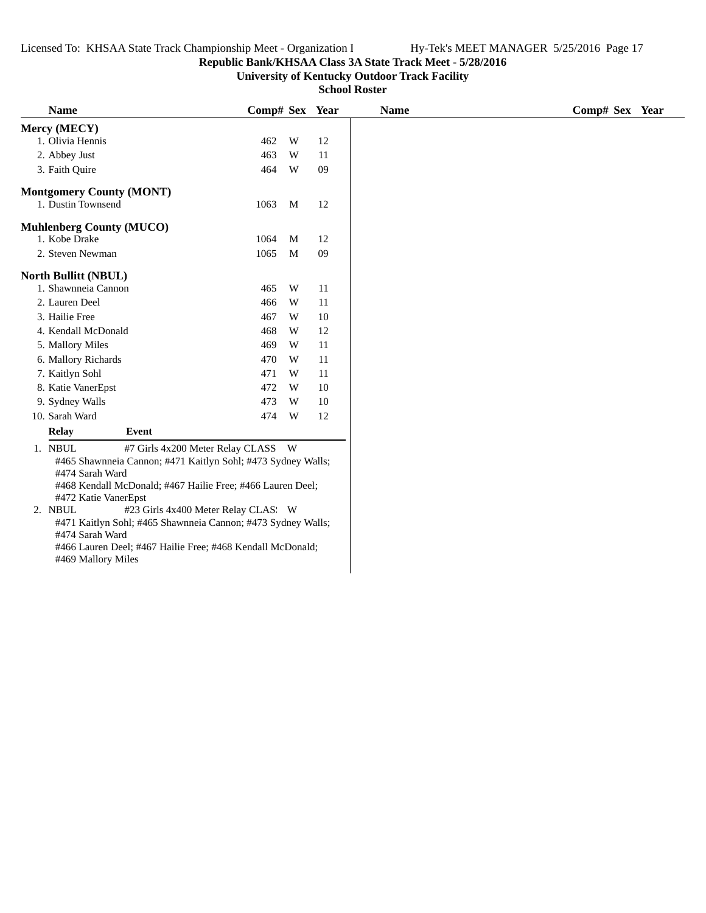## **Republic Bank/KHSAA Class 3A State Track Meet - 5/28/2016**

**University of Kentucky Outdoor Track Facility**

**School Roster**

| <b>Name</b>                                                                                                                                                                                                                                                                                                                                                 | Comp# Sex Year |   |    | <b>Name</b> |  |  |  |  | Comp# Sex Year |  |
|-------------------------------------------------------------------------------------------------------------------------------------------------------------------------------------------------------------------------------------------------------------------------------------------------------------------------------------------------------------|----------------|---|----|-------------|--|--|--|--|----------------|--|
| Mercy (MECY)                                                                                                                                                                                                                                                                                                                                                |                |   |    |             |  |  |  |  |                |  |
| 1. Olivia Hennis                                                                                                                                                                                                                                                                                                                                            | 462            | W | 12 |             |  |  |  |  |                |  |
| 2. Abbey Just                                                                                                                                                                                                                                                                                                                                               | 463            | W | 11 |             |  |  |  |  |                |  |
| 3. Faith Quire                                                                                                                                                                                                                                                                                                                                              | 464            | W | 09 |             |  |  |  |  |                |  |
| <b>Montgomery County (MONT)</b>                                                                                                                                                                                                                                                                                                                             |                |   |    |             |  |  |  |  |                |  |
| 1. Dustin Townsend                                                                                                                                                                                                                                                                                                                                          | 1063           | M | 12 |             |  |  |  |  |                |  |
| <b>Muhlenberg County (MUCO)</b>                                                                                                                                                                                                                                                                                                                             |                |   |    |             |  |  |  |  |                |  |
| 1. Kobe Drake                                                                                                                                                                                                                                                                                                                                               | 1064           | M | 12 |             |  |  |  |  |                |  |
| 2. Steven Newman                                                                                                                                                                                                                                                                                                                                            | 1065           | M | 09 |             |  |  |  |  |                |  |
| <b>North Bullitt (NBUL)</b>                                                                                                                                                                                                                                                                                                                                 |                |   |    |             |  |  |  |  |                |  |
| 1. Shawnneia Cannon                                                                                                                                                                                                                                                                                                                                         | 465            | W | 11 |             |  |  |  |  |                |  |
| 2. Lauren Deel                                                                                                                                                                                                                                                                                                                                              | 466            | W | 11 |             |  |  |  |  |                |  |
| 3. Hailie Free                                                                                                                                                                                                                                                                                                                                              | 467            | W | 10 |             |  |  |  |  |                |  |
| 4. Kendall McDonald                                                                                                                                                                                                                                                                                                                                         | 468            | W | 12 |             |  |  |  |  |                |  |
| 5. Mallory Miles                                                                                                                                                                                                                                                                                                                                            | 469            | W | 11 |             |  |  |  |  |                |  |
| 6. Mallory Richards                                                                                                                                                                                                                                                                                                                                         | 470            | W | 11 |             |  |  |  |  |                |  |
| 7. Kaitlyn Sohl                                                                                                                                                                                                                                                                                                                                             | 471            | W | 11 |             |  |  |  |  |                |  |
| 8. Katie VanerEpst                                                                                                                                                                                                                                                                                                                                          | 472            | W | 10 |             |  |  |  |  |                |  |
| 9. Sydney Walls                                                                                                                                                                                                                                                                                                                                             | 473            | W | 10 |             |  |  |  |  |                |  |
| 10. Sarah Ward                                                                                                                                                                                                                                                                                                                                              | 474            | W | 12 |             |  |  |  |  |                |  |
| Event<br>Relay                                                                                                                                                                                                                                                                                                                                              |                |   |    |             |  |  |  |  |                |  |
| 1. NBUL<br>#7 Girls 4x200 Meter Relay CLASS W<br>#465 Shawnneia Cannon; #471 Kaitlyn Sohl; #473 Sydney Walls;<br>#474 Sarah Ward<br>#468 Kendall McDonald; #467 Hailie Free; #466 Lauren Deel;<br>#472 Katie VanerEpst<br>2. NBUL<br>#23 Girls 4x400 Meter Relay CLAS: W<br>#471 Kaitlyn Sohl; #465 Shawnneia Cannon; #473 Sydney Walls;<br>#474 Sarah Ward |                |   |    |             |  |  |  |  |                |  |

#469 Mallory Miles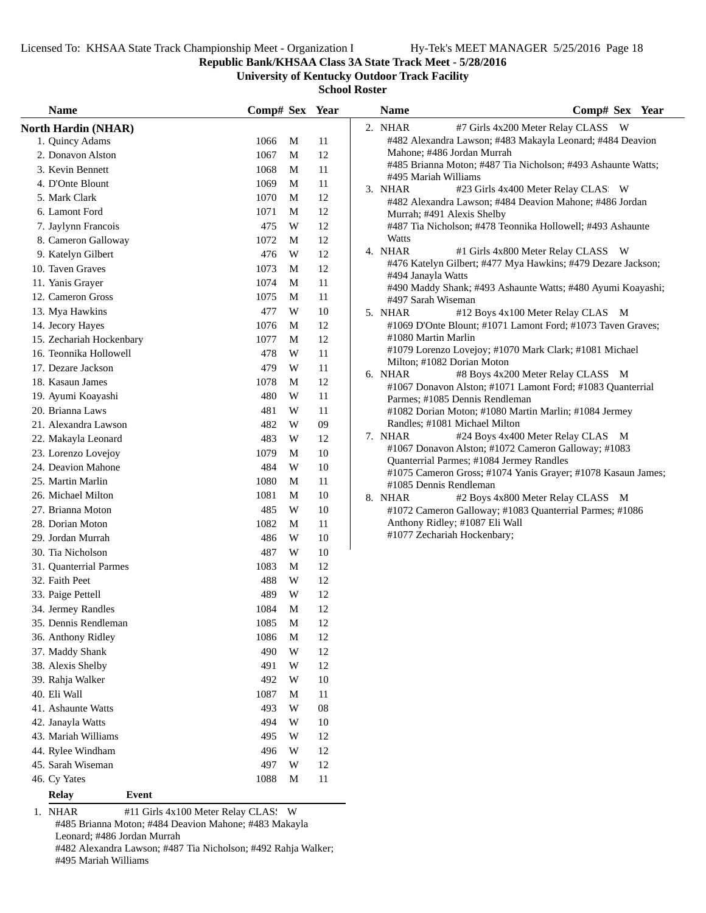**Republic Bank/KHSAA Class 3A State Track Meet - 5/28/2016**

**University of Kentucky Outdoor Track Facility**

**School Roster**

| <b>Name</b>                                    | Comp# Sex Year |                         |            | <b>Name</b> | Comp# Sex Year                                                                            |
|------------------------------------------------|----------------|-------------------------|------------|-------------|-------------------------------------------------------------------------------------------|
| <b>North Hardin (NHAR)</b>                     |                |                         |            | 2. NHAR     | #7 Girls 4x200 Meter Relay CLASS W                                                        |
| 1. Quincy Adams                                | 1066           | M                       | 11         |             | #482 Alexandra Lawson; #483 Makayla Leonard; #484 Deavion                                 |
| 2. Donavon Alston                              | 1067           | M                       | 12         |             | Mahone; #486 Jordan Murrah                                                                |
| 3. Kevin Bennett                               | 1068           | M                       | 11         |             | #485 Brianna Moton; #487 Tia Nicholson; #493 Ashaunte Watts;                              |
| 4. D'Onte Blount                               | 1069           | M                       | 11         |             | #495 Mariah Williams                                                                      |
| 5. Mark Clark                                  | 1070           | M                       | 12         | 3. NHAR     | #23 Girls 4x400 Meter Relay CLAS: W                                                       |
| 6. Lamont Ford                                 | 1071           | M                       | 12         |             | #482 Alexandra Lawson; #484 Deavion Mahone; #486 Jordan<br>Murrah; #491 Alexis Shelby     |
| 7. Jaylynn Francois                            | 475            | W                       | 12         |             | #487 Tia Nicholson; #478 Teonnika Hollowell; #493 Ashaunte                                |
| 8. Cameron Galloway                            | 1072           | M                       | 12         | Watts       |                                                                                           |
| 9. Katelyn Gilbert                             | 476            | W                       | 12         | 4. NHAR     | #1 Girls 4x800 Meter Relay CLASS W                                                        |
| 10. Taven Graves                               | 1073           | M                       | 12         |             | #476 Katelyn Gilbert; #477 Mya Hawkins; #479 Dezare Jackson;                              |
| 11. Yanis Grayer                               | 1074           | M                       | $11\,$     |             | #494 Janayla Watts                                                                        |
| 12. Cameron Gross                              | 1075           | M                       | 11         |             | #490 Maddy Shank; #493 Ashaunte Watts; #480 Ayumi Koayashi;                               |
| 13. Mya Hawkins                                | 477            | W                       | 10         | 5. NHAR     | #497 Sarah Wiseman<br>#12 Boys 4x100 Meter Relay CLAS M                                   |
| 14. Jecory Hayes                               | 1076           | M                       | 12         |             | #1069 D'Onte Blount; #1071 Lamont Ford; #1073 Taven Graves;                               |
| 15. Zechariah Hockenbary                       | 1077           | M                       | 12         |             | #1080 Martin Marlin                                                                       |
| 16. Teonnika Hollowell                         | 478            | W                       | 11         |             | #1079 Lorenzo Lovejoy; #1070 Mark Clark; #1081 Michael                                    |
| 17. Dezare Jackson                             | 479            | W                       | 11         |             | Milton; #1082 Dorian Moton                                                                |
| 18. Kasaun James                               | 1078           | M                       | 12         | 6. NHAR     | #8 Boys 4x200 Meter Relay CLASS M                                                         |
| 19. Ayumi Koayashi                             | 480            | W                       | 11         |             | #1067 Donavon Alston; #1071 Lamont Ford; #1083 Quanterrial                                |
| 20. Brianna Laws                               | 481            | W                       | 11         |             | Parmes; #1085 Dennis Rendleman                                                            |
| 21. Alexandra Lawson                           | 482            | W                       | 09         |             | #1082 Dorian Moton; #1080 Martin Marlin; #1084 Jermey<br>Randles; #1081 Michael Milton    |
| 22. Makayla Leonard                            | 483            | W                       | 12         | 7. NHAR     | #24 Boys 4x400 Meter Relay CLAS M                                                         |
| 23. Lorenzo Lovejoy                            | 1079           | M                       | 10         |             | #1067 Donavon Alston; #1072 Cameron Galloway; #1083                                       |
| 24. Deavion Mahone                             | 484            | W                       | 10         |             | Quanterrial Parmes; #1084 Jermey Randles                                                  |
| 25. Martin Marlin                              | 1080           | M                       | 11         |             | #1075 Cameron Gross; #1074 Yanis Grayer; #1078 Kasaun James;                              |
| 26. Michael Milton                             | 1081           | M                       | 10         |             | #1085 Dennis Rendleman                                                                    |
| 27. Brianna Moton                              | 485            | W                       | 10         | 8. NHAR     | #2 Boys 4x800 Meter Relay CLASS M                                                         |
| 28. Dorian Moton                               | 1082           | M                       | 11         |             | #1072 Cameron Galloway; #1083 Quanterrial Parmes; #1086<br>Anthony Ridley; #1087 Eli Wall |
|                                                |                |                         |            |             | #1077 Zechariah Hockenbary;                                                               |
| 29. Jordan Murrah<br>30. Tia Nicholson         | 486            | W<br>W                  | 10         |             |                                                                                           |
|                                                | 487            |                         | 10         |             |                                                                                           |
| 31. Quanterrial Parmes                         | 1083           | M                       | 12         |             |                                                                                           |
| 32. Faith Peet                                 | 488            | W                       | 12         |             |                                                                                           |
| 33. Paige Pettell                              | 489            | W                       | 12         |             |                                                                                           |
| 34. Jermey Randles                             | 1084           | M                       | 12         |             |                                                                                           |
| 35. Dennis Rendleman                           | 1085           | M                       | 12         |             |                                                                                           |
| 36. Anthony Ridley                             | 1086           | M                       | 12         |             |                                                                                           |
| 37. Maddy Shank                                | 490            | $\ensuremath{\text{W}}$ | 12         |             |                                                                                           |
| 38. Alexis Shelby                              | 491            | W                       | 12         |             |                                                                                           |
| 39. Rahja Walker                               | 492            | W                       | $10\,$     |             |                                                                                           |
| 40. Eli Wall                                   | 1087           | М                       | 11         |             |                                                                                           |
| 41. Ashaunte Watts                             | 493            | W                       | ${\bf 08}$ |             |                                                                                           |
| 42. Janayla Watts                              | 494            | W                       | 10         |             |                                                                                           |
| 43. Mariah Williams                            | 495            | W                       | 12         |             |                                                                                           |
| 44. Rylee Windham                              | 496            | W                       | 12         |             |                                                                                           |
| 45. Sarah Wiseman                              | 497            | W                       | 12         |             |                                                                                           |
| 46. Cy Yates                                   | 1088           | M                       | 11         |             |                                                                                           |
| <b>Relay</b><br>Event                          |                |                         |            |             |                                                                                           |
| 1. NHAR<br>#11 Girls 4x100 Meter Relay CLAS: W |                |                         |            |             |                                                                                           |

#485 Brianna Moton; #484 Deavion Mahone; #483 Makayla Leonard; #486 Jordan Murrah #482 Alexandra Lawson; #487 Tia Nicholson; #492 Rahja Walker; #495 Mariah Williams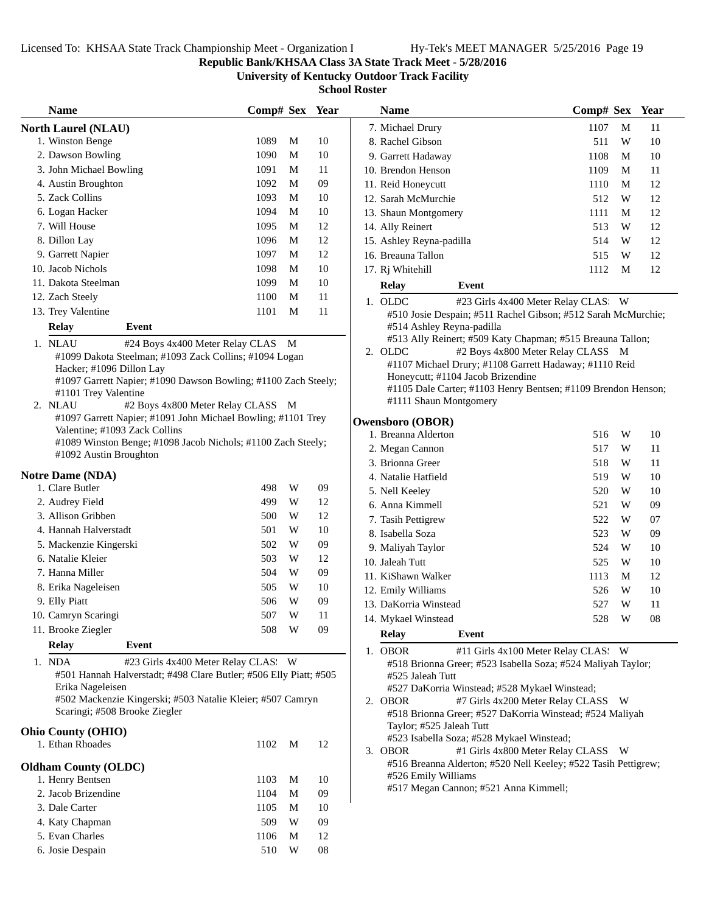**Name Comp# Sex** Year

**Republic Bank/KHSAA Class 3A State Track Meet - 5/28/2016**

**University of Kentucky Outdoor Track Facility**

**School Roster**

| <b>Name</b>                                                                            | Comp# Sex |   | Year |
|----------------------------------------------------------------------------------------|-----------|---|------|
| <b>North Laurel (NLAU)</b>                                                             |           |   |      |
| 1. Winston Benge                                                                       | 1089      | М | 10   |
| 2. Dawson Bowling                                                                      | 1090      | М | 10   |
| 3. John Michael Bowling                                                                | 1091      | М | 11   |
| 4. Austin Broughton                                                                    | 1092      | М | 09   |
| 5. Zack Collins                                                                        | 1093      | М | 10   |
| 6. Logan Hacker                                                                        | 1094      | М | 10   |
| 7. Will House                                                                          | 1095      | M | 12   |
| 8. Dillon Lay                                                                          | 1096      | М | 12   |
| 9. Garrett Napier                                                                      | 1097      | М | 12   |
| 10. Jacob Nichols                                                                      | 1098      | М | 10   |
| 11. Dakota Steelman                                                                    | 1099      | М | 10   |
| 12. Zach Steely                                                                        | 1100      | М | 11   |
| 13. Trey Valentine                                                                     | 1101      | М | 11   |
| <b>Relay</b><br>Event                                                                  |           |   |      |
| 1. NLAU<br>#24 Boys 4x400 Meter Relay CLAS                                             |           | М |      |
| #1099 Dakota Steelman; #1093 Zack Collins; #1094 Logan                                 |           |   |      |
| Hacker; #1096 Dillon Lay                                                               |           |   |      |
| #1097 Garrett Napier; #1090 Dawson Bowling; #1100 Zach Steely;                         |           |   |      |
| #1101 Trey Valentine                                                                   |           |   |      |
| 2. NLAU<br>#2 Boys 4x800 Meter Relay CLASS                                             |           | M |      |
| #1097 Garrett Napier; #1091 John Michael Bowling; #1101 Trey                           |           |   |      |
| Valentine; #1093 Zack Collins                                                          |           |   |      |
| #1089 Winston Benge; #1098 Jacob Nichols; #1100 Zach Steely;<br>#1092 Austin Broughton |           |   |      |
|                                                                                        |           |   |      |
| <b>Notre Dame (NDA)</b>                                                                |           |   |      |
| 1. Clare Butler                                                                        | 498       | W | 09   |
| 2. Audrey Field                                                                        |           |   |      |
|                                                                                        | 499       | W | 12   |
| 3. Allison Gribben                                                                     | 500       | W | 12   |
| 4. Hannah Halverstadt                                                                  | 501       | W | 10   |
| 5. Mackenzie Kingerski                                                                 | 502       | W | 09   |
| 6. Natalie Kleier                                                                      | 503       | W | 12   |
| 7. Hanna Miller                                                                        | 504       | W | 09   |
| 8. Erika Nageleisen                                                                    | 505       | W | 10   |
| 9. Elly Piatt                                                                          | 506       | W | 09   |
| 10. Camryn Scaringi                                                                    | 507       | W | 11   |
| 11. Brooke Ziegler                                                                     | 508       | W | 09   |
|                                                                                        |           |   |      |
| <b>Relay</b><br><b>Event</b>                                                           |           |   |      |
| #23 Girls 4x400 Meter Relay CLAS:<br>1. NDA                                            |           | W |      |
| #501 Hannah Halverstadt; #498 Clare Butler; #506 Elly Piatt; #505                      |           |   |      |
| Erika Nageleisen<br>#502 Mackenzie Kingerski; #503 Natalie Kleier; #507 Camryn         |           |   |      |
| Scaringi; #508 Brooke Ziegler                                                          |           |   |      |
|                                                                                        |           |   |      |
| <b>Ohio County (OHIO)</b>                                                              |           |   |      |
| 1. Ethan Rhoades                                                                       | 1102      | М | 12   |
| <b>Oldham County (OLDC)</b>                                                            |           |   |      |
| 1. Henry Bentsen                                                                       | 1103      | M | 10   |
| 2. Jacob Brizendine                                                                    | 1104      | М | 09   |
| 3. Dale Carter                                                                         | 1105      | М | 10   |
| 4. Katy Chapman                                                                        | 509       | W | 09   |
| 5. Evan Charles                                                                        | 1106      | M | 12   |

|    | 7. Michael Drury          |                                                                                             | 1107 | М | 11 |
|----|---------------------------|---------------------------------------------------------------------------------------------|------|---|----|
|    | 8. Rachel Gibson          |                                                                                             | 511  | W | 10 |
|    | 9. Garrett Hadaway        |                                                                                             | 1108 | М | 10 |
|    | 10. Brendon Henson        |                                                                                             | 1109 | M | 11 |
|    | 11. Reid Honeycutt        |                                                                                             | 1110 | М | 12 |
|    | 12. Sarah McMurchie       |                                                                                             | 512  | W | 12 |
|    | 13. Shaun Montgomery      |                                                                                             | 1111 | М | 12 |
|    | 14. Ally Reinert          |                                                                                             | 513  | W | 12 |
|    | 15. Ashley Reyna-padilla  |                                                                                             | 514  | W | 12 |
|    | 16. Breauna Tallon        |                                                                                             | 515  | W | 12 |
|    | 17. Rj Whitehill          |                                                                                             | 1112 | М | 12 |
|    | <b>Relay</b>              | Event                                                                                       |      |   |    |
| 1. | <b>OLDC</b>               | #23 Girls 4x400 Meter Relay CLAS.                                                           |      | W |    |
|    |                           | #510 Josie Despain; #511 Rachel Gibson; #512 Sarah McMurchie;                               |      |   |    |
|    | #514 Ashley Reyna-padilla |                                                                                             |      |   |    |
|    |                           | #513 Ally Reinert; #509 Katy Chapman; #515 Breauna Tallon;                                  |      |   |    |
| 2. | <b>OLDC</b>               | #2 Boys 4x800 Meter Relay CLASS                                                             |      | М |    |
|    |                           | #1107 Michael Drury; #1108 Garrett Hadaway; #1110 Reid<br>Honeycutt; #1104 Jacob Brizendine |      |   |    |
|    |                           | #1105 Dale Carter; #1103 Henry Bentsen; #1109 Brendon Henson;                               |      |   |    |
|    | #1111 Shaun Montgomery    |                                                                                             |      |   |    |
|    | wensboro (OBOR)           |                                                                                             |      |   |    |
|    | 1. Breanna Alderton       |                                                                                             | 516  | W | 10 |
|    | 2. Megan Cannon           |                                                                                             | 517  | W | 11 |
|    | 3. Brionna Greer          |                                                                                             | 518  | W | 11 |
|    | 4. Natalie Hatfield       |                                                                                             | 519  | W | 10 |
|    | 5. Nell Keeley            |                                                                                             | 520  | W | 10 |
|    | 6. Anna Kimmell           |                                                                                             | 521  | W | 09 |
|    | 7. Tasih Pettigrew        |                                                                                             | 522  | W | 07 |
|    | 8. Isabella Soza          |                                                                                             | 523  | W | 09 |
|    | 9. Maliyah Taylor         |                                                                                             | 524  | W | 10 |
|    | 10. Jaleah Tutt           |                                                                                             | 525  | W | 10 |
|    | 11. KiShawn Walker        |                                                                                             | 1113 | М | 12 |
|    | 12. Emily Williams        |                                                                                             | 526  | W | 10 |
|    | 13. DaKorria Winstead     |                                                                                             | 527  | W | 11 |
|    | 14. Mykael Winstead       |                                                                                             | 528  | W | 08 |
|    | <b>Relay</b>              | <b>Event</b>                                                                                |      |   |    |
| 1. | <b>OBOR</b>               | #11 Girls 4x100 Meter Relay CLAS: W                                                         |      |   |    |
|    |                           | #518 Brionna Greer; #523 Isabella Soza; #524 Maliyah Taylor;                                |      |   |    |
|    | #525 Jaleah Tutt          |                                                                                             |      |   |    |
|    |                           | #527 DaKorria Winstead; #528 Mykael Winstead;                                               |      |   |    |
| 2. | <b>OBOR</b>               | #7 Girls 4x200 Meter Relay CLASS                                                            |      | W |    |
|    |                           | #518 Brionna Greer; #527 DaKorria Winstead; #524 Maliyah                                    |      |   |    |
|    | Taylor; #525 Jaleah Tutt  |                                                                                             |      |   |    |
|    |                           | #523 Isabella Soza; #528 Mykael Winstead;                                                   |      |   |    |
| 3. | <b>OBOR</b>               | #1 Girls 4x800 Meter Relay CLASS                                                            |      | W |    |

#516 Breanna Alderton; #520 Nell Keeley; #522 Tasih Pettigrew;

#526 Emily Williams

#517 Megan Cannon; #521 Anna Kimmell;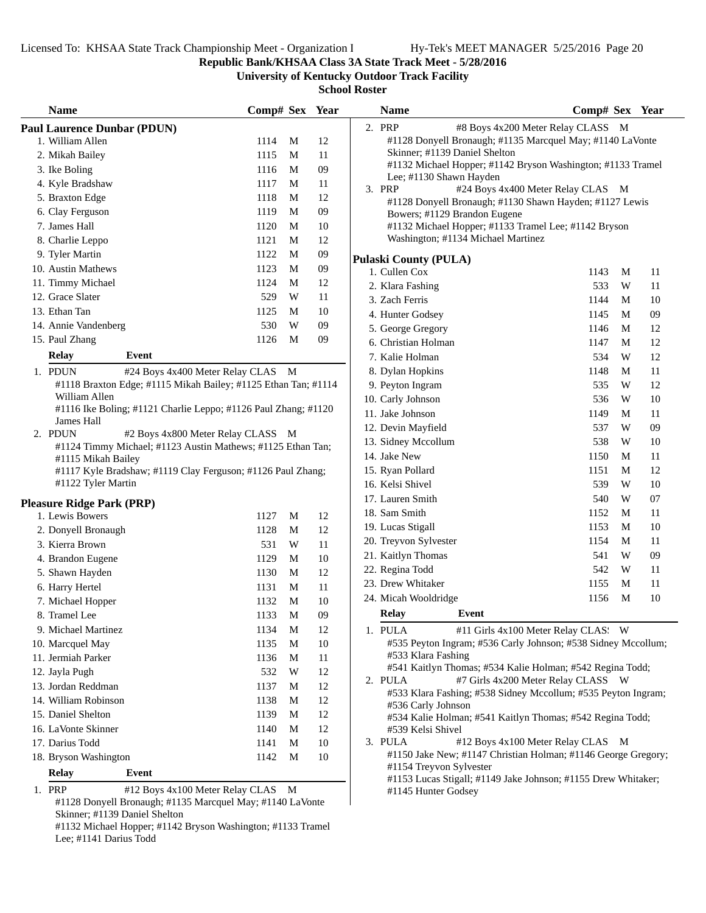Skinner; #1139 Daniel Shelton

Lee; #1141 Darius Todd

#1132 Michael Hopper; #1142 Bryson Washington; #1133 Tramel

**Republic Bank/KHSAA Class 3A State Track Meet - 5/28/2016**

**University of Kentucky Outdoor Track Facility**

| <b>Name</b>                           |                                                                | Comp# Sex Year |   |        | <b>Name</b>                            | Comp# Sex Year                                                |    |
|---------------------------------------|----------------------------------------------------------------|----------------|---|--------|----------------------------------------|---------------------------------------------------------------|----|
| <b>Paul Laurence Dunbar (PDUN)</b>    |                                                                |                |   |        | 2. PRP                                 | #8 Boys 4x200 Meter Relay CLASS M                             |    |
| 1. William Allen                      |                                                                | 1114           | M | 12     |                                        | #1128 Donyell Bronaugh; #1135 Marcquel May; #1140 LaVonte     |    |
| 2. Mikah Bailey                       |                                                                | 1115           | M | 11     | Skinner; #1139 Daniel Shelton          |                                                               |    |
| 3. Ike Boling                         |                                                                | 1116           | M | $09\,$ |                                        | #1132 Michael Hopper; #1142 Bryson Washington; #1133 Tramel   |    |
| 4. Kyle Bradshaw                      |                                                                | 1117           | M | 11     | Lee; #1130 Shawn Hayden<br>3. PRP      | #24 Boys 4x400 Meter Relay CLAS M                             |    |
| 5. Braxton Edge                       |                                                                | 1118           | M | 12     |                                        | #1128 Donyell Bronaugh; #1130 Shawn Hayden; #1127 Lewis       |    |
| 6. Clay Ferguson                      |                                                                | 1119           | M | 09     | Bowers; #1129 Brandon Eugene           |                                                               |    |
| 7. James Hall                         |                                                                | 1120           | M | 10     |                                        | #1132 Michael Hopper; #1133 Tramel Lee; #1142 Bryson          |    |
| 8. Charlie Leppo                      |                                                                | 1121           | M | 12     | Washington; #1134 Michael Martinez     |                                                               |    |
| 9. Tyler Martin                       |                                                                | 1122           | M | 09     |                                        |                                                               |    |
| 10. Austin Mathews                    |                                                                | 1123           | M | 09     | Pulaski County (PULA)<br>1. Cullen Cox | 1143<br>M                                                     | 11 |
| 11. Timmy Michael                     |                                                                | 1124           | M | 12     | 2. Klara Fashing                       | 533<br>W                                                      | 11 |
| 12. Grace Slater                      |                                                                | 529            | W | 11     | 3. Zach Ferris                         | 1144<br>M                                                     | 10 |
| 13. Ethan Tan                         |                                                                | 1125           | M | 10     | 4. Hunter Godsey                       | 1145<br>M                                                     | 09 |
| 14. Annie Vandenberg                  |                                                                | 530            | W | 09     |                                        |                                                               | 12 |
| 15. Paul Zhang                        |                                                                | 1126           | M | 09     | 5. George Gregory                      | 1146<br>M                                                     |    |
| <b>Relay</b>                          | <b>Event</b>                                                   |                |   |        | 6. Christian Holman                    | 1147<br>M                                                     | 12 |
|                                       |                                                                |                |   |        | 7. Kalie Holman                        | 534<br>W                                                      | 12 |
| 1. PDUN                               | #24 Boys 4x400 Meter Relay CLAS M                              |                |   |        | 8. Dylan Hopkins                       | 1148<br>M                                                     | 11 |
| William Allen                         | #1118 Braxton Edge; #1115 Mikah Bailey; #1125 Ethan Tan; #1114 |                |   |        | 9. Peyton Ingram                       | 535<br>W                                                      | 12 |
|                                       | #1116 Ike Boling; #1121 Charlie Leppo; #1126 Paul Zhang; #1120 |                |   |        | 10. Carly Johnson                      | 536<br>W                                                      | 10 |
| James Hall                            |                                                                |                |   |        | 11. Jake Johnson                       | 1149<br>M                                                     | 11 |
| 2. PDUN                               | #2 Boys 4x800 Meter Relay CLASS M                              |                |   |        | 12. Devin Mayfield                     | 537<br>W                                                      | 09 |
|                                       | #1124 Timmy Michael; #1123 Austin Mathews; #1125 Ethan Tan;    |                |   |        | 13. Sidney Mccollum                    | 538<br>W                                                      | 10 |
| #1115 Mikah Bailey                    |                                                                |                |   |        | 14. Jake New                           | 1150<br>M                                                     | 11 |
|                                       | #1117 Kyle Bradshaw; #1119 Clay Ferguson; #1126 Paul Zhang;    |                |   |        | 15. Ryan Pollard                       | 1151<br>M                                                     | 12 |
| #1122 Tyler Martin                    |                                                                |                |   |        | 16. Kelsi Shivel                       | 539<br>W                                                      | 10 |
| <b>Pleasure Ridge Park (PRP)</b>      |                                                                |                |   |        | 17. Lauren Smith                       | 540<br>W                                                      | 07 |
| 1. Lewis Bowers                       |                                                                | 1127           | M | 12     | 18. Sam Smith                          | 1152<br>M                                                     | 11 |
| 2. Donyell Bronaugh                   |                                                                | 1128           | M | 12     | 19. Lucas Stigall                      | 1153<br>M                                                     | 10 |
| 3. Kierra Brown                       |                                                                | 531            | W | 11     | 20. Treyvon Sylvester                  | 1154<br>M                                                     | 11 |
| 4. Brandon Eugene                     |                                                                | 1129           | M | 10     | 21. Kaitlyn Thomas                     | 541<br>W                                                      | 09 |
| 5. Shawn Hayden                       |                                                                | 1130           | M | 12     | 22. Regina Todd                        | 542<br>W                                                      | 11 |
| 6. Harry Hertel                       |                                                                | 1131           | M | 11     | 23. Drew Whitaker                      | 1155<br>M                                                     | 11 |
| 7. Michael Hopper                     |                                                                | 1132           | M | 10     | 24. Micah Wooldridge                   | 1156<br>M                                                     | 10 |
| 8. Tramel Lee                         |                                                                | 1133           | M | 09     | <b>Relay</b><br>Event                  |                                                               |    |
| 9. Michael Martinez                   |                                                                | 1134           | M | 12     | 1. PULA                                | #11 Girls 4x100 Meter Relay CLAS: W                           |    |
| 10. Marcquel May                      |                                                                | 1135           | M | 10     |                                        | #535 Peyton Ingram; #536 Carly Johnson; #538 Sidney Mccollum; |    |
| 11. Jermiah Parker                    |                                                                | 1136           | M | 11     | #533 Klara Fashing                     |                                                               |    |
| 12. Jayla Pugh                        |                                                                | 532            | W | 12     |                                        | #541 Kaitlyn Thomas; #534 Kalie Holman; #542 Regina Todd;     |    |
| 13. Jordan Reddman                    |                                                                | 1137           | M | 12     | 2. PULA                                | #7 Girls 4x200 Meter Relay CLASS W                            |    |
| 14. William Robinson                  |                                                                | 1138           | M | 12     |                                        | #533 Klara Fashing; #538 Sidney Mccollum; #535 Peyton Ingram; |    |
| 15. Daniel Shelton                    |                                                                | 1139           | M | $12\,$ | #536 Carly Johnson                     |                                                               |    |
| 16. LaVonte Skinner                   |                                                                | 1140           | M | $12\,$ | #539 Kelsi Shivel                      | #534 Kalie Holman; #541 Kaitlyn Thomas; #542 Regina Todd;     |    |
| 17. Darius Todd                       |                                                                | 1141           | M | 10     | 3. PULA                                | #12 Boys 4x100 Meter Relay CLAS M                             |    |
|                                       |                                                                |                |   |        |                                        | #1150 Jake New; #1147 Christian Holman; #1146 George Gregory; |    |
|                                       |                                                                |                |   |        |                                        |                                                               |    |
| 18. Bryson Washington<br><b>Relay</b> | Event                                                          | 1142           | M | 10     | #1154 Treyvon Sylvester                |                                                               |    |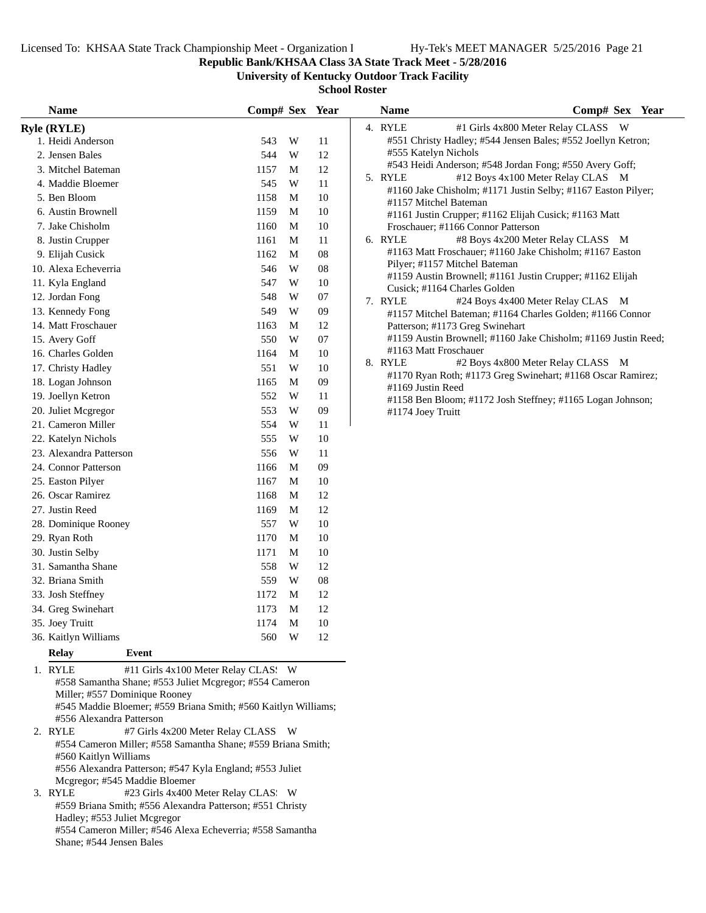**Republic Bank/KHSAA Class 3A State Track Meet - 5/28/2016**

**University of Kentucky Outdoor Track Facility**

**School Roster**

| <b>Name</b>                                    | Comp# Sex Year |             |            | <b>Name</b>           | Comp# Sex Year                                                    |
|------------------------------------------------|----------------|-------------|------------|-----------------------|-------------------------------------------------------------------|
| <b>Ryle (RYLE)</b>                             |                |             |            | 4. RYLE               | #1 Girls 4x800 Meter Relay CLASS W                                |
| 1. Heidi Anderson                              | 543            | W           | 11         |                       | #551 Christy Hadley; #544 Jensen Bales; #552 Joellyn Ketron;      |
| 2. Jensen Bales                                | 544            | W           | 12         | #555 Katelyn Nichols  |                                                                   |
| 3. Mitchel Bateman                             | 1157           | М           | 12         |                       | #543 Heidi Anderson; #548 Jordan Fong; #550 Avery Goff;           |
| 4. Maddie Bloemer                              | 545            | W           | 11         | 5. RYLE               | #12 Boys 4x100 Meter Relay CLAS M                                 |
| 5. Ben Bloom                                   | 1158           | M           | 10         | #1157 Mitchel Bateman | #1160 Jake Chisholm; #1171 Justin Selby; #1167 Easton Pilyer;     |
| 6. Austin Brownell                             | 1159           | M           | 10         |                       | #1161 Justin Crupper; #1162 Elijah Cusick; #1163 Matt             |
| 7. Jake Chisholm                               | 1160           | M           | 10         |                       | Froschauer; #1166 Connor Patterson                                |
| 8. Justin Crupper                              | 1161           | M           | 11         | 6. RYLE               | #8 Boys 4x200 Meter Relay CLASS M                                 |
| 9. Elijah Cusick                               | 1162           | M           | ${\bf 08}$ |                       | #1163 Matt Froschauer; #1160 Jake Chisholm; #1167 Easton          |
| 10. Alexa Echeverria                           | 546            | $\mathbf W$ | 08         |                       | Pilyer; #1157 Mitchel Bateman                                     |
| 11. Kyla England                               | 547            | W           | 10         |                       | #1159 Austin Brownell; #1161 Justin Crupper; #1162 Elijah         |
| 12. Jordan Fong                                | 548            | W           | 07         | 7. RYLE               | Cusick; #1164 Charles Golden<br>#24 Boys 4x400 Meter Relay CLAS M |
| 13. Kennedy Fong                               | 549            | W           | 09         |                       | #1157 Mitchel Bateman; #1164 Charles Golden; #1166 Connor         |
| 14. Matt Froschauer                            | 1163           | M           | 12         |                       | Patterson; #1173 Greg Swinehart                                   |
| 15. Avery Goff                                 | 550            | W           | 07         |                       | #1159 Austin Brownell; #1160 Jake Chisholm; #1169 Justin Reed;    |
| 16. Charles Golden                             | 1164           | M           | $10\,$     | #1163 Matt Froschauer |                                                                   |
| 17. Christy Hadley                             | 551            | W           | 10         | 8. RYLE               | #2 Boys 4x800 Meter Relay CLASS M                                 |
| 18. Logan Johnson                              | 1165           | M           | 09         | #1169 Justin Reed     | #1170 Ryan Roth; #1173 Greg Swinehart; #1168 Oscar Ramirez;       |
| 19. Joellyn Ketron                             | 552            | W           | 11         |                       | #1158 Ben Bloom; #1172 Josh Steffney; #1165 Logan Johnson;        |
| 20. Juliet Mcgregor                            | 553            | W           | 09         | #1174 Joey Truitt     |                                                                   |
| 21. Cameron Miller                             | 554            | W           | 11         |                       |                                                                   |
| 22. Katelyn Nichols                            | 555            | W           | 10         |                       |                                                                   |
| 23. Alexandra Patterson                        | 556            | W           | 11         |                       |                                                                   |
| 24. Connor Patterson                           | 1166           | M           | 09         |                       |                                                                   |
| 25. Easton Pilyer                              | 1167           | M           | 10         |                       |                                                                   |
| 26. Oscar Ramirez                              | 1168           | M           | 12         |                       |                                                                   |
| 27. Justin Reed                                | 1169           | M           | 12         |                       |                                                                   |
| 28. Dominique Rooney                           | 557            | W           | 10         |                       |                                                                   |
| 29. Ryan Roth                                  | 1170           | M           | 10         |                       |                                                                   |
| 30. Justin Selby                               | 1171           | M           | 10         |                       |                                                                   |
| 31. Samantha Shane                             | 558            | W           | 12         |                       |                                                                   |
| 32. Briana Smith                               | 559            | W           | 08         |                       |                                                                   |
| 33. Josh Steffney                              | 1172           | M           | 12         |                       |                                                                   |
| 34. Greg Swinehart                             | 1173           | M           | 12         |                       |                                                                   |
| 35. Joey Truitt                                | 1174           | M           | 10         |                       |                                                                   |
| 36. Kaitlyn Williams                           | 560            | W           | 12         |                       |                                                                   |
| Relay<br>Event                                 |                |             |            |                       |                                                                   |
| #11 Girls 4x100 Meter Relay CLAS: W<br>1. RYLE |                |             |            |                       |                                                                   |

#558 Samantha Shane; #553 Juliet Mcgregor; #554 Cameron Miller; #557 Dominique Rooney

#545 Maddie Bloemer; #559 Briana Smith; #560 Kaitlyn Williams; #556 Alexandra Patterson

2. RYLE #7 Girls 4x200 Meter Relay CLASS W #554 Cameron Miller; #558 Samantha Shane; #559 Briana Smith; #560 Kaitlyn Williams #556 Alexandra Patterson; #547 Kyla England; #553 Juliet Mcgregor; #545 Maddie Bloemer<br>3. RYLE #23 Girls 4x400 N

#23 Girls 4x400 Meter Relay CLAS: W #559 Briana Smith; #556 Alexandra Patterson; #551 Christy Hadley; #553 Juliet Mcgregor #554 Cameron Miller; #546 Alexa Echeverria; #558 Samantha Shane; #544 Jensen Bales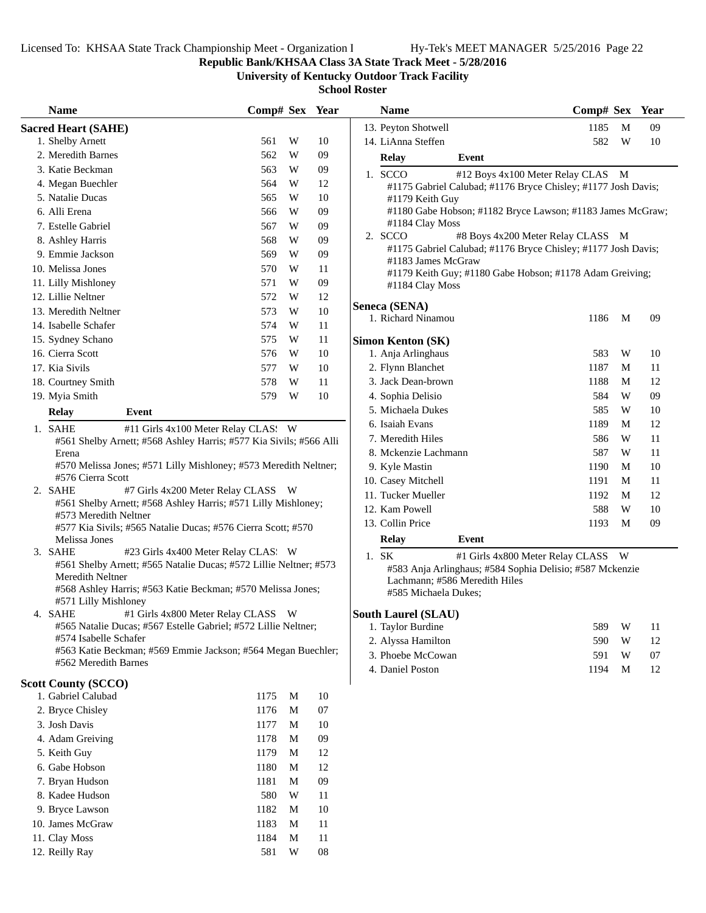**Republic Bank/KHSAA Class 3A State Track Meet - 5/28/2016**

**University of Kentucky Outdoor Track Facility**

| <b>Name</b>                              |                                                                                                                                  | Comp# Sex Year |             |            | <b>Name</b>                                                                                                       | Comp# Sex Year |   |    |
|------------------------------------------|----------------------------------------------------------------------------------------------------------------------------------|----------------|-------------|------------|-------------------------------------------------------------------------------------------------------------------|----------------|---|----|
| <b>Sacred Heart (SAHE)</b>               |                                                                                                                                  |                |             |            | 13. Peyton Shotwell                                                                                               | 1185           | M | 09 |
| 1. Shelby Arnett                         |                                                                                                                                  | 561            | W           | 10         | 14. LiAnna Steffen                                                                                                | 582            | W | 10 |
| 2. Meredith Barnes                       |                                                                                                                                  | 562            | W           | 09         | <b>Relay</b><br>Event                                                                                             |                |   |    |
| 3. Katie Beckman                         |                                                                                                                                  | 563            | W           | 09         | 1. SCCO<br>#12 Boys 4x100 Meter Relay CLAS M                                                                      |                |   |    |
| 4. Megan Buechler                        |                                                                                                                                  | 564            | W           | 12         | #1175 Gabriel Calubad; #1176 Bryce Chisley; #1177 Josh Davis;                                                     |                |   |    |
| 5. Natalie Ducas                         |                                                                                                                                  | 565            | W           | 10         | #1179 Keith Guy                                                                                                   |                |   |    |
| 6. Alli Erena                            |                                                                                                                                  | 566            | W           | 09         | #1180 Gabe Hobson; #1182 Bryce Lawson; #1183 James McGraw;                                                        |                |   |    |
| 7. Estelle Gabriel                       |                                                                                                                                  | 567            | W           | 09         | #1184 Clay Moss<br>2. SCCO<br>#8 Boys 4x200 Meter Relay CLASS M                                                   |                |   |    |
| 8. Ashley Harris                         |                                                                                                                                  | 568            | W           | 09         | #1175 Gabriel Calubad; #1176 Bryce Chisley; #1177 Josh Davis;                                                     |                |   |    |
| 9. Emmie Jackson                         |                                                                                                                                  | 569            | W           | 09         | #1183 James McGraw                                                                                                |                |   |    |
| 10. Melissa Jones                        |                                                                                                                                  | 570            | W           | 11         | #1179 Keith Guy; #1180 Gabe Hobson; #1178 Adam Greiving;                                                          |                |   |    |
| 11. Lilly Mishloney                      |                                                                                                                                  | 571            | W           | 09         | #1184 Clay Moss                                                                                                   |                |   |    |
| 12. Lillie Neltner                       |                                                                                                                                  | 572            | W           | 12         | Seneca (SENA)                                                                                                     |                |   |    |
| 13. Meredith Neltner                     |                                                                                                                                  | 573            | W           | 10         | 1. Richard Ninamou                                                                                                | 1186           | M | 09 |
| 14. Isabelle Schafer                     |                                                                                                                                  | 574            | W           | 11         |                                                                                                                   |                |   |    |
| 15. Sydney Schano                        |                                                                                                                                  | 575            | W           | 11         | <b>Simon Kenton (SK)</b>                                                                                          |                |   |    |
| 16. Cierra Scott                         |                                                                                                                                  | 576            | W           | 10         | 1. Anja Arlinghaus                                                                                                | 583            | W | 10 |
| 17. Kia Sivils                           |                                                                                                                                  | 577            | W           | 10         | 2. Flynn Blanchet                                                                                                 | 1187           | M | 11 |
| 18. Courtney Smith                       |                                                                                                                                  | 578            | W           | $11\,$     | 3. Jack Dean-brown                                                                                                | 1188           | M | 12 |
| 19. Myia Smith                           |                                                                                                                                  | 579            | W           | 10         | 4. Sophia Delisio                                                                                                 | 584            | W | 09 |
| <b>Relay</b>                             | Event                                                                                                                            |                |             |            | 5. Michaela Dukes                                                                                                 | 585            | W | 10 |
| 1. SAHE                                  | #11 Girls 4x100 Meter Relay CLAS: W                                                                                              |                |             |            | 6. Isaiah Evans                                                                                                   | 1189           | M | 12 |
|                                          | #561 Shelby Arnett; #568 Ashley Harris; #577 Kia Sivils; #566 Alli                                                               |                |             |            | 7. Meredith Hiles                                                                                                 | 586            | W | 11 |
| Erena                                    |                                                                                                                                  |                |             |            | 8. Mckenzie Lachmann                                                                                              | 587            | W | 11 |
|                                          | #570 Melissa Jones; #571 Lilly Mishloney; #573 Meredith Neltner;                                                                 |                |             |            | 9. Kyle Mastin                                                                                                    | 1190           | M | 10 |
| #576 Cierra Scott                        |                                                                                                                                  |                |             |            | 10. Casey Mitchell                                                                                                | 1191           | M | 11 |
| 2. SAHE                                  | #7 Girls 4x200 Meter Relay CLASS W<br>#561 Shelby Arnett; #568 Ashley Harris; #571 Lilly Mishloney;                              |                |             |            | 11. Tucker Mueller                                                                                                | 1192           | M | 12 |
| #573 Meredith Neltner                    |                                                                                                                                  |                |             |            | 12. Kam Powell                                                                                                    | 588            | W | 10 |
|                                          | #577 Kia Sivils; #565 Natalie Ducas; #576 Cierra Scott; #570                                                                     |                |             |            | 13. Collin Price                                                                                                  | 1193           | M | 09 |
| Melissa Jones                            |                                                                                                                                  |                |             |            | Event<br><b>Relay</b>                                                                                             |                |   |    |
| 3. SAHE                                  | #23 Girls 4x400 Meter Relay CLAS. W                                                                                              |                |             |            | 1. SK<br>#1 Girls 4x800 Meter Relay CLASS W                                                                       |                |   |    |
| Meredith Neltner<br>#571 Lilly Mishloney | #561 Shelby Arnett; #565 Natalie Ducas; #572 Lillie Neltner; #573<br>#568 Ashley Harris; #563 Katie Beckman; #570 Melissa Jones; |                |             |            | #583 Anja Arlinghaus; #584 Sophia Delisio; #587 Mckenzie<br>Lachmann; #586 Meredith Hiles<br>#585 Michaela Dukes; |                |   |    |
| 4. SAHE                                  | #1 Girls 4x800 Meter Relay CLASS W                                                                                               |                |             |            | <b>South Laurel (SLAU)</b>                                                                                        |                |   |    |
|                                          | #565 Natalie Ducas; #567 Estelle Gabriel; #572 Lillie Neltner;                                                                   |                |             |            | 1. Taylor Burdine                                                                                                 | 589            | W | 11 |
| #574 Isabelle Schafer                    |                                                                                                                                  |                |             |            | 2. Alyssa Hamilton                                                                                                | 590            | W | 12 |
|                                          | #563 Katie Beckman; #569 Emmie Jackson; #564 Megan Buechler;                                                                     |                |             |            | 3. Phoebe McCowan                                                                                                 | 591            | W | 07 |
| #562 Meredith Barnes                     |                                                                                                                                  |                |             |            | 4. Daniel Poston                                                                                                  | 1194           | M | 12 |
| <b>Scott County (SCCO)</b>               |                                                                                                                                  |                |             |            |                                                                                                                   |                |   |    |
| 1. Gabriel Calubad                       |                                                                                                                                  | 1175           | M           | 10         |                                                                                                                   |                |   |    |
| 2. Bryce Chisley                         |                                                                                                                                  | 1176           | M           | 07         |                                                                                                                   |                |   |    |
| 3. Josh Davis                            |                                                                                                                                  | 1177           | M           | 10         |                                                                                                                   |                |   |    |
| 4. Adam Greiving                         |                                                                                                                                  | 1178           | M           | 09         |                                                                                                                   |                |   |    |
| 5. Keith Guy                             |                                                                                                                                  | 1179           | M           | 12         |                                                                                                                   |                |   |    |
| 6. Gabe Hobson                           |                                                                                                                                  | 1180           | M           | 12         |                                                                                                                   |                |   |    |
| 7. Bryan Hudson                          |                                                                                                                                  | 1181           | $\mathbf M$ | 09         |                                                                                                                   |                |   |    |
| 8. Kadee Hudson                          |                                                                                                                                  | 580            | W           | 11         |                                                                                                                   |                |   |    |
| 9. Bryce Lawson                          |                                                                                                                                  | 1182           | M           | 10         |                                                                                                                   |                |   |    |
| 10. James McGraw                         |                                                                                                                                  | 1183           | M           | 11         |                                                                                                                   |                |   |    |
| 11. Clay Moss                            |                                                                                                                                  | 1184           | $\mathbf M$ | 11         |                                                                                                                   |                |   |    |
| 12. Reilly Ray                           |                                                                                                                                  | 581            | W           | ${\bf 08}$ |                                                                                                                   |                |   |    |
|                                          |                                                                                                                                  |                |             |            |                                                                                                                   |                |   |    |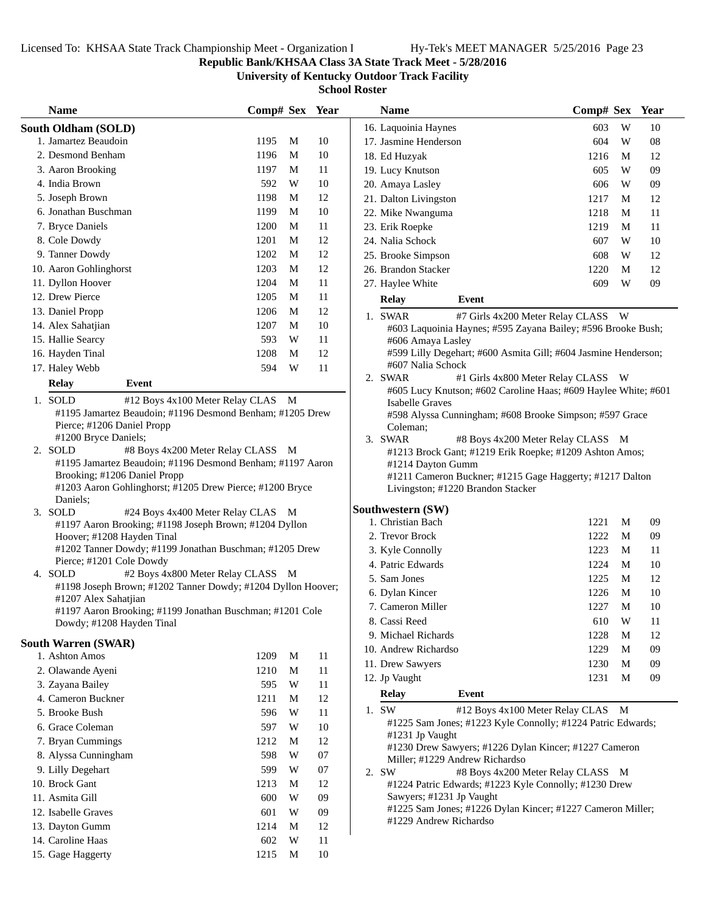## **Republic Bank/KHSAA Class 3A State Track Meet - 5/28/2016**

**University of Kentucky Outdoor Track Facility**

| <b>Name</b>                                                                          | Comp# Sex Year |                         |        | <b>Name</b>           |                                                                                   | Comp# Sex Year                     |              |    |
|--------------------------------------------------------------------------------------|----------------|-------------------------|--------|-----------------------|-----------------------------------------------------------------------------------|------------------------------------|--------------|----|
| South Oldham (SOLD)                                                                  |                |                         |        | 16. Laquoinia Haynes  |                                                                                   | 603                                | W            | 10 |
| 1. Jamartez Beaudoin                                                                 | 1195           | M                       | 10     | 17. Jasmine Henderson |                                                                                   | 604                                | W            | 08 |
| 2. Desmond Benham                                                                    | 1196           | M                       | 10     | 18. Ed Huzyak         |                                                                                   | 1216                               | M            | 12 |
| 3. Aaron Brooking                                                                    | 1197           | M                       | 11     | 19. Lucy Knutson      |                                                                                   | 605                                | W            | 09 |
| 4. India Brown                                                                       | 592            | W                       | 10     | 20. Amaya Lasley      |                                                                                   | 606                                | W            | 09 |
| 5. Joseph Brown                                                                      | 1198           | M                       | 12     | 21. Dalton Livingston |                                                                                   | 1217                               | M            | 12 |
| 6. Jonathan Buschman                                                                 | 1199           | M                       | 10     | 22. Mike Nwanguma     |                                                                                   | 1218                               | M            | 11 |
| 7. Bryce Daniels                                                                     | 1200           | M                       | 11     | 23. Erik Roepke       |                                                                                   | 1219                               | M            | 11 |
| 8. Cole Dowdy                                                                        | 1201           | M                       | 12     | 24. Nalia Schock      |                                                                                   | 607                                | W            | 10 |
| 9. Tanner Dowdy                                                                      | 1202           | M                       | 12     | 25. Brooke Simpson    |                                                                                   | 608                                | W            | 12 |
| 10. Aaron Gohlinghorst                                                               | 1203           | M                       | 12     | 26. Brandon Stacker   |                                                                                   | 1220                               | M            | 12 |
| 11. Dyllon Hoover                                                                    | 1204           | M                       | 11     | 27. Haylee White      |                                                                                   | 609                                | W            | 09 |
| 12. Drew Pierce                                                                      | 1205           | M                       | 11     | <b>Relay</b>          | Event                                                                             |                                    |              |    |
| 13. Daniel Propp                                                                     | 1206           | M                       | 12     | 1. SWAR               |                                                                                   | #7 Girls 4x200 Meter Relay CLASS   | <b>W</b>     |    |
| 14. Alex Sahatjian                                                                   | 1207           | M                       | 10     |                       | #603 Laquoinia Haynes; #595 Zayana Bailey; #596 Brooke Bush;                      |                                    |              |    |
| 15. Hallie Searcy                                                                    | 593            | W                       | 11     |                       | #606 Amaya Lasley                                                                 |                                    |              |    |
| 16. Hayden Tinal                                                                     | 1208           | M                       | 12     |                       | #599 Lilly Degehart; #600 Asmita Gill; #604 Jasmine Henderson;                    |                                    |              |    |
| 17. Haley Webb                                                                       | 594            | W                       | 11     |                       | #607 Nalia Schock                                                                 |                                    |              |    |
| <b>Relay</b><br>Event                                                                |                |                         |        | 2. SWAR               |                                                                                   | #1 Girls 4x800 Meter Relay CLASS W |              |    |
| 1. SOLD<br>#12 Boys 4x100 Meter Relay CLAS M                                         |                |                         |        |                       | #605 Lucy Knutson; #602 Caroline Haas; #609 Haylee White; #601                    |                                    |              |    |
| #1195 Jamartez Beaudoin; #1196 Desmond Benham; #1205 Drew                            |                |                         |        |                       | <b>Isabelle Graves</b><br>#598 Alyssa Cunningham; #608 Brooke Simpson; #597 Grace |                                    |              |    |
| Pierce; #1206 Daniel Propp                                                           |                |                         |        | Coleman;              |                                                                                   |                                    |              |    |
| #1200 Bryce Daniels;                                                                 |                |                         |        | 3. SWAR               |                                                                                   | #8 Boys 4x200 Meter Relay CLASS M  |              |    |
| 2. SOLD<br>#8 Boys 4x200 Meter Relay CLASS M                                         |                |                         |        |                       | #1213 Brock Gant; #1219 Erik Roepke; #1209 Ashton Amos;                           |                                    |              |    |
| #1195 Jamartez Beaudoin; #1196 Desmond Benham; #1197 Aaron                           |                |                         |        |                       | #1214 Dayton Gumm                                                                 |                                    |              |    |
| Brooking; #1206 Daniel Propp                                                         |                |                         |        |                       | #1211 Cameron Buckner; #1215 Gage Haggerty; #1217 Dalton                          |                                    |              |    |
| #1203 Aaron Gohlinghorst; #1205 Drew Pierce; #1200 Bryce                             |                |                         |        |                       | Livingston; #1220 Brandon Stacker                                                 |                                    |              |    |
| Daniels;                                                                             |                |                         |        | Southwestern (SW)     |                                                                                   |                                    |              |    |
| 3. SOLD<br>#24 Boys 4x400 Meter Relay CLAS M                                         |                |                         |        | 1. Christian Bach     |                                                                                   | 1221                               | M            | 09 |
| #1197 Aaron Brooking; #1198 Joseph Brown; #1204 Dyllon<br>Hoover; #1208 Hayden Tinal |                |                         |        | 2. Trevor Brock       |                                                                                   | 1222                               | M            | 09 |
| #1202 Tanner Dowdy; #1199 Jonathan Buschman; #1205 Drew                              |                |                         |        | 3. Kyle Connolly      |                                                                                   | 1223                               | M            | 11 |
| Pierce; #1201 Cole Dowdy                                                             |                |                         |        | 4. Patric Edwards     |                                                                                   | 1224                               | M            | 10 |
| 4. SOLD<br>#2 Boys 4x800 Meter Relay CLASS M                                         |                |                         |        | 5. Sam Jones          |                                                                                   | 1225                               | M            | 12 |
| #1198 Joseph Brown; #1202 Tanner Dowdy; #1204 Dyllon Hoover;                         |                |                         |        | 6. Dylan Kincer       |                                                                                   | 1226                               | M            | 10 |
| #1207 Alex Sahatjian                                                                 |                |                         |        | 7. Cameron Miller     |                                                                                   | 1227                               | M            | 10 |
| #1197 Aaron Brooking; #1199 Jonathan Buschman; #1201 Cole                            |                |                         |        | 8. Cassi Reed         |                                                                                   | 610                                | W            | 11 |
| Dowdy; #1208 Hayden Tinal                                                            |                |                         |        | 9. Michael Richards   |                                                                                   | 1228                               | M            |    |
| <b>South Warren (SWAR)</b>                                                           |                |                         |        |                       |                                                                                   |                                    |              | 12 |
| 1. Ashton Amos                                                                       | 1209           | M                       | 11     | 10. Andrew Richardso  |                                                                                   | 1229                               | M            | 09 |
| 2. Olawande Ayeni                                                                    | 1210           | M                       | 11     | 11. Drew Sawyers      |                                                                                   | 1230                               | M            | 09 |
| 3. Zayana Bailey                                                                     | 595            | W                       | 11     | 12. Jp Vaught         |                                                                                   | 1231                               | $\mathbf{M}$ | 09 |
| 4. Cameron Buckner                                                                   | 1211           | M                       | 12     | <b>Relay</b>          | Event                                                                             |                                    |              |    |
| 5. Brooke Bush                                                                       | 596            | W                       | 11     | 1. SW                 |                                                                                   | #12 Boys 4x100 Meter Relay CLAS M  |              |    |
| 6. Grace Coleman                                                                     | 597            | W                       | 10     |                       | #1225 Sam Jones; #1223 Kyle Connolly; #1224 Patric Edwards;                       |                                    |              |    |
| 7. Bryan Cummings                                                                    | 1212           | M                       | 12     |                       | #1231 Jp Vaught                                                                   |                                    |              |    |
| 8. Alyssa Cunningham                                                                 | 598            | $\ensuremath{\text{W}}$ | $07\,$ |                       | #1230 Drew Sawyers; #1226 Dylan Kincer; #1227 Cameron                             |                                    |              |    |
| 9. Lilly Degehart                                                                    | 599            | W                       | $07\,$ | 2. SW                 | Miller; #1229 Andrew Richardso                                                    | #8 Boys 4x200 Meter Relay CLASS M  |              |    |
| 10. Brock Gant                                                                       | 1213           | M                       | 12     |                       | #1224 Patric Edwards; #1223 Kyle Connolly; #1230 Drew                             |                                    |              |    |
| 11. Asmita Gill                                                                      | 600            | W                       | 09     |                       | Sawyers; #1231 Jp Vaught                                                          |                                    |              |    |
| 12. Isabelle Graves                                                                  | 601            | W                       | 09     |                       | #1225 Sam Jones; #1226 Dylan Kincer; #1227 Cameron Miller;                        |                                    |              |    |
| 13. Dayton Gumm                                                                      | 1214           | M                       | 12     |                       | #1229 Andrew Richardso                                                            |                                    |              |    |
| 14. Caroline Haas                                                                    | 602            | W                       | 11     |                       |                                                                                   |                                    |              |    |
| 15. Gage Haggerty                                                                    | 1215           | M                       | 10     |                       |                                                                                   |                                    |              |    |
|                                                                                      |                |                         |        |                       |                                                                                   |                                    |              |    |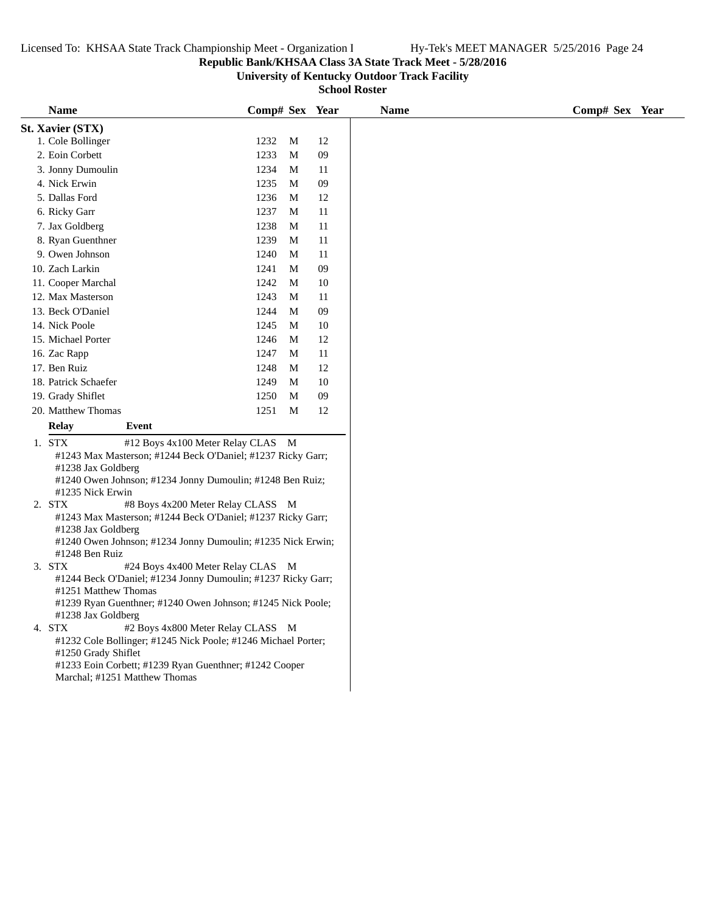## **Republic Bank/KHSAA Class 3A State Track Meet - 5/28/2016**

**University of Kentucky Outdoor Track Facility**

| <b>Name</b>          |                                                                                         | Comp# Sex Year |   |        |
|----------------------|-----------------------------------------------------------------------------------------|----------------|---|--------|
| St. Xavier (STX)     |                                                                                         |                |   |        |
| 1. Cole Bollinger    |                                                                                         | 1232           | M | 12     |
| 2. Eoin Corbett      |                                                                                         | 1233           | M | 09     |
| 3. Jonny Dumoulin    |                                                                                         | 1234           | M | 11     |
| 4. Nick Erwin        |                                                                                         | 1235           | M | 09     |
| 5. Dallas Ford       |                                                                                         | 1236           | M | 12     |
| 6. Ricky Garr        |                                                                                         | 1237           | M | 11     |
| 7. Jax Goldberg      |                                                                                         | 1238           | M | 11     |
| 8. Ryan Guenthner    |                                                                                         | 1239           | M | 11     |
| 9. Owen Johnson      |                                                                                         | 1240           | M | 11     |
| 10. Zach Larkin      |                                                                                         | 1241           | M | 09     |
| 11. Cooper Marchal   |                                                                                         | 1242           | M | $10\,$ |
|                      |                                                                                         |                |   |        |
| 12. Max Masterson    |                                                                                         | 1243           | M | 11     |
| 13. Beck O'Daniel    |                                                                                         | 1244           | M | 09     |
| 14. Nick Poole       |                                                                                         | 1245           | M | 10     |
| 15. Michael Porter   |                                                                                         | 1246           | M | 12     |
| 16. Zac Rapp         |                                                                                         | 1247           | M | 11     |
| 17. Ben Ruiz         |                                                                                         | 1248           | M | 12     |
| 18. Patrick Schaefer |                                                                                         | 1249           | M | 10     |
| 19. Grady Shiflet    |                                                                                         | 1250           | M | 09     |
| 20. Matthew Thomas   |                                                                                         | 1251           | M | 12     |
| <b>Relay</b>         | Event                                                                                   |                |   |        |
| 1. STX               | #12 Boys 4x100 Meter Relay CLAS M                                                       |                |   |        |
|                      | #1243 Max Masterson; #1244 Beck O'Daniel; #1237 Ricky Garr;                             |                |   |        |
| #1238 Jax Goldberg   |                                                                                         |                |   |        |
|                      | #1240 Owen Johnson; #1234 Jonny Dumoulin; #1248 Ben Ruiz;                               |                |   |        |
| #1235 Nick Erwin     |                                                                                         |                |   |        |
| 2. STX               | #8 Boys 4x200 Meter Relay CLASS M                                                       |                |   |        |
|                      | #1243 Max Masterson; #1244 Beck O'Daniel; #1237 Ricky Garr;                             |                |   |        |
| #1238 Jax Goldberg   | #1240 Owen Johnson; #1234 Jonny Dumoulin; #1235 Nick Erwin;                             |                |   |        |
| #1248 Ben Ruiz       |                                                                                         |                |   |        |
| 3. STX               | #24 Boys 4x400 Meter Relay CLAS M                                                       |                |   |        |
|                      | #1244 Beck O'Daniel; #1234 Jonny Dumoulin; #1237 Ricky Garr;                            |                |   |        |
| #1251 Matthew Thomas |                                                                                         |                |   |        |
|                      | #1239 Ryan Guenthner; #1240 Owen Johnson; #1245 Nick Poole;                             |                |   |        |
| #1238 Jax Goldberg   |                                                                                         |                |   |        |
| 4. STX               | #2 Boys 4x800 Meter Relay CLASS M                                                       |                |   |        |
|                      | #1232 Cole Bollinger; #1245 Nick Poole; #1246 Michael Porter;                           |                |   |        |
| #1250 Grady Shiflet  |                                                                                         |                |   |        |
|                      | #1233 Eoin Corbett; #1239 Ryan Guenthner; #1242 Cooper<br>Marchal; #1251 Matthew Thomas |                |   |        |
|                      |                                                                                         |                |   |        |
|                      |                                                                                         |                |   |        |
|                      |                                                                                         |                |   |        |
|                      |                                                                                         |                |   |        |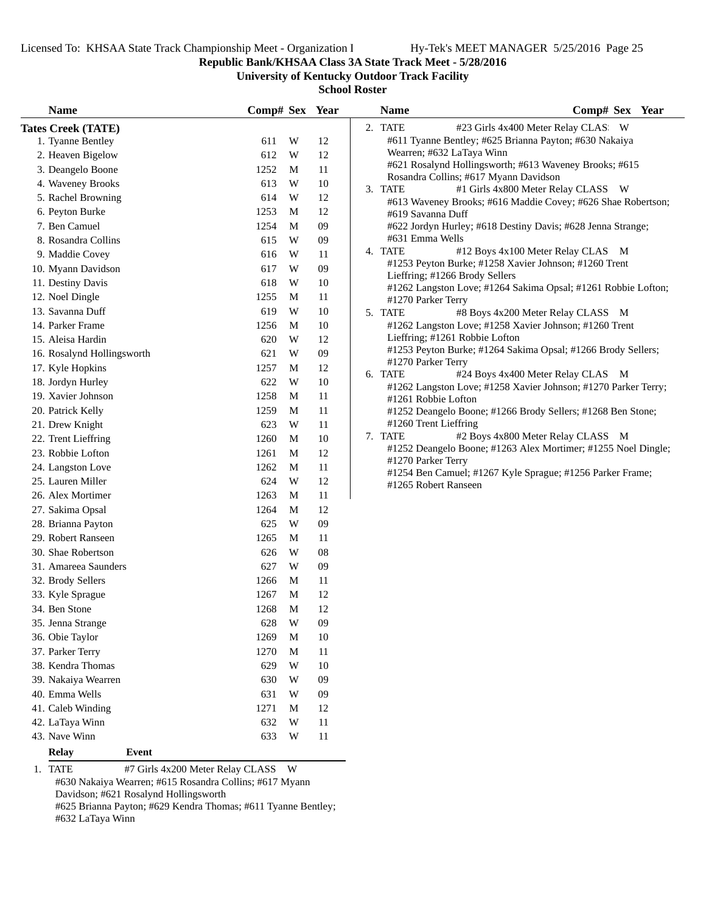**Republic Bank/KHSAA Class 3A State Track Meet - 5/28/2016**

**University of Kentucky Outdoor Track Facility**

**School Roster**

| <b>Name</b>                                   | Comp# Sex Year |                         |    | <b>Name</b>               | Comp# Sex Year                                                                                     |
|-----------------------------------------------|----------------|-------------------------|----|---------------------------|----------------------------------------------------------------------------------------------------|
| <b>Tates Creek (TATE)</b>                     |                |                         |    | 2. TATE                   | #23 Girls 4x400 Meter Relay CLAS: W                                                                |
| 1. Tyanne Bentley                             | 611            | W                       | 12 |                           | #611 Tyanne Bentley; #625 Brianna Payton; #630 Nakaiya                                             |
| 2. Heaven Bigelow                             | 612            | W                       | 12 | Wearren; #632 LaTaya Winn |                                                                                                    |
| 3. Deangelo Boone                             | 1252           | M                       | 11 |                           | #621 Rosalynd Hollingsworth; #613 Waveney Brooks; #615                                             |
| 4. Waveney Brooks                             | 613            | W                       | 10 |                           | Rosandra Collins; #617 Myann Davidson                                                              |
| 5. Rachel Browning                            | 614            | W                       | 12 | 3. TATE                   | #1 Girls 4x800 Meter Relay CLASS W<br>#613 Waveney Brooks; #616 Maddie Covey; #626 Shae Robertson; |
| 6. Peyton Burke                               | 1253           | M                       | 12 | #619 Savanna Duff         |                                                                                                    |
| 7. Ben Camuel                                 | 1254           | M                       | 09 |                           | #622 Jordyn Hurley; #618 Destiny Davis; #628 Jenna Strange;                                        |
| 8. Rosandra Collins                           | 615            | W                       | 09 | #631 Emma Wells           |                                                                                                    |
| 9. Maddie Covey                               | 616            | W                       | 11 | 4. TATE                   | #12 Boys 4x100 Meter Relay CLAS M                                                                  |
| 10. Myann Davidson                            | 617            | W                       | 09 |                           | #1253 Peyton Burke; #1258 Xavier Johnson; #1260 Trent                                              |
| 11. Destiny Davis                             | 618            | W                       | 10 |                           | Lieffring; #1266 Brody Sellers                                                                     |
| 12. Noel Dingle                               | 1255           | M                       | 11 | #1270 Parker Terry        | #1262 Langston Love; #1264 Sakima Opsal; #1261 Robbie Lofton;                                      |
| 13. Savanna Duff                              | 619            | W                       | 10 | 5. TATE                   | #8 Boys 4x200 Meter Relay CLASS M                                                                  |
| 14. Parker Frame                              | 1256           | M                       | 10 |                           | #1262 Langston Love; #1258 Xavier Johnson; #1260 Trent                                             |
| 15. Aleisa Hardin                             | 620            | W                       | 12 |                           | Lieffring; #1261 Robbie Lofton                                                                     |
| 16. Rosalynd Hollingsworth                    | 621            | W                       | 09 |                           | #1253 Peyton Burke; #1264 Sakima Opsal; #1266 Brody Sellers;                                       |
| 17. Kyle Hopkins                              | 1257           | M                       | 12 | #1270 Parker Terry        |                                                                                                    |
| 18. Jordyn Hurley                             | 622            | W                       | 10 | 6. TATE                   | #24 Boys 4x400 Meter Relay CLAS M                                                                  |
| 19. Xavier Johnson                            | 1258           | M                       | 11 | #1261 Robbie Lofton       | #1262 Langston Love; #1258 Xavier Johnson; #1270 Parker Terry;                                     |
| 20. Patrick Kelly                             | 1259           | M                       | 11 |                           | #1252 Deangelo Boone; #1266 Brody Sellers; #1268 Ben Stone;                                        |
| 21. Drew Knight                               | 623            | W                       | 11 | #1260 Trent Lieffring     |                                                                                                    |
| 22. Trent Lieffring                           | 1260           | M                       | 10 | 7. TATE                   | #2 Boys 4x800 Meter Relay CLASS M                                                                  |
| 23. Robbie Lofton                             | 1261           | M                       | 12 |                           | #1252 Deangelo Boone; #1263 Alex Mortimer; #1255 Noel Dingle;                                      |
| 24. Langston Love                             | 1262           | M                       | 11 | #1270 Parker Terry        |                                                                                                    |
| 25. Lauren Miller                             | 624            | W                       | 12 | #1265 Robert Ranseen      | #1254 Ben Camuel; #1267 Kyle Sprague; #1256 Parker Frame;                                          |
| 26. Alex Mortimer                             | 1263           | M                       | 11 |                           |                                                                                                    |
| 27. Sakima Opsal                              | 1264           | M                       | 12 |                           |                                                                                                    |
| 28. Brianna Payton                            | 625            | W                       | 09 |                           |                                                                                                    |
| 29. Robert Ranseen                            | 1265           | M                       | 11 |                           |                                                                                                    |
| 30. Shae Robertson                            | 626            | W                       | 08 |                           |                                                                                                    |
| 31. Amareea Saunders                          | 627            | W                       | 09 |                           |                                                                                                    |
| 32. Brody Sellers                             | 1266           | M                       | 11 |                           |                                                                                                    |
| 33. Kyle Sprague                              | 1267           | M                       | 12 |                           |                                                                                                    |
| 34. Ben Stone                                 | 1268           | M                       | 12 |                           |                                                                                                    |
| 35. Jenna Strange                             | 628            | $\ensuremath{\text{W}}$ | 09 |                           |                                                                                                    |
| 36. Obie Taylor                               | 1269           | M                       | 10 |                           |                                                                                                    |
| 37. Parker Terry                              | 1270           | M                       | 11 |                           |                                                                                                    |
| 38. Kendra Thomas                             | 629            | W                       | 10 |                           |                                                                                                    |
| 39. Nakaiya Wearren                           | 630            | W                       | 09 |                           |                                                                                                    |
| 40. Emma Wells                                | 631            | W                       | 09 |                           |                                                                                                    |
| 41. Caleb Winding                             | 1271           | M                       | 12 |                           |                                                                                                    |
| 42. LaTaya Winn                               | 632            | W                       | 11 |                           |                                                                                                    |
| 43. Nave Winn                                 | 633            | W                       | 11 |                           |                                                                                                    |
| <b>Relay</b><br>Event                         |                |                         |    |                           |                                                                                                    |
| 1. TATE<br>#7 Girls 4x200 Meter Relay CLASS W |                |                         |    |                           |                                                                                                    |

#630 Nakaiya Wearren; #615 Rosandra Collins; #617 Myann Davidson; #621 Rosalynd Hollingsworth

#625 Brianna Payton; #629 Kendra Thomas; #611 Tyanne Bentley; #632 LaTaya Winn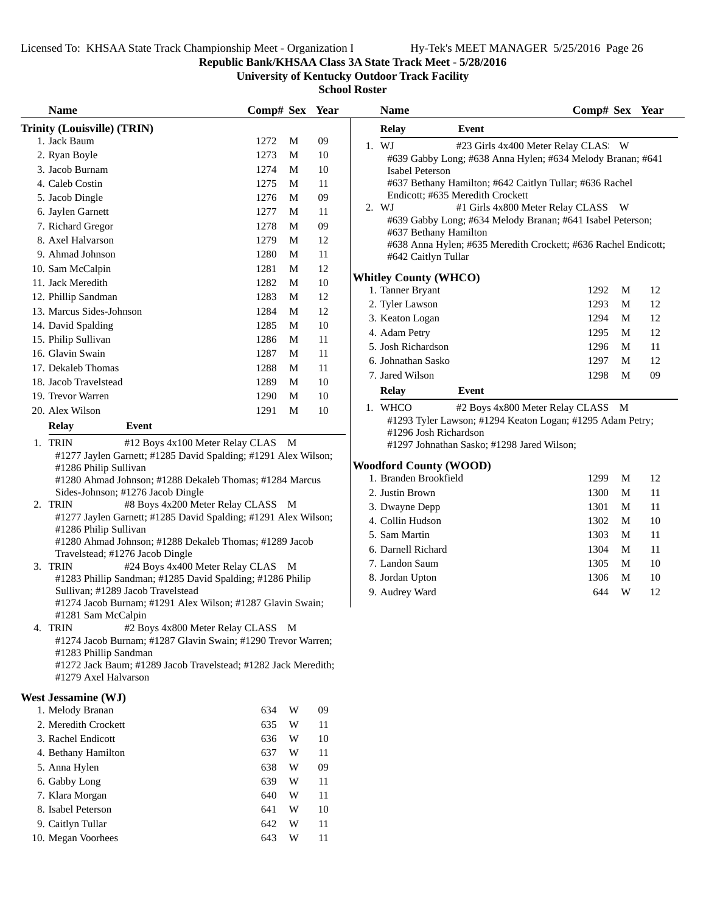**Republic Bank/KHSAA Class 3A State Track Meet - 5/28/2016**

**University of Kentucky Outdoor Track Facility**

| <b>Name</b>                                                                             | Comp# Sex Year |   |        | <b>Name</b>                                                                                               | Comp# Sex Year |   |    |
|-----------------------------------------------------------------------------------------|----------------|---|--------|-----------------------------------------------------------------------------------------------------------|----------------|---|----|
| Trinity (Louisville) (TRIN)                                                             |                |   |        | <b>Relay</b><br>Event                                                                                     |                |   |    |
| 1. Jack Baum                                                                            | 1272           | M | 09     | 1. WJ<br>#23 Girls 4x400 Meter Relay CLAS: W                                                              |                |   |    |
| 2. Ryan Boyle                                                                           | 1273           | M | 10     | #639 Gabby Long; #638 Anna Hylen; #634 Melody Branan; #641                                                |                |   |    |
| 3. Jacob Burnam                                                                         | 1274           | M | 10     | Isabel Peterson                                                                                           |                |   |    |
| 4. Caleb Costin                                                                         | 1275           | M | 11     | #637 Bethany Hamilton; #642 Caitlyn Tullar; #636 Rachel                                                   |                |   |    |
| 5. Jacob Dingle                                                                         | 1276           | M | 09     | Endicott; #635 Meredith Crockett                                                                          |                |   |    |
| 6. Jaylen Garnett                                                                       | 1277           | M | 11     | 2. WJ<br>#1 Girls 4x800 Meter Relay CLASS W<br>#639 Gabby Long; #634 Melody Branan; #641 Isabel Peterson; |                |   |    |
| 7. Richard Gregor                                                                       | 1278           | M | 09     | #637 Bethany Hamilton                                                                                     |                |   |    |
| 8. Axel Halvarson                                                                       | 1279           | M | 12     | #638 Anna Hylen; #635 Meredith Crockett; #636 Rachel Endicott;                                            |                |   |    |
| 9. Ahmad Johnson                                                                        | 1280           | M | 11     | #642 Caitlyn Tullar                                                                                       |                |   |    |
| 10. Sam McCalpin                                                                        | 1281           | M | 12     |                                                                                                           |                |   |    |
| 11. Jack Meredith                                                                       | 1282           | M | $10\,$ | <b>Whitley County (WHCO)</b><br>1. Tanner Bryant                                                          | 1292           | M | 12 |
| 12. Phillip Sandman                                                                     | 1283           | M | 12     | 2. Tyler Lawson                                                                                           | 1293           | M | 12 |
| 13. Marcus Sides-Johnson                                                                | 1284           | M | 12     | 3. Keaton Logan                                                                                           | 1294           | M | 12 |
| 14. David Spalding                                                                      | 1285           | M | 10     | 4. Adam Petry                                                                                             | 1295           | M | 12 |
| 15. Philip Sullivan                                                                     | 1286           | M | 11     | 5. Josh Richardson                                                                                        | 1296           | M | 11 |
| 16. Glavin Swain                                                                        | 1287           | M | 11     | 6. Johnathan Sasko                                                                                        | 1297           | M | 12 |
| 17. Dekaleb Thomas                                                                      | 1288           | M | 11     | 7. Jared Wilson                                                                                           |                | M | 09 |
| 18. Jacob Travelstead                                                                   | 1289           | M | $10\,$ |                                                                                                           | 1298           |   |    |
| 19. Trevor Warren                                                                       | 1290           | M | 10     | <b>Relay</b><br>Event                                                                                     |                |   |    |
| 20. Alex Wilson                                                                         | 1291           | M | 10     | #2 Boys 4x800 Meter Relay CLASS M<br>1. WHCO                                                              |                |   |    |
| <b>Relay</b><br>Event                                                                   |                |   |        | #1293 Tyler Lawson; #1294 Keaton Logan; #1295 Adam Petry;<br>#1296 Josh Richardson                        |                |   |    |
| 1. TRIN<br>#12 Boys 4x100 Meter Relay CLAS M                                            |                |   |        | #1297 Johnathan Sasko; #1298 Jared Wilson;                                                                |                |   |    |
| #1277 Jaylen Garnett; #1285 David Spalding; #1291 Alex Wilson;                          |                |   |        |                                                                                                           |                |   |    |
| #1286 Philip Sullivan                                                                   |                |   |        | <b>Woodford County (WOOD)</b>                                                                             |                |   |    |
| #1280 Ahmad Johnson; #1288 Dekaleb Thomas; #1284 Marcus                                 |                |   |        | 1. Branden Brookfield                                                                                     | 1299           | M | 12 |
| Sides-Johnson; #1276 Jacob Dingle                                                       |                |   |        | 2. Justin Brown                                                                                           | 1300           | M | 11 |
| 2. TRIN<br>#8 Boys 4x200 Meter Relay CLASS M                                            |                |   |        | 3. Dwayne Depp                                                                                            | 1301           | M | 11 |
| #1277 Jaylen Garnett; #1285 David Spalding; #1291 Alex Wilson;<br>#1286 Philip Sullivan |                |   |        | 4. Collin Hudson                                                                                          | 1302           | M | 10 |
| #1280 Ahmad Johnson; #1288 Dekaleb Thomas; #1289 Jacob                                  |                |   |        | 5. Sam Martin                                                                                             | 1303           | M | 11 |
| Travelstead; #1276 Jacob Dingle                                                         |                |   |        | 6. Darnell Richard                                                                                        | 1304           | M | 11 |
| 3. TRIN<br>#24 Boys 4x400 Meter Relay CLAS M                                            |                |   |        | 7. Landon Saum                                                                                            | 1305           | M | 10 |
| #1283 Phillip Sandman; #1285 David Spalding; #1286 Philip                               |                |   |        | 8. Jordan Upton                                                                                           | 1306           | M | 10 |
| Sullivan; #1289 Jacob Travelstead                                                       |                |   |        | 9. Audrey Ward                                                                                            | 644            | W | 12 |
| #1274 Jacob Burnam; #1291 Alex Wilson; #1287 Glavin Swain;<br>#1281 Sam McCalpin        |                |   |        |                                                                                                           |                |   |    |
| #2 Boys 4x800 Meter Relay CLASS M<br>4. TRIN                                            |                |   |        |                                                                                                           |                |   |    |
| #1274 Jacob Burnam; #1287 Glavin Swain; #1290 Trevor Warren;                            |                |   |        |                                                                                                           |                |   |    |
| #1283 Phillip Sandman                                                                   |                |   |        |                                                                                                           |                |   |    |
| #1272 Jack Baum; #1289 Jacob Travelstead; #1282 Jack Meredith;                          |                |   |        |                                                                                                           |                |   |    |
| #1279 Axel Halvarson                                                                    |                |   |        |                                                                                                           |                |   |    |
| <b>West Jessamine (WJ)</b>                                                              |                |   |        |                                                                                                           |                |   |    |
| 1. Melody Branan                                                                        | 634            | W | 09     |                                                                                                           |                |   |    |
| 2. Meredith Crockett                                                                    | 635            | W | 11     |                                                                                                           |                |   |    |
| 3. Rachel Endicott                                                                      | 636            | W | 10     |                                                                                                           |                |   |    |
| 4. Bethany Hamilton                                                                     | 637            | W | 11     |                                                                                                           |                |   |    |
| 5. Anna Hylen                                                                           | 638            | W | 09     |                                                                                                           |                |   |    |
| 6. Gabby Long                                                                           | 639            | W | 11     |                                                                                                           |                |   |    |
| 7. Klara Morgan                                                                         | 640            | W | 11     |                                                                                                           |                |   |    |
| 8. Isabel Peterson                                                                      | 641            | W | 10     |                                                                                                           |                |   |    |
| 9. Caitlyn Tullar                                                                       | 642            | W | 11     |                                                                                                           |                |   |    |
| 10. Megan Voorhees                                                                      | 643            | W | 11     |                                                                                                           |                |   |    |